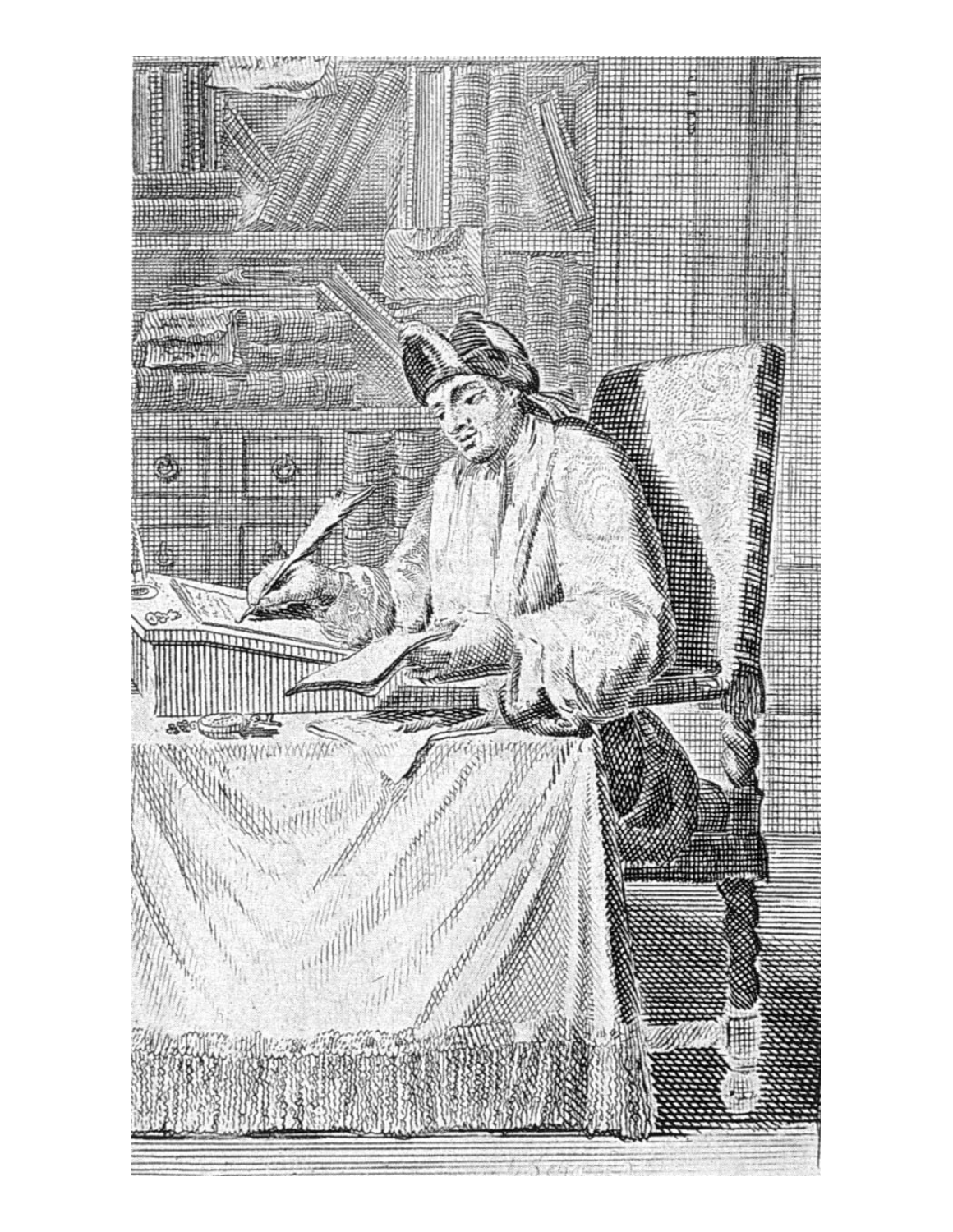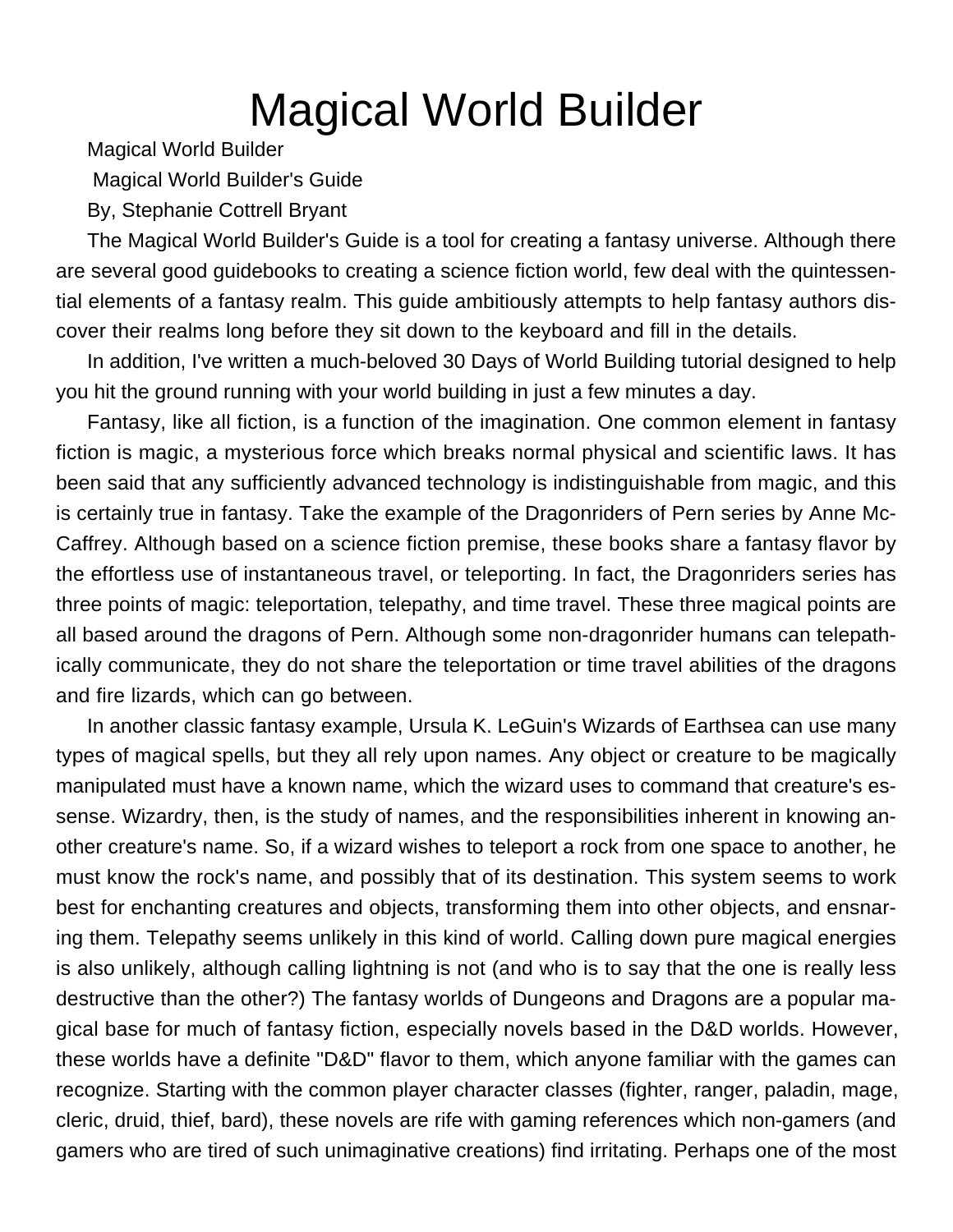# Magical World Builder

Magical World Builder Magical World Builder's Guide By, Stephanie Cottrell Bryant

The Magical World Builder's Guide is a tool for creating a fantasy universe. Although there are several good guidebooks to creating a science fiction world, few deal with the quintessential elements of a fantasy realm. This guide ambitiously attempts to help fantasy authors discover their realms long before they sit down to the keyboard and fill in the details.

In addition, I've written a much-beloved 30 Days of World Building tutorial designed to help you hit the ground running with your world building in just a few minutes a day.

Fantasy, like all fiction, is a function of the imagination. One common element in fantasy fiction is magic, a mysterious force which breaks normal physical and scientific laws. It has been said that any sufficiently advanced technology is indistinguishable from magic, and this is certainly true in fantasy. Take the example of the Dragonriders of Pern series by Anne Mc-Caffrey. Although based on a science fiction premise, these books share a fantasy flavor by the effortless use of instantaneous travel, or teleporting. In fact, the Dragonriders series has three points of magic: teleportation, telepathy, and time travel. These three magical points are all based around the dragons of Pern. Although some non-dragonrider humans can telepathically communicate, they do not share the teleportation or time travel abilities of the dragons and fire lizards, which can go between.

In another classic fantasy example, Ursula K. LeGuin's Wizards of Earthsea can use many types of magical spells, but they all rely upon names. Any object or creature to be magically manipulated must have a known name, which the wizard uses to command that creature's essense. Wizardry, then, is the study of names, and the responsibilities inherent in knowing another creature's name. So, if a wizard wishes to teleport a rock from one space to another, he must know the rock's name, and possibly that of its destination. This system seems to work best for enchanting creatures and objects, transforming them into other objects, and ensnaring them. Telepathy seems unlikely in this kind of world. Calling down pure magical energies is also unlikely, although calling lightning is not (and who is to say that the one is really less destructive than the other?) The fantasy worlds of Dungeons and Dragons are a popular magical base for much of fantasy fiction, especially novels based in the D&D worlds. However, these worlds have a definite "D&D" flavor to them, which anyone familiar with the games can recognize. Starting with the common player character classes (fighter, ranger, paladin, mage, cleric, druid, thief, bard), these novels are rife with gaming references which non-gamers (and gamers who are tired of such unimaginative creations) find irritating. Perhaps one of the most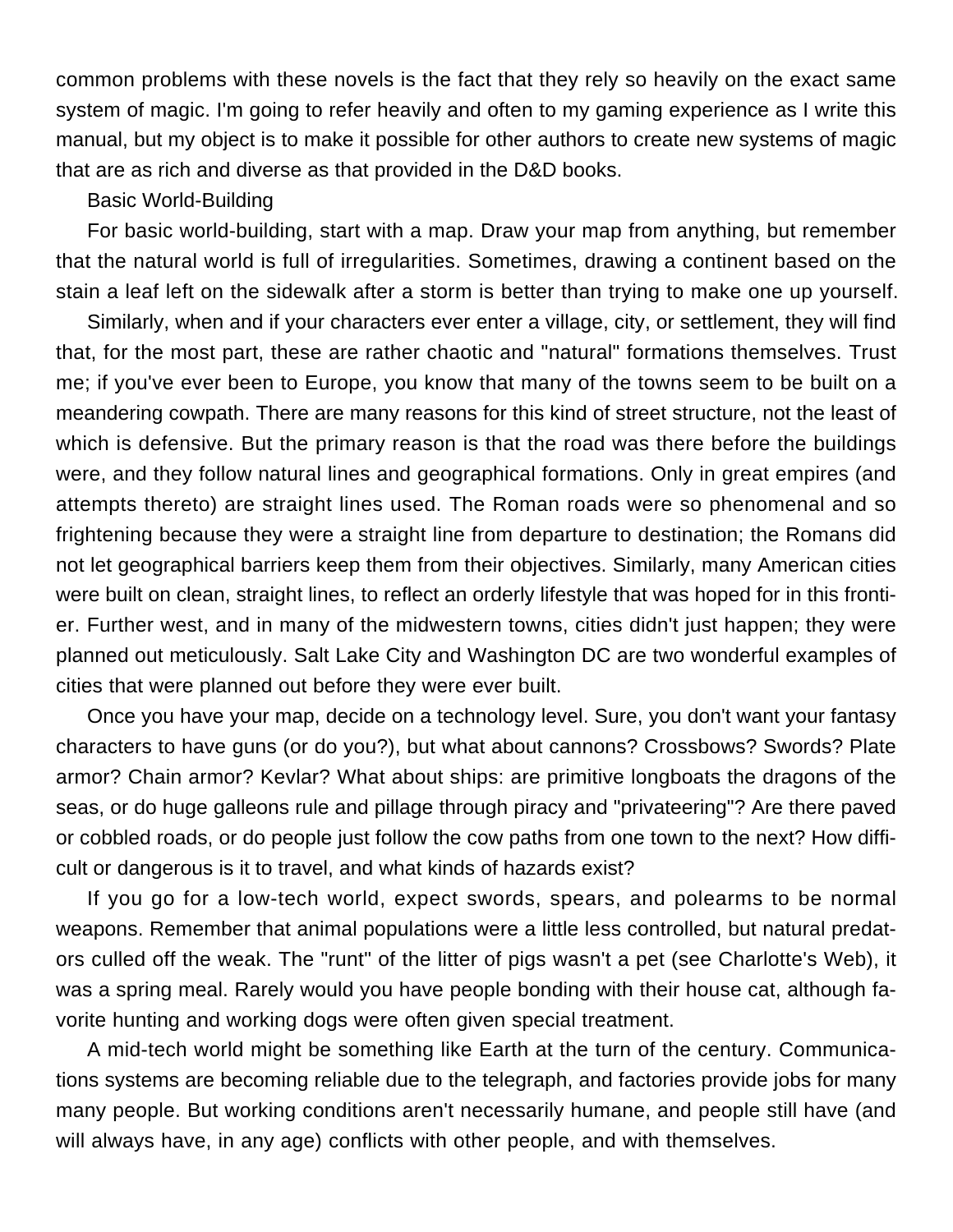common problems with these novels is the fact that they rely so heavily on the exact same system of magic. I'm going to refer heavily and often to my gaming experience as I write this manual, but my object is to make it possible for other authors to create new systems of magic that are as rich and diverse as that provided in the D&D books.

#### Basic World-Building

For basic world-building, start with a map. Draw your map from anything, but remember that the natural world is full of irregularities. Sometimes, drawing a continent based on the stain a leaf left on the sidewalk after a storm is better than trying to make one up yourself.

Similarly, when and if your characters ever enter a village, city, or settlement, they will find that, for the most part, these are rather chaotic and "natural" formations themselves. Trust me; if you've ever been to Europe, you know that many of the towns seem to be built on a meandering cowpath. There are many reasons for this kind of street structure, not the least of which is defensive. But the primary reason is that the road was there before the buildings were, and they follow natural lines and geographical formations. Only in great empires (and attempts thereto) are straight lines used. The Roman roads were so phenomenal and so frightening because they were a straight line from departure to destination; the Romans did not let geographical barriers keep them from their objectives. Similarly, many American cities were built on clean, straight lines, to reflect an orderly lifestyle that was hoped for in this frontier. Further west, and in many of the midwestern towns, cities didn't just happen; they were planned out meticulously. Salt Lake City and Washington DC are two wonderful examples of cities that were planned out before they were ever built.

Once you have your map, decide on a technology level. Sure, you don't want your fantasy characters to have guns (or do you?), but what about cannons? Crossbows? Swords? Plate armor? Chain armor? Kevlar? What about ships: are primitive longboats the dragons of the seas, or do huge galleons rule and pillage through piracy and "privateering"? Are there paved or cobbled roads, or do people just follow the cow paths from one town to the next? How difficult or dangerous is it to travel, and what kinds of hazards exist?

If you go for a low-tech world, expect swords, spears, and polearms to be normal weapons. Remember that animal populations were a little less controlled, but natural predators culled off the weak. The "runt" of the litter of pigs wasn't a pet (see Charlotte's Web), it was a spring meal. Rarely would you have people bonding with their house cat, although favorite hunting and working dogs were often given special treatment.

A mid-tech world might be something like Earth at the turn of the century. Communications systems are becoming reliable due to the telegraph, and factories provide jobs for many many people. But working conditions aren't necessarily humane, and people still have (and will always have, in any age) conflicts with other people, and with themselves.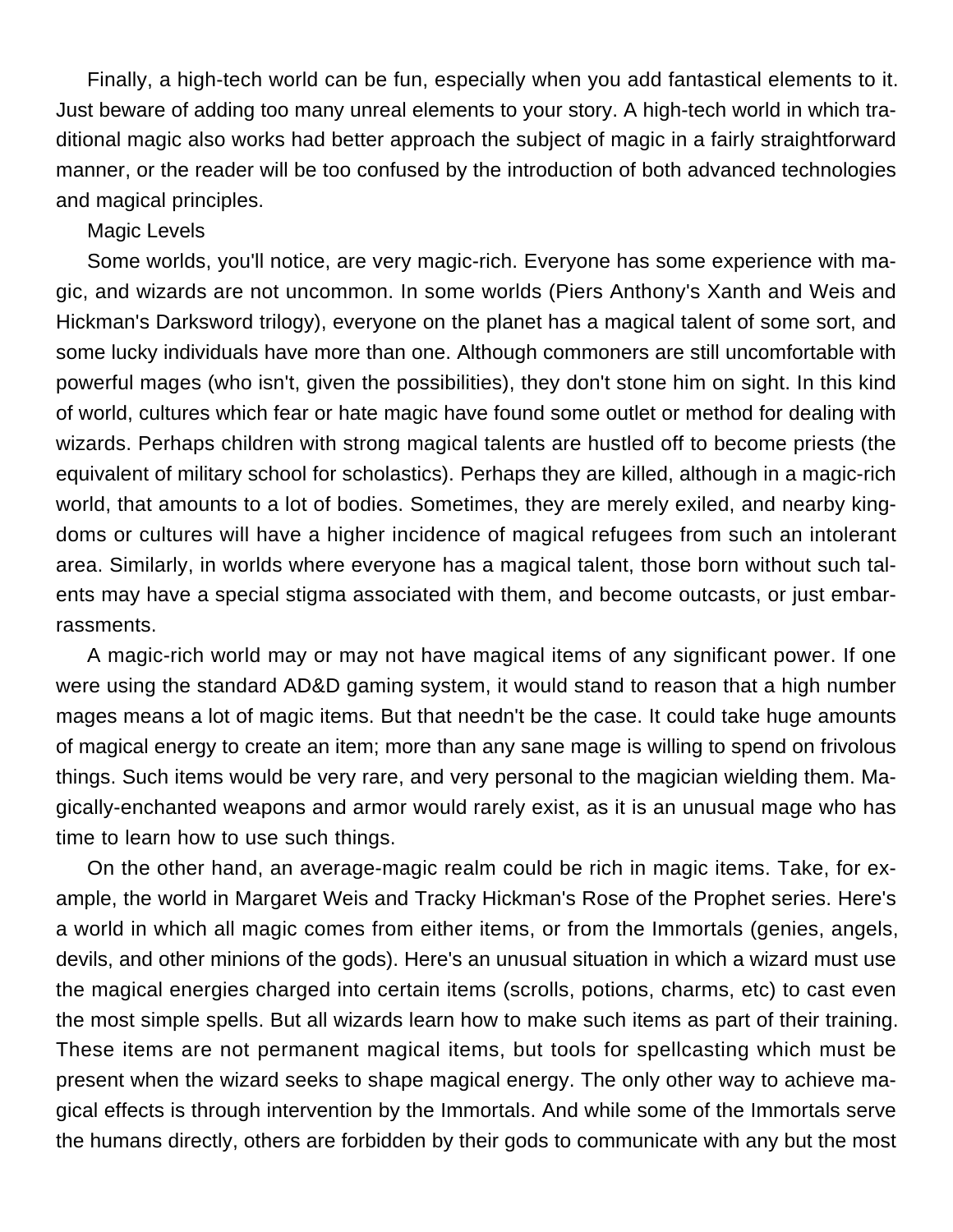Finally, a high-tech world can be fun, especially when you add fantastical elements to it. Just beware of adding too many unreal elements to your story. A high-tech world in which traditional magic also works had better approach the subject of magic in a fairly straightforward manner, or the reader will be too confused by the introduction of both advanced technologies and magical principles.

#### Magic Levels

Some worlds, you'll notice, are very magic-rich. Everyone has some experience with magic, and wizards are not uncommon. In some worlds (Piers Anthony's Xanth and Weis and Hickman's Darksword trilogy), everyone on the planet has a magical talent of some sort, and some lucky individuals have more than one. Although commoners are still uncomfortable with powerful mages (who isn't, given the possibilities), they don't stone him on sight. In this kind of world, cultures which fear or hate magic have found some outlet or method for dealing with wizards. Perhaps children with strong magical talents are hustled off to become priests (the equivalent of military school for scholastics). Perhaps they are killed, although in a magic-rich world, that amounts to a lot of bodies. Sometimes, they are merely exiled, and nearby kingdoms or cultures will have a higher incidence of magical refugees from such an intolerant area. Similarly, in worlds where everyone has a magical talent, those born without such talents may have a special stigma associated with them, and become outcasts, or just embarrassments.

A magic-rich world may or may not have magical items of any significant power. If one were using the standard AD&D gaming system, it would stand to reason that a high number mages means a lot of magic items. But that needn't be the case. It could take huge amounts of magical energy to create an item; more than any sane mage is willing to spend on frivolous things. Such items would be very rare, and very personal to the magician wielding them. Magically-enchanted weapons and armor would rarely exist, as it is an unusual mage who has time to learn how to use such things.

On the other hand, an average-magic realm could be rich in magic items. Take, for example, the world in Margaret Weis and Tracky Hickman's Rose of the Prophet series. Here's a world in which all magic comes from either items, or from the Immortals (genies, angels, devils, and other minions of the gods). Here's an unusual situation in which a wizard must use the magical energies charged into certain items (scrolls, potions, charms, etc) to cast even the most simple spells. But all wizards learn how to make such items as part of their training. These items are not permanent magical items, but tools for spellcasting which must be present when the wizard seeks to shape magical energy. The only other way to achieve magical effects is through intervention by the Immortals. And while some of the Immortals serve the humans directly, others are forbidden by their gods to communicate with any but the most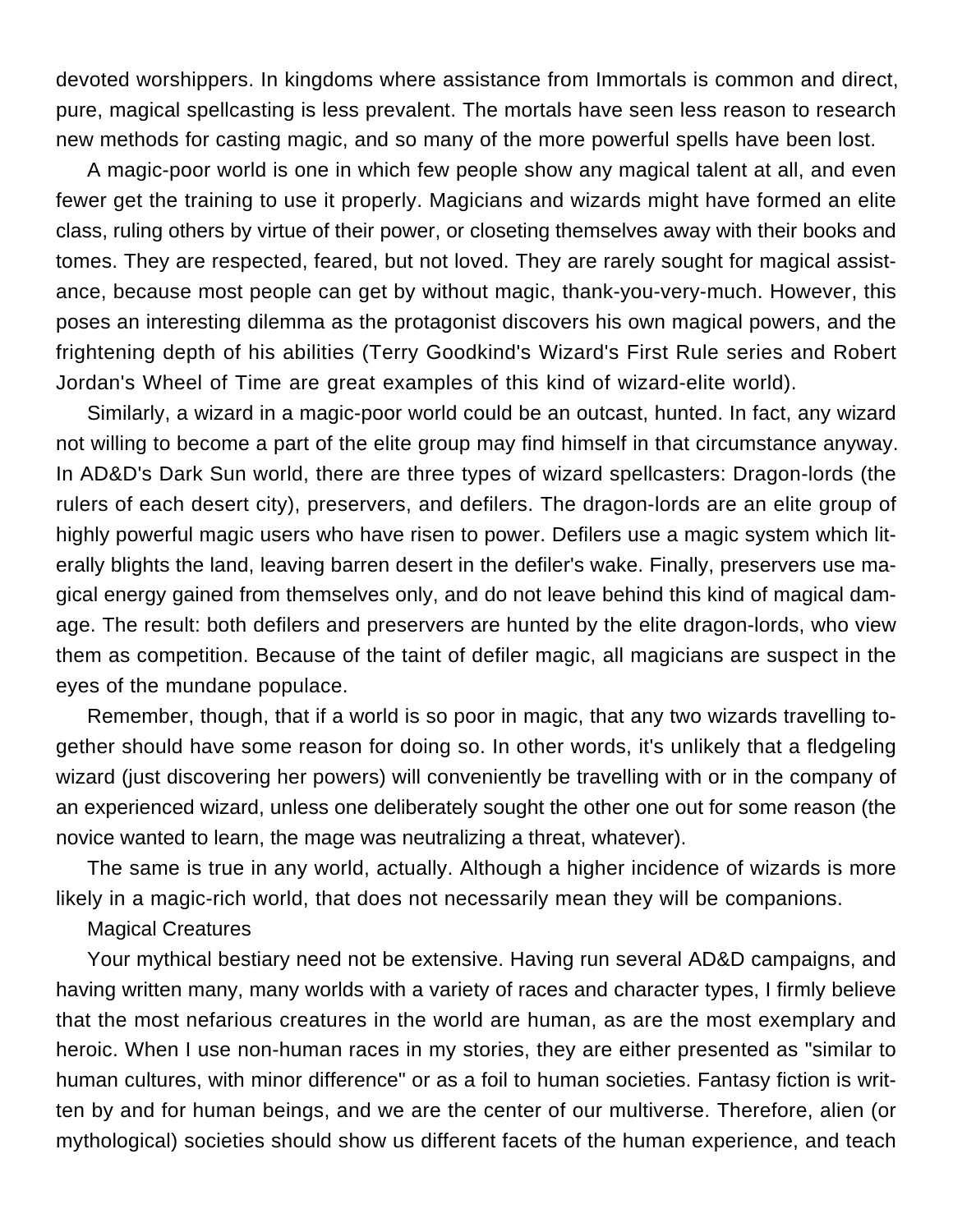devoted worshippers. In kingdoms where assistance from Immortals is common and direct, pure, magical spellcasting is less prevalent. The mortals have seen less reason to research new methods for casting magic, and so many of the more powerful spells have been lost.

A magic-poor world is one in which few people show any magical talent at all, and even fewer get the training to use it properly. Magicians and wizards might have formed an elite class, ruling others by virtue of their power, or closeting themselves away with their books and tomes. They are respected, feared, but not loved. They are rarely sought for magical assistance, because most people can get by without magic, thank-you-very-much. However, this poses an interesting dilemma as the protagonist discovers his own magical powers, and the frightening depth of his abilities (Terry Goodkind's Wizard's First Rule series and Robert Jordan's Wheel of Time are great examples of this kind of wizard-elite world).

Similarly, a wizard in a magic-poor world could be an outcast, hunted. In fact, any wizard not willing to become a part of the elite group may find himself in that circumstance anyway. In AD&D's Dark Sun world, there are three types of wizard spellcasters: Dragon-lords (the rulers of each desert city), preservers, and defilers. The dragon-lords are an elite group of highly powerful magic users who have risen to power. Defilers use a magic system which literally blights the land, leaving barren desert in the defiler's wake. Finally, preservers use magical energy gained from themselves only, and do not leave behind this kind of magical damage. The result: both defilers and preservers are hunted by the elite dragon-lords, who view them as competition. Because of the taint of defiler magic, all magicians are suspect in the eyes of the mundane populace.

Remember, though, that if a world is so poor in magic, that any two wizards travelling together should have some reason for doing so. In other words, it's unlikely that a fledgeling wizard (just discovering her powers) will conveniently be travelling with or in the company of an experienced wizard, unless one deliberately sought the other one out for some reason (the novice wanted to learn, the mage was neutralizing a threat, whatever).

The same is true in any world, actually. Although a higher incidence of wizards is more likely in a magic-rich world, that does not necessarily mean they will be companions.

Magical Creatures

Your mythical bestiary need not be extensive. Having run several AD&D campaigns, and having written many, many worlds with a variety of races and character types, I firmly believe that the most nefarious creatures in the world are human, as are the most exemplary and heroic. When I use non-human races in my stories, they are either presented as "similar to human cultures, with minor difference" or as a foil to human societies. Fantasy fiction is written by and for human beings, and we are the center of our multiverse. Therefore, alien (or mythological) societies should show us different facets of the human experience, and teach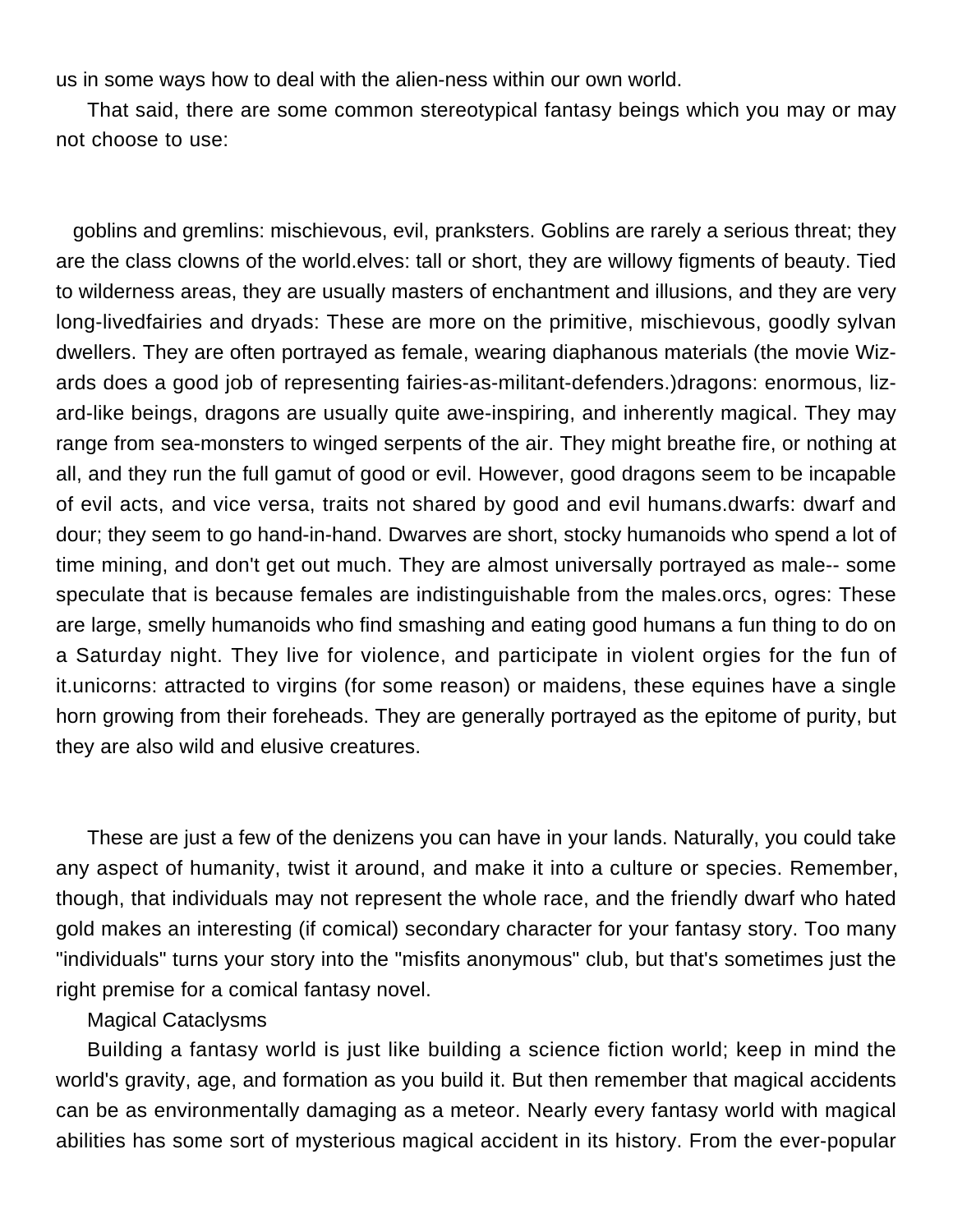us in some ways how to deal with the alien-ness within our own world.

That said, there are some common stereotypical fantasy beings which you may or may not choose to use:

 goblins and gremlins: mischievous, evil, pranksters. Goblins are rarely a serious threat; they are the class clowns of the world.elves: tall or short, they are willowy figments of beauty. Tied to wilderness areas, they are usually masters of enchantment and illusions, and they are very long-livedfairies and dryads: These are more on the primitive, mischievous, goodly sylvan dwellers. They are often portrayed as female, wearing diaphanous materials (the movie Wizards does a good job of representing fairies-as-militant-defenders.)dragons: enormous, lizard-like beings, dragons are usually quite awe-inspiring, and inherently magical. They may range from sea-monsters to winged serpents of the air. They might breathe fire, or nothing at all, and they run the full gamut of good or evil. However, good dragons seem to be incapable of evil acts, and vice versa, traits not shared by good and evil humans.dwarfs: dwarf and dour; they seem to go hand-in-hand. Dwarves are short, stocky humanoids who spend a lot of time mining, and don't get out much. They are almost universally portrayed as male-- some speculate that is because females are indistinguishable from the males.orcs, ogres: These are large, smelly humanoids who find smashing and eating good humans a fun thing to do on a Saturday night. They live for violence, and participate in violent orgies for the fun of it.unicorns: attracted to virgins (for some reason) or maidens, these equines have a single horn growing from their foreheads. They are generally portrayed as the epitome of purity, but they are also wild and elusive creatures.

These are just a few of the denizens you can have in your lands. Naturally, you could take any aspect of humanity, twist it around, and make it into a culture or species. Remember, though, that individuals may not represent the whole race, and the friendly dwarf who hated gold makes an interesting (if comical) secondary character for your fantasy story. Too many "individuals" turns your story into the "misfits anonymous" club, but that's sometimes just the right premise for a comical fantasy novel.

#### Magical Cataclysms

Building a fantasy world is just like building a science fiction world; keep in mind the world's gravity, age, and formation as you build it. But then remember that magical accidents can be as environmentally damaging as a meteor. Nearly every fantasy world with magical abilities has some sort of mysterious magical accident in its history. From the ever-popular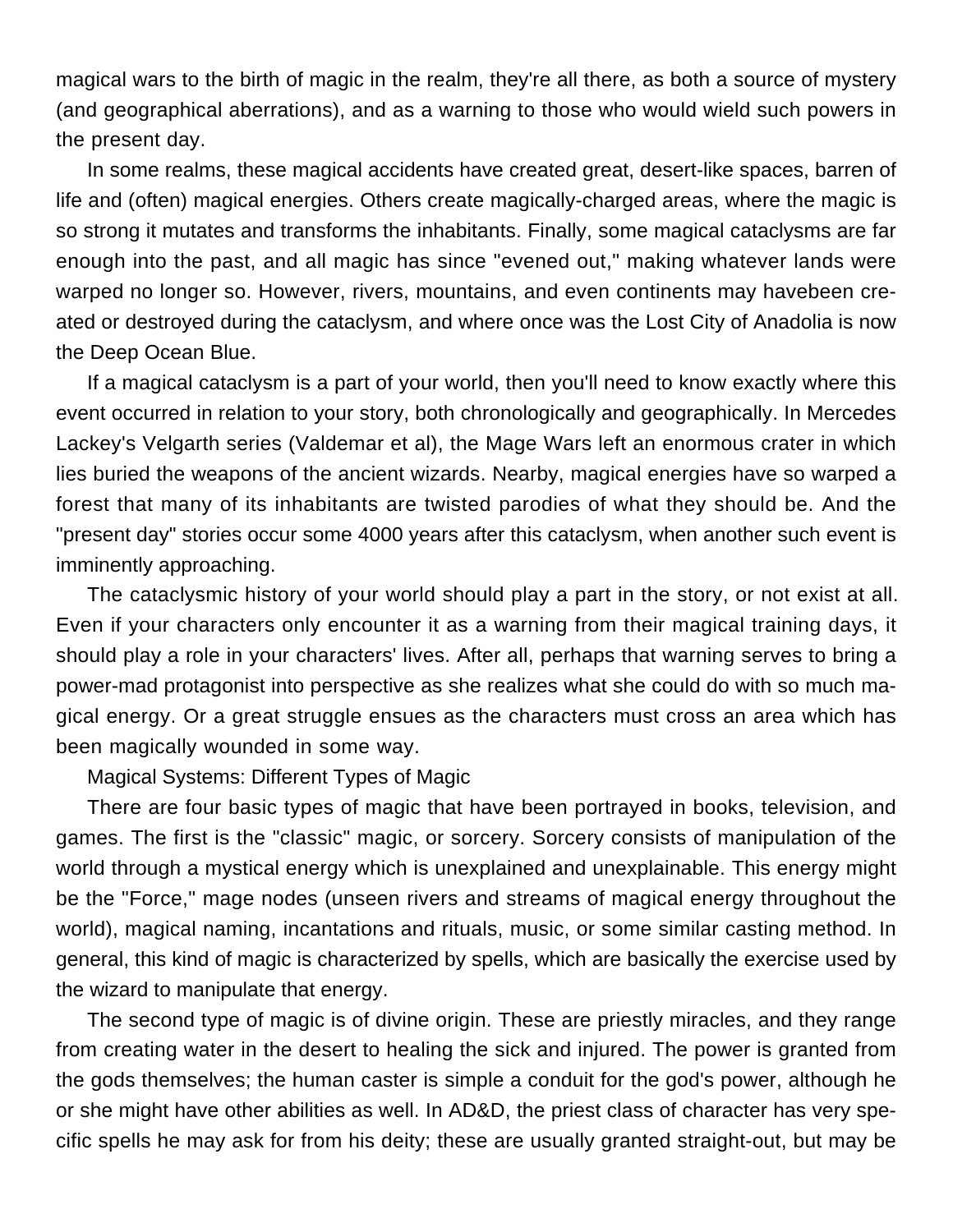magical wars to the birth of magic in the realm, they're all there, as both a source of mystery (and geographical aberrations), and as a warning to those who would wield such powers in the present day.

In some realms, these magical accidents have created great, desert-like spaces, barren of life and (often) magical energies. Others create magically-charged areas, where the magic is so strong it mutates and transforms the inhabitants. Finally, some magical cataclysms are far enough into the past, and all magic has since "evened out," making whatever lands were warped no longer so. However, rivers, mountains, and even continents may havebeen created or destroyed during the cataclysm, and where once was the Lost City of Anadolia is now the Deep Ocean Blue.

If a magical cataclysm is a part of your world, then you'll need to know exactly where this event occurred in relation to your story, both chronologically and geographically. In Mercedes Lackey's Velgarth series (Valdemar et al), the Mage Wars left an enormous crater in which lies buried the weapons of the ancient wizards. Nearby, magical energies have so warped a forest that many of its inhabitants are twisted parodies of what they should be. And the "present day" stories occur some 4000 years after this cataclysm, when another such event is imminently approaching.

The cataclysmic history of your world should play a part in the story, or not exist at all. Even if your characters only encounter it as a warning from their magical training days, it should play a role in your characters' lives. After all, perhaps that warning serves to bring a power-mad protagonist into perspective as she realizes what she could do with so much magical energy. Or a great struggle ensues as the characters must cross an area which has been magically wounded in some way.

Magical Systems: Different Types of Magic

There are four basic types of magic that have been portrayed in books, television, and games. The first is the "classic" magic, or sorcery. Sorcery consists of manipulation of the world through a mystical energy which is unexplained and unexplainable. This energy might be the "Force," mage nodes (unseen rivers and streams of magical energy throughout the world), magical naming, incantations and rituals, music, or some similar casting method. In general, this kind of magic is characterized by spells, which are basically the exercise used by the wizard to manipulate that energy.

The second type of magic is of divine origin. These are priestly miracles, and they range from creating water in the desert to healing the sick and injured. The power is granted from the gods themselves; the human caster is simple a conduit for the god's power, although he or she might have other abilities as well. In AD&D, the priest class of character has very specific spells he may ask for from his deity; these are usually granted straight-out, but may be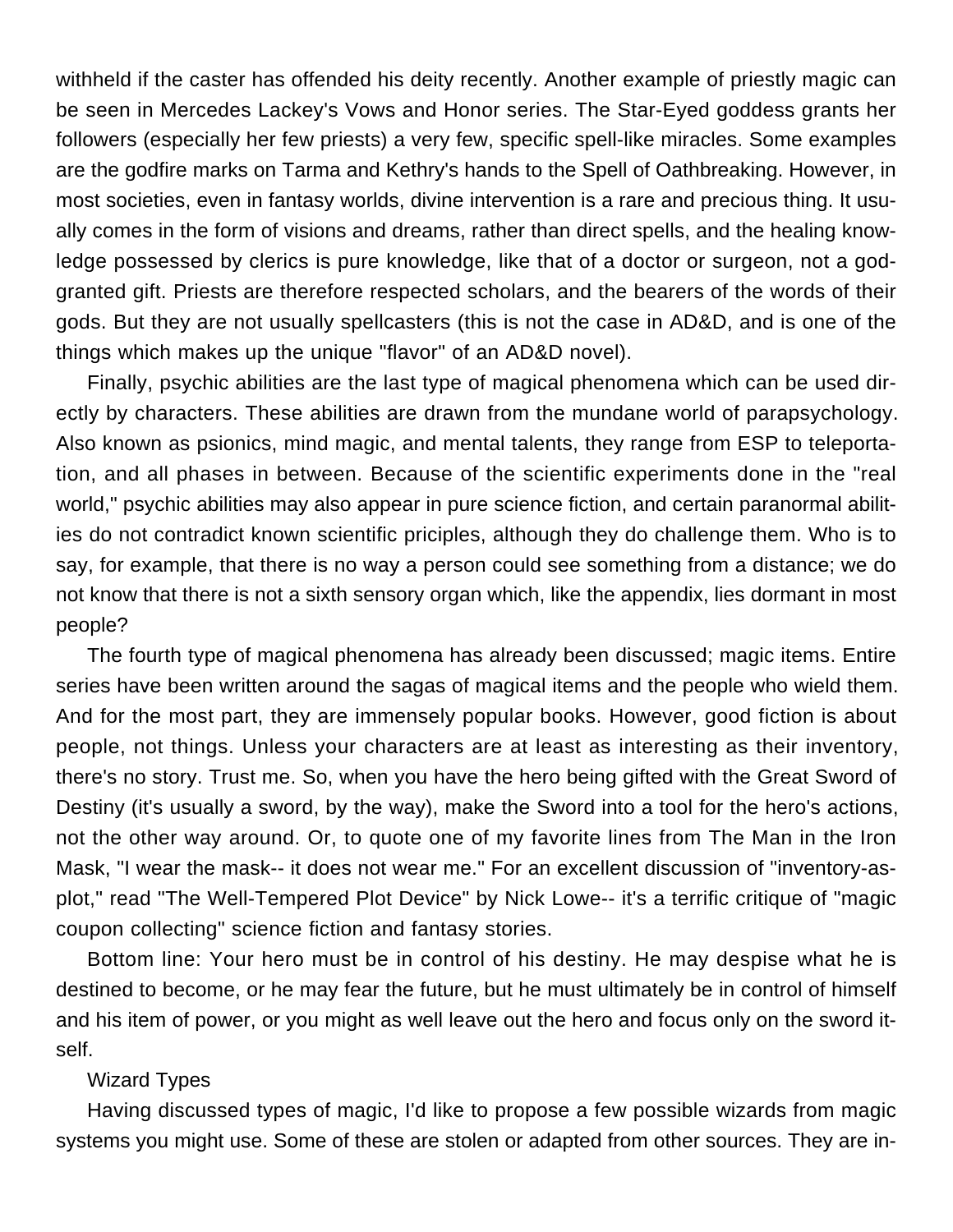withheld if the caster has offended his deity recently. Another example of priestly magic can be seen in Mercedes Lackey's Vows and Honor series. The Star-Eyed goddess grants her followers (especially her few priests) a very few, specific spell-like miracles. Some examples are the godfire marks on Tarma and Kethry's hands to the Spell of Oathbreaking. However, in most societies, even in fantasy worlds, divine intervention is a rare and precious thing. It usually comes in the form of visions and dreams, rather than direct spells, and the healing knowledge possessed by clerics is pure knowledge, like that of a doctor or surgeon, not a godgranted gift. Priests are therefore respected scholars, and the bearers of the words of their gods. But they are not usually spellcasters (this is not the case in AD&D, and is one of the things which makes up the unique "flavor" of an AD&D novel).

Finally, psychic abilities are the last type of magical phenomena which can be used directly by characters. These abilities are drawn from the mundane world of parapsychology. Also known as psionics, mind magic, and mental talents, they range from ESP to teleportation, and all phases in between. Because of the scientific experiments done in the "real world," psychic abilities may also appear in pure science fiction, and certain paranormal abilities do not contradict known scientific priciples, although they do challenge them. Who is to say, for example, that there is no way a person could see something from a distance; we do not know that there is not a sixth sensory organ which, like the appendix, lies dormant in most people?

The fourth type of magical phenomena has already been discussed; magic items. Entire series have been written around the sagas of magical items and the people who wield them. And for the most part, they are immensely popular books. However, good fiction is about people, not things. Unless your characters are at least as interesting as their inventory, there's no story. Trust me. So, when you have the hero being gifted with the Great Sword of Destiny (it's usually a sword, by the way), make the Sword into a tool for the hero's actions, not the other way around. Or, to quote one of my favorite lines from The Man in the Iron Mask, "I wear the mask-- it does not wear me." For an excellent discussion of "inventory-asplot," read "The Well-Tempered Plot Device" by Nick Lowe-- it's a terrific critique of "magic coupon collecting" science fiction and fantasy stories.

Bottom line: Your hero must be in control of his destiny. He may despise what he is destined to become, or he may fear the future, but he must ultimately be in control of himself and his item of power, or you might as well leave out the hero and focus only on the sword itself.

#### Wizard Types

Having discussed types of magic, I'd like to propose a few possible wizards from magic systems you might use. Some of these are stolen or adapted from other sources. They are in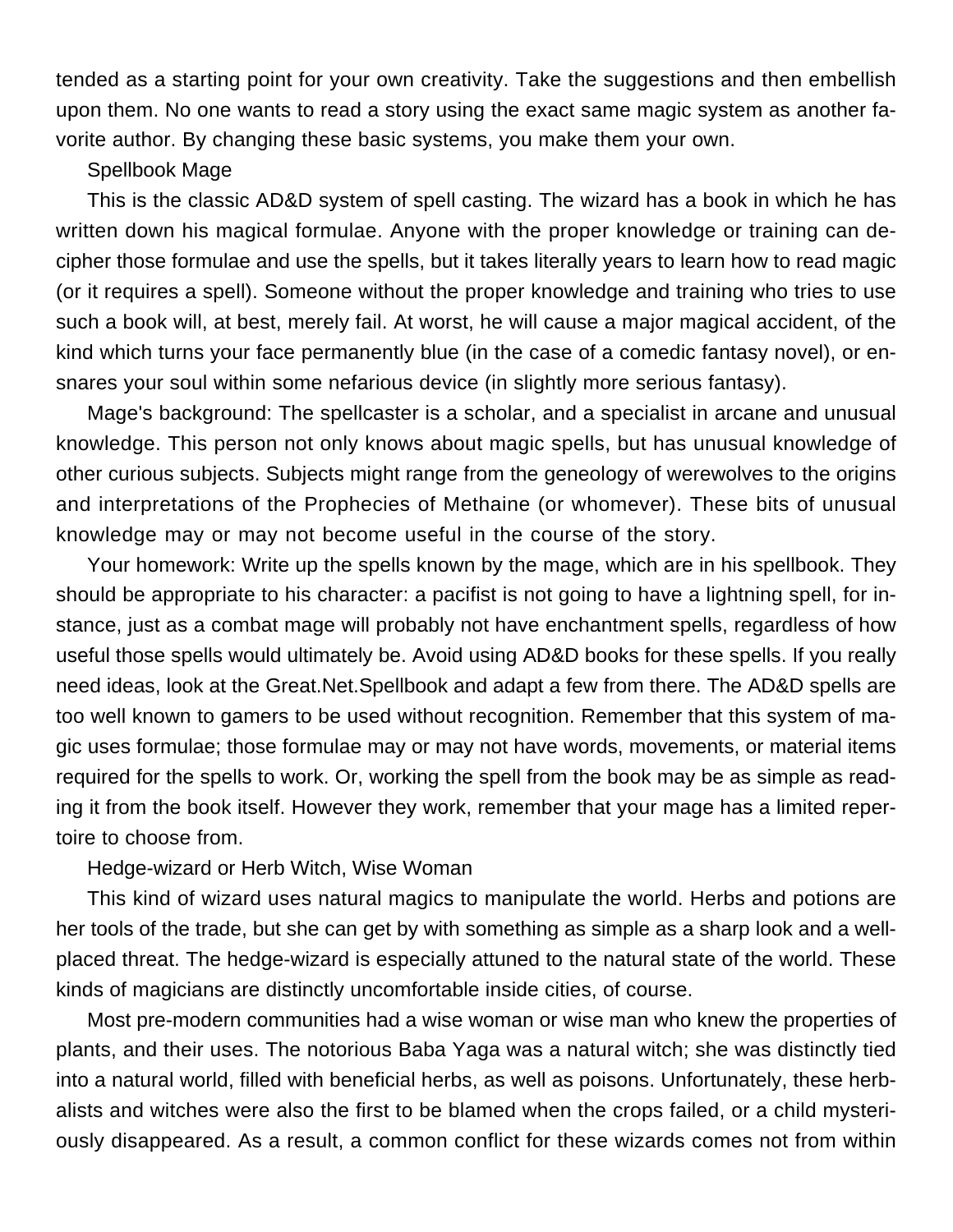tended as a starting point for your own creativity. Take the suggestions and then embellish upon them. No one wants to read a story using the exact same magic system as another favorite author. By changing these basic systems, you make them your own.

#### Spellbook Mage

This is the classic AD&D system of spell casting. The wizard has a book in which he has written down his magical formulae. Anyone with the proper knowledge or training can decipher those formulae and use the spells, but it takes literally years to learn how to read magic (or it requires a spell). Someone without the proper knowledge and training who tries to use such a book will, at best, merely fail. At worst, he will cause a major magical accident, of the kind which turns your face permanently blue (in the case of a comedic fantasy novel), or ensnares your soul within some nefarious device (in slightly more serious fantasy).

Mage's background: The spellcaster is a scholar, and a specialist in arcane and unusual knowledge. This person not only knows about magic spells, but has unusual knowledge of other curious subjects. Subjects might range from the geneology of werewolves to the origins and interpretations of the Prophecies of Methaine (or whomever). These bits of unusual knowledge may or may not become useful in the course of the story.

Your homework: Write up the spells known by the mage, which are in his spellbook. They should be appropriate to his character: a pacifist is not going to have a lightning spell, for instance, just as a combat mage will probably not have enchantment spells, regardless of how useful those spells would ultimately be. Avoid using AD&D books for these spells. If you really need ideas, look at the Great.Net.Spellbook and adapt a few from there. The AD&D spells are too well known to gamers to be used without recognition. Remember that this system of magic uses formulae; those formulae may or may not have words, movements, or material items required for the spells to work. Or, working the spell from the book may be as simple as reading it from the book itself. However they work, remember that your mage has a limited repertoire to choose from.

#### Hedge-wizard or Herb Witch, Wise Woman

This kind of wizard uses natural magics to manipulate the world. Herbs and potions are her tools of the trade, but she can get by with something as simple as a sharp look and a wellplaced threat. The hedge-wizard is especially attuned to the natural state of the world. These kinds of magicians are distinctly uncomfortable inside cities, of course.

Most pre-modern communities had a wise woman or wise man who knew the properties of plants, and their uses. The notorious Baba Yaga was a natural witch; she was distinctly tied into a natural world, filled with beneficial herbs, as well as poisons. Unfortunately, these herbalists and witches were also the first to be blamed when the crops failed, or a child mysteriously disappeared. As a result, a common conflict for these wizards comes not from within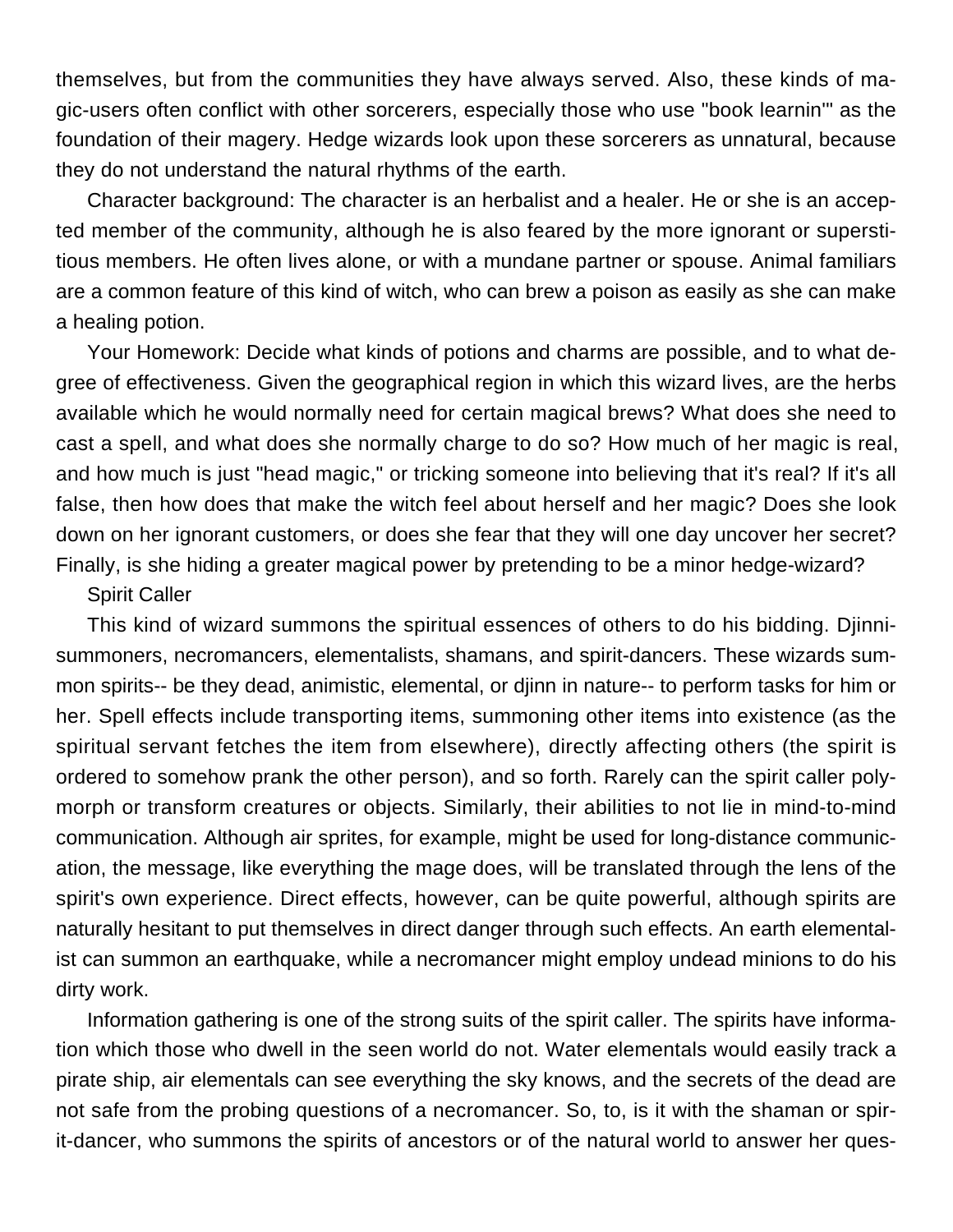themselves, but from the communities they have always served. Also, these kinds of magic-users often conflict with other sorcerers, especially those who use "book learnin'" as the foundation of their magery. Hedge wizards look upon these sorcerers as unnatural, because they do not understand the natural rhythms of the earth.

Character background: The character is an herbalist and a healer. He or she is an accepted member of the community, although he is also feared by the more ignorant or superstitious members. He often lives alone, or with a mundane partner or spouse. Animal familiars are a common feature of this kind of witch, who can brew a poison as easily as she can make a healing potion.

Your Homework: Decide what kinds of potions and charms are possible, and to what degree of effectiveness. Given the geographical region in which this wizard lives, are the herbs available which he would normally need for certain magical brews? What does she need to cast a spell, and what does she normally charge to do so? How much of her magic is real, and how much is just "head magic," or tricking someone into believing that it's real? If it's all false, then how does that make the witch feel about herself and her magic? Does she look down on her ignorant customers, or does she fear that they will one day uncover her secret? Finally, is she hiding a greater magical power by pretending to be a minor hedge-wizard?

#### Spirit Caller

This kind of wizard summons the spiritual essences of others to do his bidding. Djinnisummoners, necromancers, elementalists, shamans, and spirit-dancers. These wizards summon spirits-- be they dead, animistic, elemental, or djinn in nature-- to perform tasks for him or her. Spell effects include transporting items, summoning other items into existence (as the spiritual servant fetches the item from elsewhere), directly affecting others (the spirit is ordered to somehow prank the other person), and so forth. Rarely can the spirit caller polymorph or transform creatures or objects. Similarly, their abilities to not lie in mind-to-mind communication. Although air sprites, for example, might be used for long-distance communication, the message, like everything the mage does, will be translated through the lens of the spirit's own experience. Direct effects, however, can be quite powerful, although spirits are naturally hesitant to put themselves in direct danger through such effects. An earth elementalist can summon an earthquake, while a necromancer might employ undead minions to do his dirty work.

Information gathering is one of the strong suits of the spirit caller. The spirits have information which those who dwell in the seen world do not. Water elementals would easily track a pirate ship, air elementals can see everything the sky knows, and the secrets of the dead are not safe from the probing questions of a necromancer. So, to, is it with the shaman or spirit-dancer, who summons the spirits of ancestors or of the natural world to answer her ques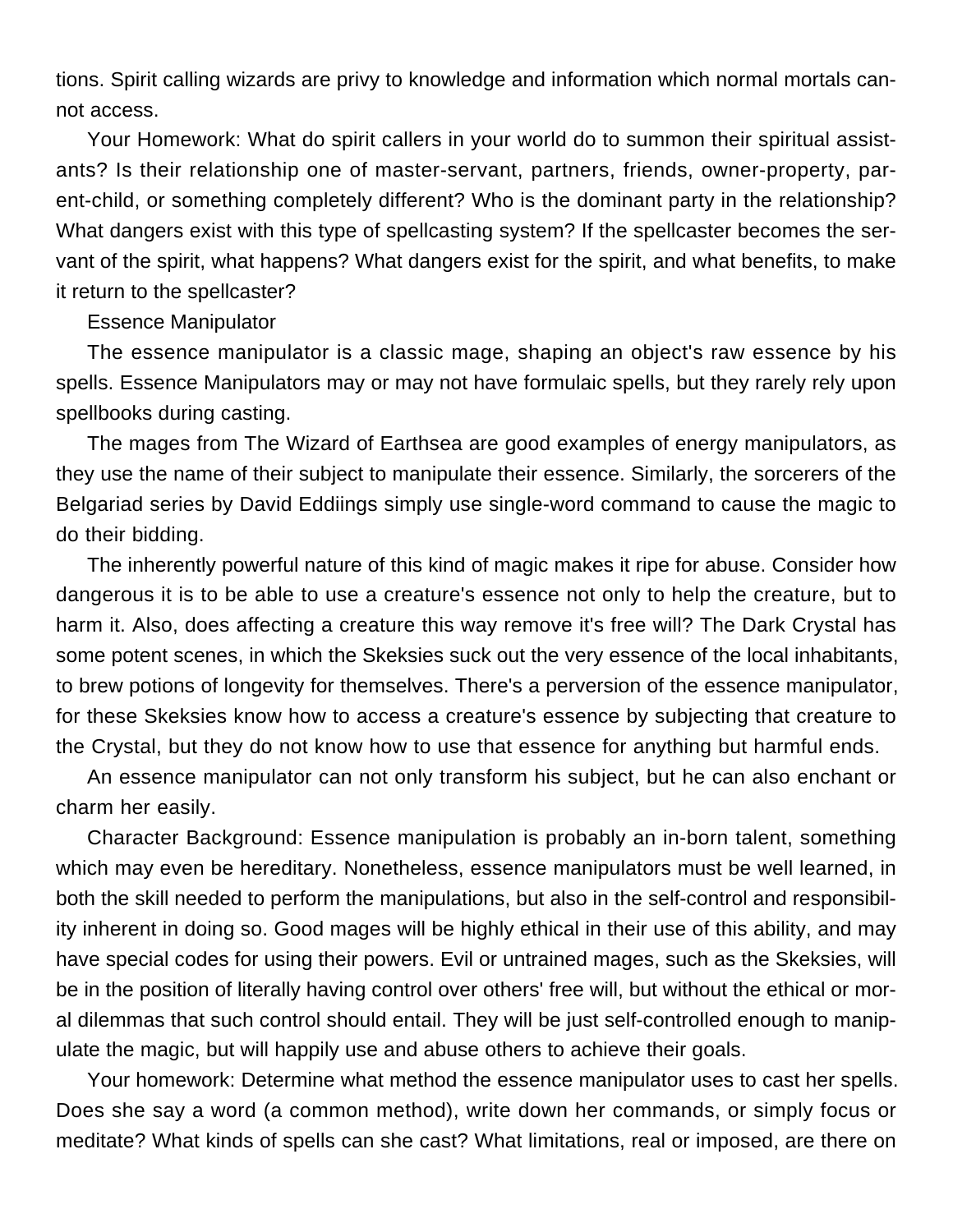tions. Spirit calling wizards are privy to knowledge and information which normal mortals cannot access.

Your Homework: What do spirit callers in your world do to summon their spiritual assistants? Is their relationship one of master-servant, partners, friends, owner-property, parent-child, or something completely different? Who is the dominant party in the relationship? What dangers exist with this type of spellcasting system? If the spellcaster becomes the servant of the spirit, what happens? What dangers exist for the spirit, and what benefits, to make it return to the spellcaster?

Essence Manipulator

The essence manipulator is a classic mage, shaping an object's raw essence by his spells. Essence Manipulators may or may not have formulaic spells, but they rarely rely upon spellbooks during casting.

The mages from The Wizard of Earthsea are good examples of energy manipulators, as they use the name of their subject to manipulate their essence. Similarly, the sorcerers of the Belgariad series by David Eddiings simply use single-word command to cause the magic to do their bidding.

The inherently powerful nature of this kind of magic makes it ripe for abuse. Consider how dangerous it is to be able to use a creature's essence not only to help the creature, but to harm it. Also, does affecting a creature this way remove it's free will? The Dark Crystal has some potent scenes, in which the Skeksies suck out the very essence of the local inhabitants, to brew potions of longevity for themselves. There's a perversion of the essence manipulator, for these Skeksies know how to access a creature's essence by subjecting that creature to the Crystal, but they do not know how to use that essence for anything but harmful ends.

An essence manipulator can not only transform his subject, but he can also enchant or charm her easily.

Character Background: Essence manipulation is probably an in-born talent, something which may even be hereditary. Nonetheless, essence manipulators must be well learned, in both the skill needed to perform the manipulations, but also in the self-control and responsibility inherent in doing so. Good mages will be highly ethical in their use of this ability, and may have special codes for using their powers. Evil or untrained mages, such as the Skeksies, will be in the position of literally having control over others' free will, but without the ethical or moral dilemmas that such control should entail. They will be just self-controlled enough to manipulate the magic, but will happily use and abuse others to achieve their goals.

Your homework: Determine what method the essence manipulator uses to cast her spells. Does she say a word (a common method), write down her commands, or simply focus or meditate? What kinds of spells can she cast? What limitations, real or imposed, are there on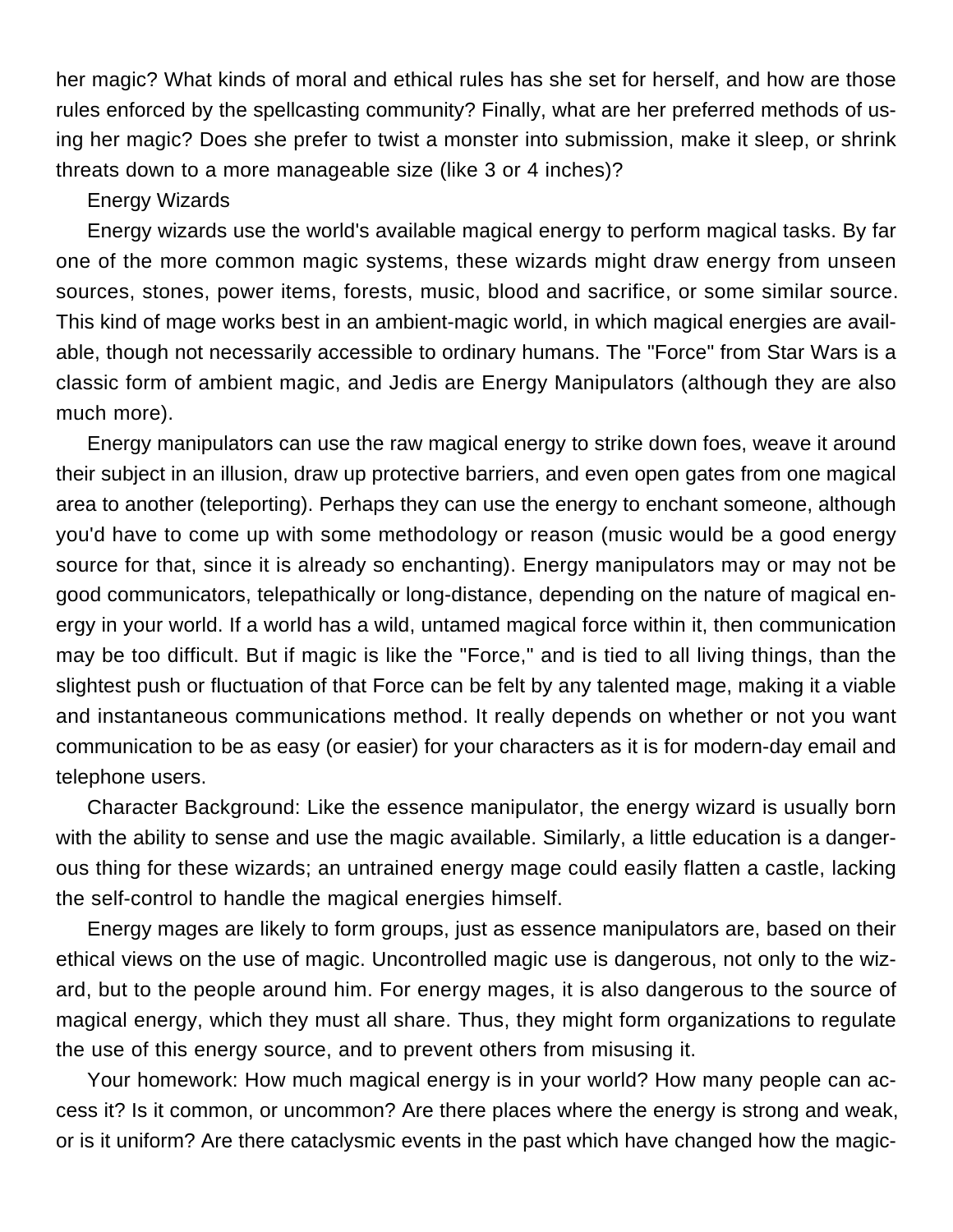her magic? What kinds of moral and ethical rules has she set for herself, and how are those rules enforced by the spellcasting community? Finally, what are her preferred methods of using her magic? Does she prefer to twist a monster into submission, make it sleep, or shrink threats down to a more manageable size (like 3 or 4 inches)?

#### Energy Wizards

Energy wizards use the world's available magical energy to perform magical tasks. By far one of the more common magic systems, these wizards might draw energy from unseen sources, stones, power items, forests, music, blood and sacrifice, or some similar source. This kind of mage works best in an ambient-magic world, in which magical energies are available, though not necessarily accessible to ordinary humans. The "Force" from Star Wars is a classic form of ambient magic, and Jedis are Energy Manipulators (although they are also much more).

Energy manipulators can use the raw magical energy to strike down foes, weave it around their subject in an illusion, draw up protective barriers, and even open gates from one magical area to another (teleporting). Perhaps they can use the energy to enchant someone, although you'd have to come up with some methodology or reason (music would be a good energy source for that, since it is already so enchanting). Energy manipulators may or may not be good communicators, telepathically or long-distance, depending on the nature of magical energy in your world. If a world has a wild, untamed magical force within it, then communication may be too difficult. But if magic is like the "Force," and is tied to all living things, than the slightest push or fluctuation of that Force can be felt by any talented mage, making it a viable and instantaneous communications method. It really depends on whether or not you want communication to be as easy (or easier) for your characters as it is for modern-day email and telephone users.

Character Background: Like the essence manipulator, the energy wizard is usually born with the ability to sense and use the magic available. Similarly, a little education is a dangerous thing for these wizards; an untrained energy mage could easily flatten a castle, lacking the self-control to handle the magical energies himself.

Energy mages are likely to form groups, just as essence manipulators are, based on their ethical views on the use of magic. Uncontrolled magic use is dangerous, not only to the wizard, but to the people around him. For energy mages, it is also dangerous to the source of magical energy, which they must all share. Thus, they might form organizations to regulate the use of this energy source, and to prevent others from misusing it.

Your homework: How much magical energy is in your world? How many people can access it? Is it common, or uncommon? Are there places where the energy is strong and weak, or is it uniform? Are there cataclysmic events in the past which have changed how the magic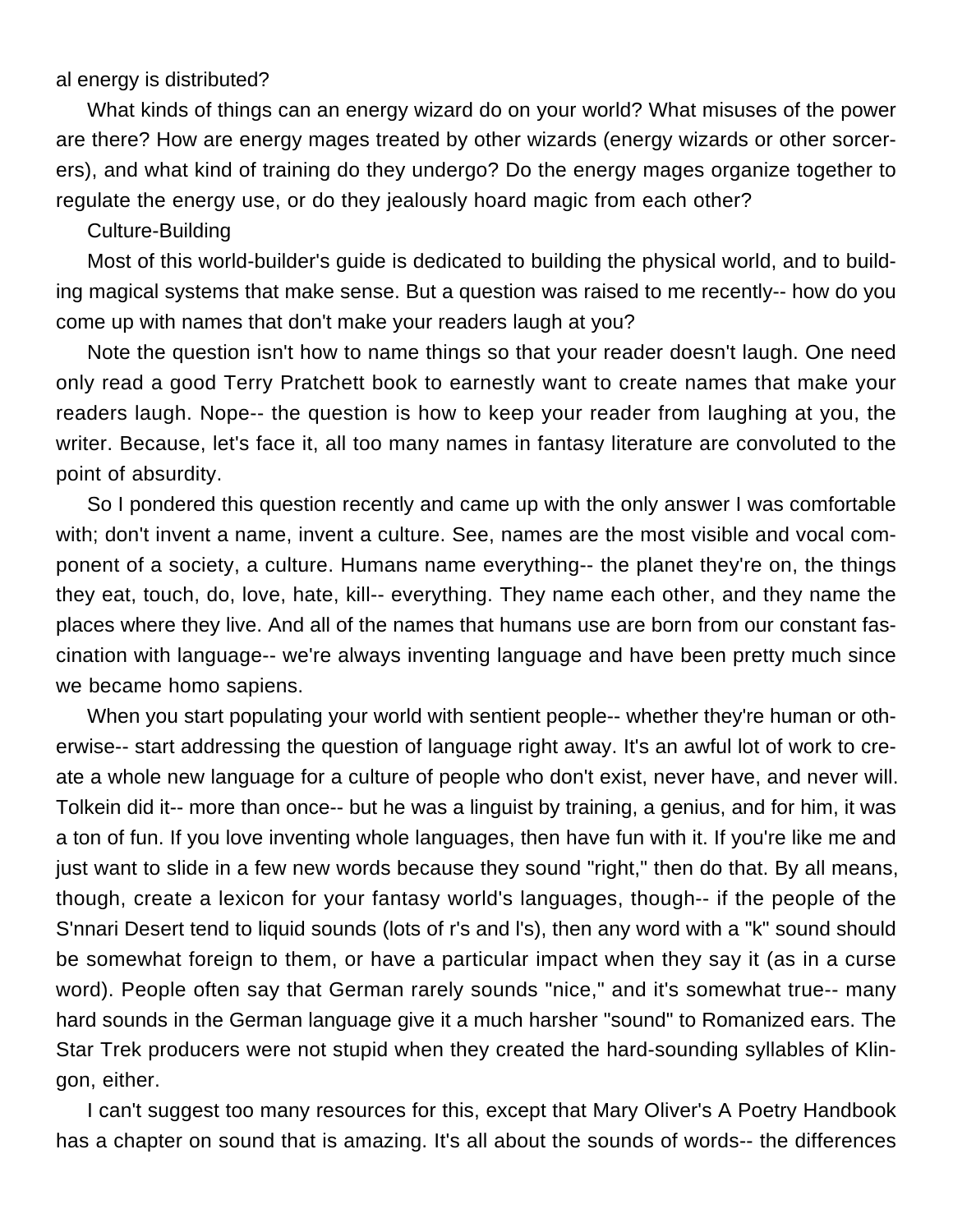al energy is distributed?

What kinds of things can an energy wizard do on your world? What misuses of the power are there? How are energy mages treated by other wizards (energy wizards or other sorcerers), and what kind of training do they undergo? Do the energy mages organize together to regulate the energy use, or do they jealously hoard magic from each other?

Culture-Building

Most of this world-builder's guide is dedicated to building the physical world, and to building magical systems that make sense. But a question was raised to me recently-- how do you come up with names that don't make your readers laugh at you?

Note the question isn't how to name things so that your reader doesn't laugh. One need only read a good Terry Pratchett book to earnestly want to create names that make your readers laugh. Nope-- the question is how to keep your reader from laughing at you, the writer. Because, let's face it, all too many names in fantasy literature are convoluted to the point of absurdity.

So I pondered this question recently and came up with the only answer I was comfortable with; don't invent a name, invent a culture. See, names are the most visible and vocal component of a society, a culture. Humans name everything-- the planet they're on, the things they eat, touch, do, love, hate, kill-- everything. They name each other, and they name the places where they live. And all of the names that humans use are born from our constant fascination with language-- we're always inventing language and have been pretty much since we became homo sapiens.

When you start populating your world with sentient people-- whether they're human or otherwise-- start addressing the question of language right away. It's an awful lot of work to create a whole new language for a culture of people who don't exist, never have, and never will. Tolkein did it-- more than once-- but he was a linguist by training, a genius, and for him, it was a ton of fun. If you love inventing whole languages, then have fun with it. If you're like me and just want to slide in a few new words because they sound "right," then do that. By all means, though, create a lexicon for your fantasy world's languages, though-- if the people of the S'nnari Desert tend to liquid sounds (lots of r's and l's), then any word with a "k" sound should be somewhat foreign to them, or have a particular impact when they say it (as in a curse word). People often say that German rarely sounds "nice," and it's somewhat true-- many hard sounds in the German language give it a much harsher "sound" to Romanized ears. The Star Trek producers were not stupid when they created the hard-sounding syllables of Klingon, either.

I can't suggest too many resources for this, except that Mary Oliver's A Poetry Handbook has a chapter on sound that is amazing. It's all about the sounds of words-- the differences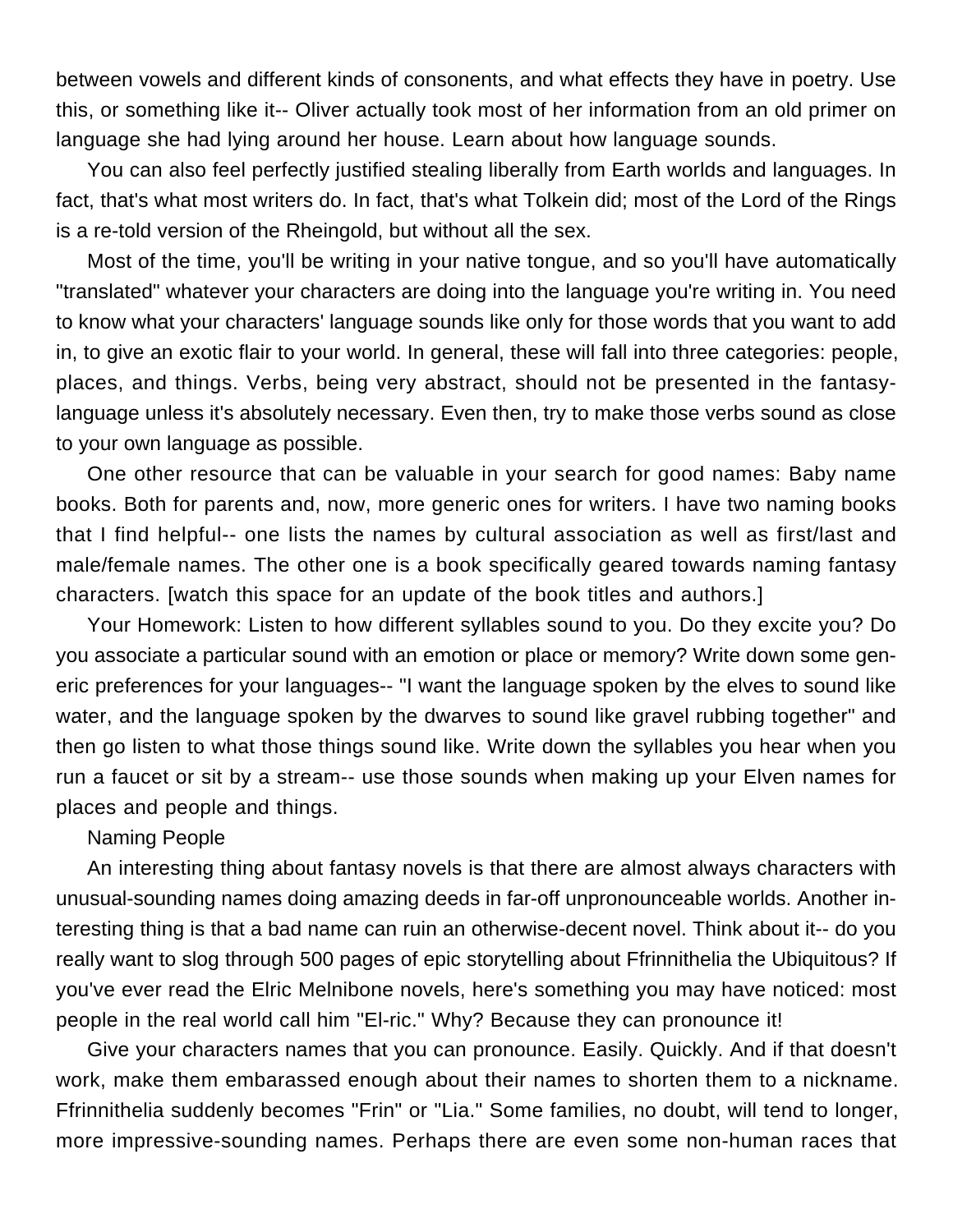between vowels and different kinds of consonents, and what effects they have in poetry. Use this, or something like it-- Oliver actually took most of her information from an old primer on language she had lying around her house. Learn about how language sounds.

You can also feel perfectly justified stealing liberally from Earth worlds and languages. In fact, that's what most writers do. In fact, that's what Tolkein did; most of the Lord of the Rings is a re-told version of the Rheingold, but without all the sex.

Most of the time, you'll be writing in your native tongue, and so you'll have automatically "translated" whatever your characters are doing into the language you're writing in. You need to know what your characters' language sounds like only for those words that you want to add in, to give an exotic flair to your world. In general, these will fall into three categories: people, places, and things. Verbs, being very abstract, should not be presented in the fantasylanguage unless it's absolutely necessary. Even then, try to make those verbs sound as close to your own language as possible.

One other resource that can be valuable in your search for good names: Baby name books. Both for parents and, now, more generic ones for writers. I have two naming books that I find helpful-- one lists the names by cultural association as well as first/last and male/female names. The other one is a book specifically geared towards naming fantasy characters. [watch this space for an update of the book titles and authors.]

Your Homework: Listen to how different syllables sound to you. Do they excite you? Do you associate a particular sound with an emotion or place or memory? Write down some generic preferences for your languages-- "I want the language spoken by the elves to sound like water, and the language spoken by the dwarves to sound like gravel rubbing together" and then go listen to what those things sound like. Write down the syllables you hear when you run a faucet or sit by a stream-- use those sounds when making up your Elven names for places and people and things.

Naming People

An interesting thing about fantasy novels is that there are almost always characters with unusual-sounding names doing amazing deeds in far-off unpronounceable worlds. Another interesting thing is that a bad name can ruin an otherwise-decent novel. Think about it-- do you really want to slog through 500 pages of epic storytelling about Ffrinnithelia the Ubiquitous? If you've ever read the Elric Melnibone novels, here's something you may have noticed: most people in the real world call him "El-ric." Why? Because they can pronounce it!

Give your characters names that you can pronounce. Easily. Quickly. And if that doesn't work, make them embarassed enough about their names to shorten them to a nickname. Ffrinnithelia suddenly becomes "Frin" or "Lia." Some families, no doubt, will tend to longer, more impressive-sounding names. Perhaps there are even some non-human races that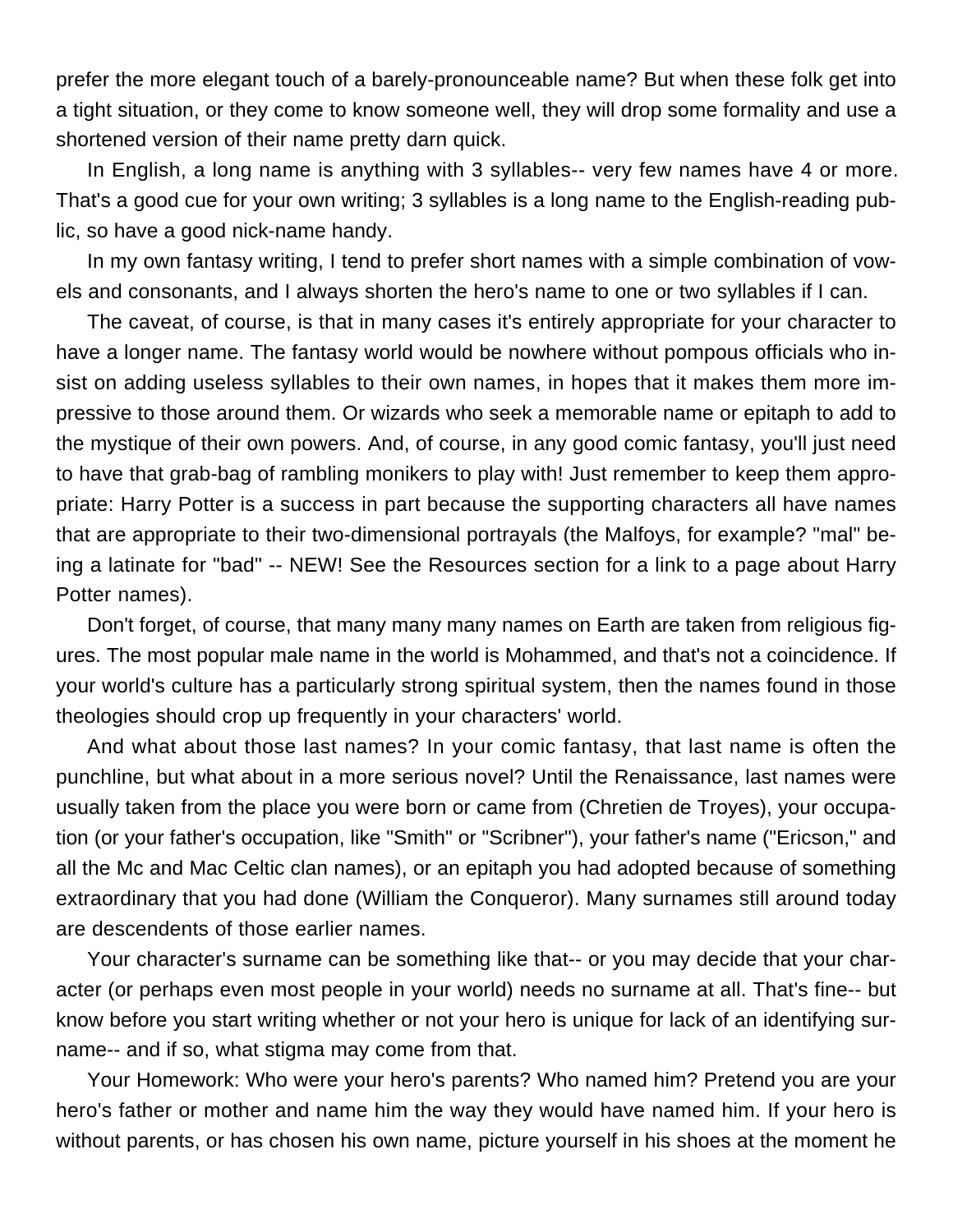prefer the more elegant touch of a barely-pronounceable name? But when these folk get into a tight situation, or they come to know someone well, they will drop some formality and use a shortened version of their name pretty darn quick.

In English, a long name is anything with 3 syllables-- very few names have 4 or more. That's a good cue for your own writing; 3 syllables is a long name to the English-reading public, so have a good nick-name handy.

In my own fantasy writing, I tend to prefer short names with a simple combination of vowels and consonants, and I always shorten the hero's name to one or two syllables if I can.

The caveat, of course, is that in many cases it's entirely appropriate for your character to have a longer name. The fantasy world would be nowhere without pompous officials who insist on adding useless syllables to their own names, in hopes that it makes them more impressive to those around them. Or wizards who seek a memorable name or epitaph to add to the mystique of their own powers. And, of course, in any good comic fantasy, you'll just need to have that grab-bag of rambling monikers to play with! Just remember to keep them appropriate: Harry Potter is a success in part because the supporting characters all have names that are appropriate to their two-dimensional portrayals (the Malfoys, for example? "mal" being a latinate for "bad" -- NEW! See the Resources section for a link to a page about Harry Potter names).

Don't forget, of course, that many many many names on Earth are taken from religious figures. The most popular male name in the world is Mohammed, and that's not a coincidence. If your world's culture has a particularly strong spiritual system, then the names found in those theologies should crop up frequently in your characters' world.

And what about those last names? In your comic fantasy, that last name is often the punchline, but what about in a more serious novel? Until the Renaissance, last names were usually taken from the place you were born or came from (Chretien de Troyes), your occupation (or your father's occupation, like "Smith" or "Scribner"), your father's name ("Ericson," and all the Mc and Mac Celtic clan names), or an epitaph you had adopted because of something extraordinary that you had done (William the Conqueror). Many surnames still around today are descendents of those earlier names.

Your character's surname can be something like that-- or you may decide that your character (or perhaps even most people in your world) needs no surname at all. That's fine-- but know before you start writing whether or not your hero is unique for lack of an identifying surname-- and if so, what stigma may come from that.

Your Homework: Who were your hero's parents? Who named him? Pretend you are your hero's father or mother and name him the way they would have named him. If your hero is without parents, or has chosen his own name, picture yourself in his shoes at the moment he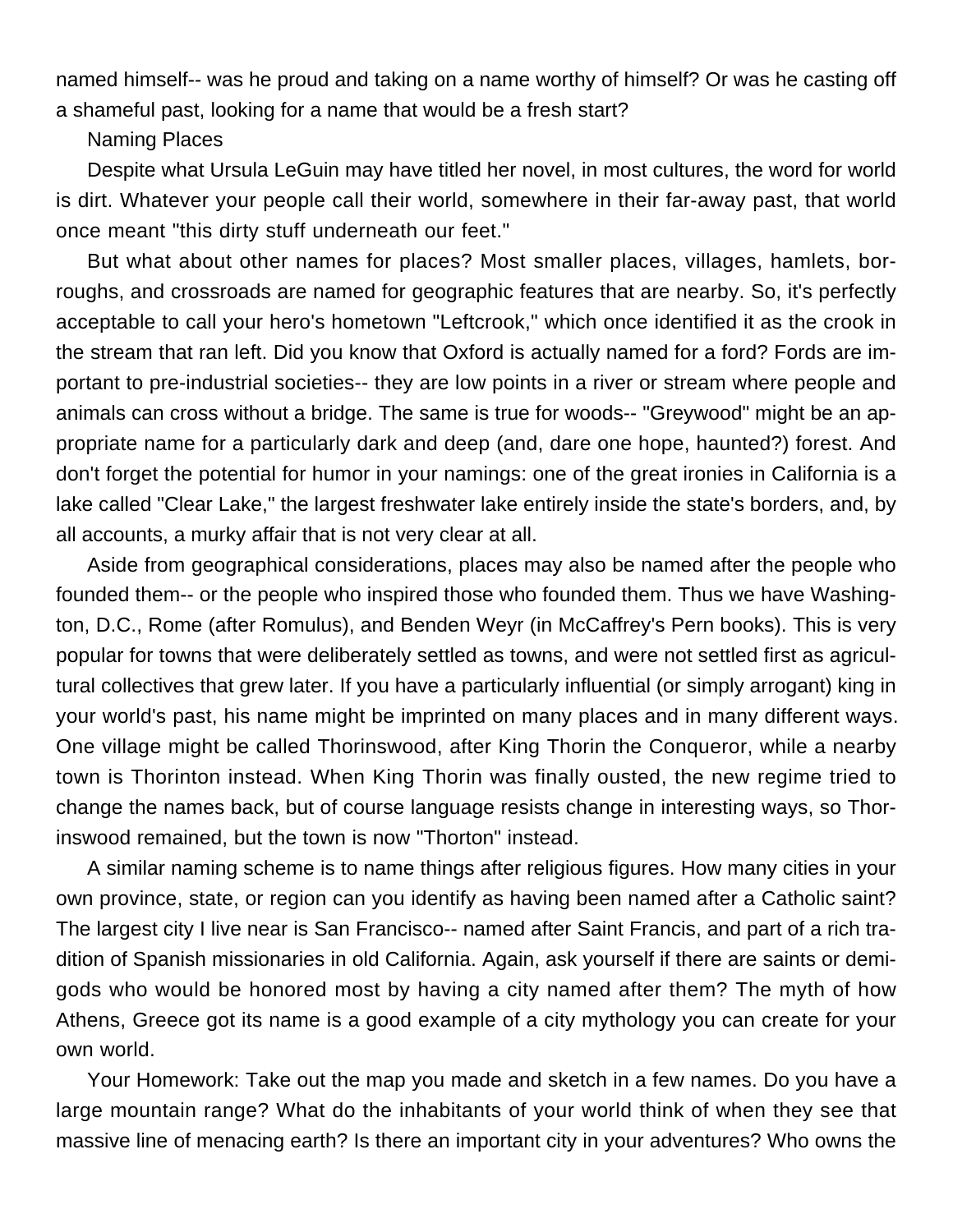named himself-- was he proud and taking on a name worthy of himself? Or was he casting off a shameful past, looking for a name that would be a fresh start?

Naming Places

Despite what Ursula LeGuin may have titled her novel, in most cultures, the word for world is dirt. Whatever your people call their world, somewhere in their far-away past, that world once meant "this dirty stuff underneath our feet."

But what about other names for places? Most smaller places, villages, hamlets, borroughs, and crossroads are named for geographic features that are nearby. So, it's perfectly acceptable to call your hero's hometown "Leftcrook," which once identified it as the crook in the stream that ran left. Did you know that Oxford is actually named for a ford? Fords are important to pre-industrial societies-- they are low points in a river or stream where people and animals can cross without a bridge. The same is true for woods-- "Greywood" might be an appropriate name for a particularly dark and deep (and, dare one hope, haunted?) forest. And don't forget the potential for humor in your namings: one of the great ironies in California is a lake called "Clear Lake," the largest freshwater lake entirely inside the state's borders, and, by all accounts, a murky affair that is not very clear at all.

Aside from geographical considerations, places may also be named after the people who founded them-- or the people who inspired those who founded them. Thus we have Washington, D.C., Rome (after Romulus), and Benden Weyr (in McCaffrey's Pern books). This is very popular for towns that were deliberately settled as towns, and were not settled first as agricultural collectives that grew later. If you have a particularly influential (or simply arrogant) king in your world's past, his name might be imprinted on many places and in many different ways. One village might be called Thorinswood, after King Thorin the Conqueror, while a nearby town is Thorinton instead. When King Thorin was finally ousted, the new regime tried to change the names back, but of course language resists change in interesting ways, so Thorinswood remained, but the town is now "Thorton" instead.

A similar naming scheme is to name things after religious figures. How many cities in your own province, state, or region can you identify as having been named after a Catholic saint? The largest city I live near is San Francisco-- named after Saint Francis, and part of a rich tradition of Spanish missionaries in old California. Again, ask yourself if there are saints or demigods who would be honored most by having a city named after them? The myth of how Athens, Greece got its name is a good example of a city mythology you can create for your own world.

Your Homework: Take out the map you made and sketch in a few names. Do you have a large mountain range? What do the inhabitants of your world think of when they see that massive line of menacing earth? Is there an important city in your adventures? Who owns the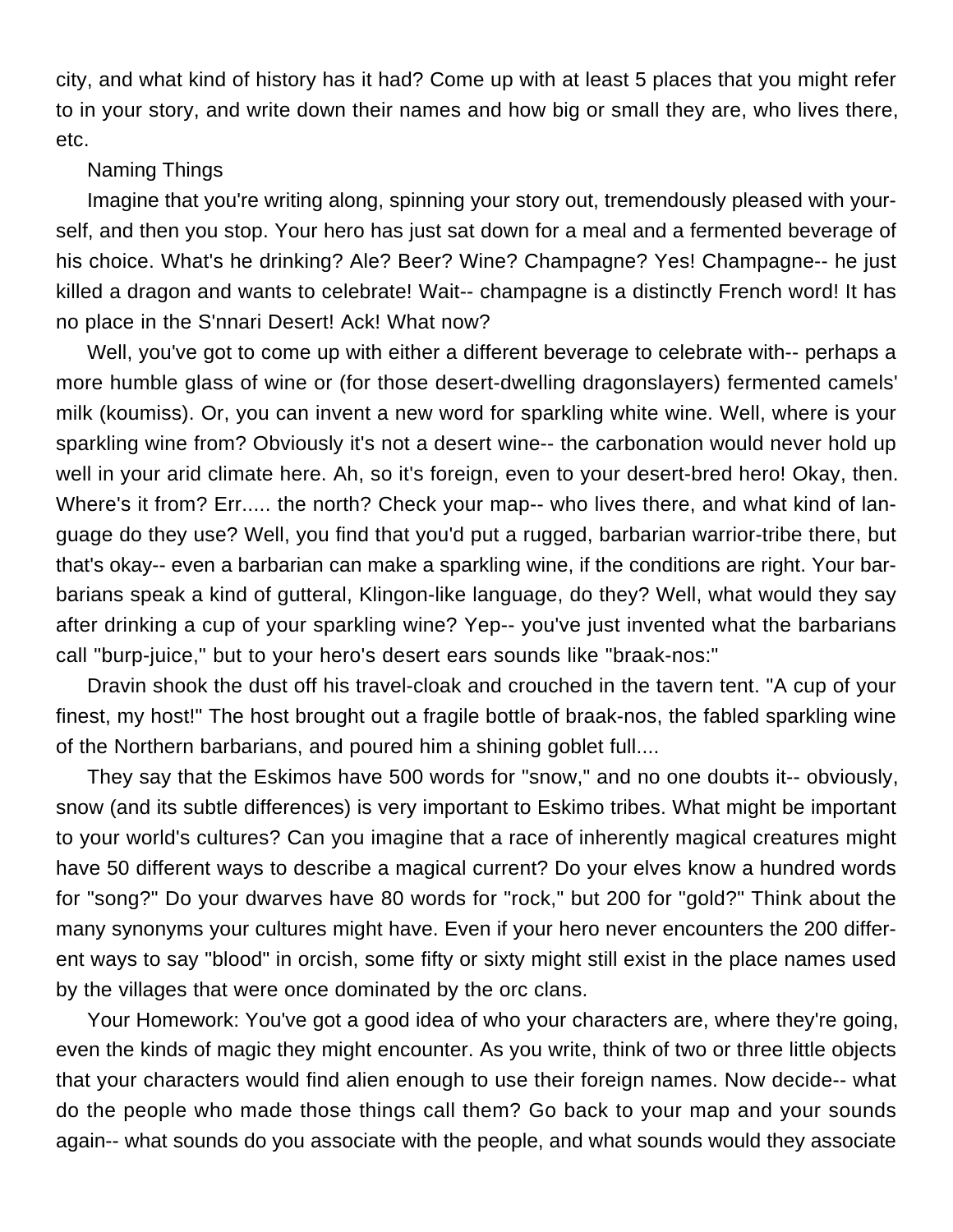city, and what kind of history has it had? Come up with at least 5 places that you might refer to in your story, and write down their names and how big or small they are, who lives there, etc.

#### Naming Things

Imagine that you're writing along, spinning your story out, tremendously pleased with yourself, and then you stop. Your hero has just sat down for a meal and a fermented beverage of his choice. What's he drinking? Ale? Beer? Wine? Champagne? Yes! Champagne-- he just killed a dragon and wants to celebrate! Wait-- champagne is a distinctly French word! It has no place in the S'nnari Desert! Ack! What now?

Well, you've got to come up with either a different beverage to celebrate with-- perhaps a more humble glass of wine or (for those desert-dwelling dragonslayers) fermented camels' milk (koumiss). Or, you can invent a new word for sparkling white wine. Well, where is your sparkling wine from? Obviously it's not a desert wine-- the carbonation would never hold up well in your arid climate here. Ah, so it's foreign, even to your desert-bred hero! Okay, then. Where's it from? Err..... the north? Check your map-- who lives there, and what kind of language do they use? Well, you find that you'd put a rugged, barbarian warrior-tribe there, but that's okay-- even a barbarian can make a sparkling wine, if the conditions are right. Your barbarians speak a kind of gutteral, Klingon-like language, do they? Well, what would they say after drinking a cup of your sparkling wine? Yep-- you've just invented what the barbarians call "burp-juice," but to your hero's desert ears sounds like "braak-nos:"

Dravin shook the dust off his travel-cloak and crouched in the tavern tent. "A cup of your finest, my host!" The host brought out a fragile bottle of braak-nos, the fabled sparkling wine of the Northern barbarians, and poured him a shining goblet full....

They say that the Eskimos have 500 words for "snow," and no one doubts it-- obviously, snow (and its subtle differences) is very important to Eskimo tribes. What might be important to your world's cultures? Can you imagine that a race of inherently magical creatures might have 50 different ways to describe a magical current? Do your elves know a hundred words for "song?" Do your dwarves have 80 words for "rock," but 200 for "gold?" Think about the many synonyms your cultures might have. Even if your hero never encounters the 200 different ways to say "blood" in orcish, some fifty or sixty might still exist in the place names used by the villages that were once dominated by the orc clans.

Your Homework: You've got a good idea of who your characters are, where they're going, even the kinds of magic they might encounter. As you write, think of two or three little objects that your characters would find alien enough to use their foreign names. Now decide-- what do the people who made those things call them? Go back to your map and your sounds again-- what sounds do you associate with the people, and what sounds would they associate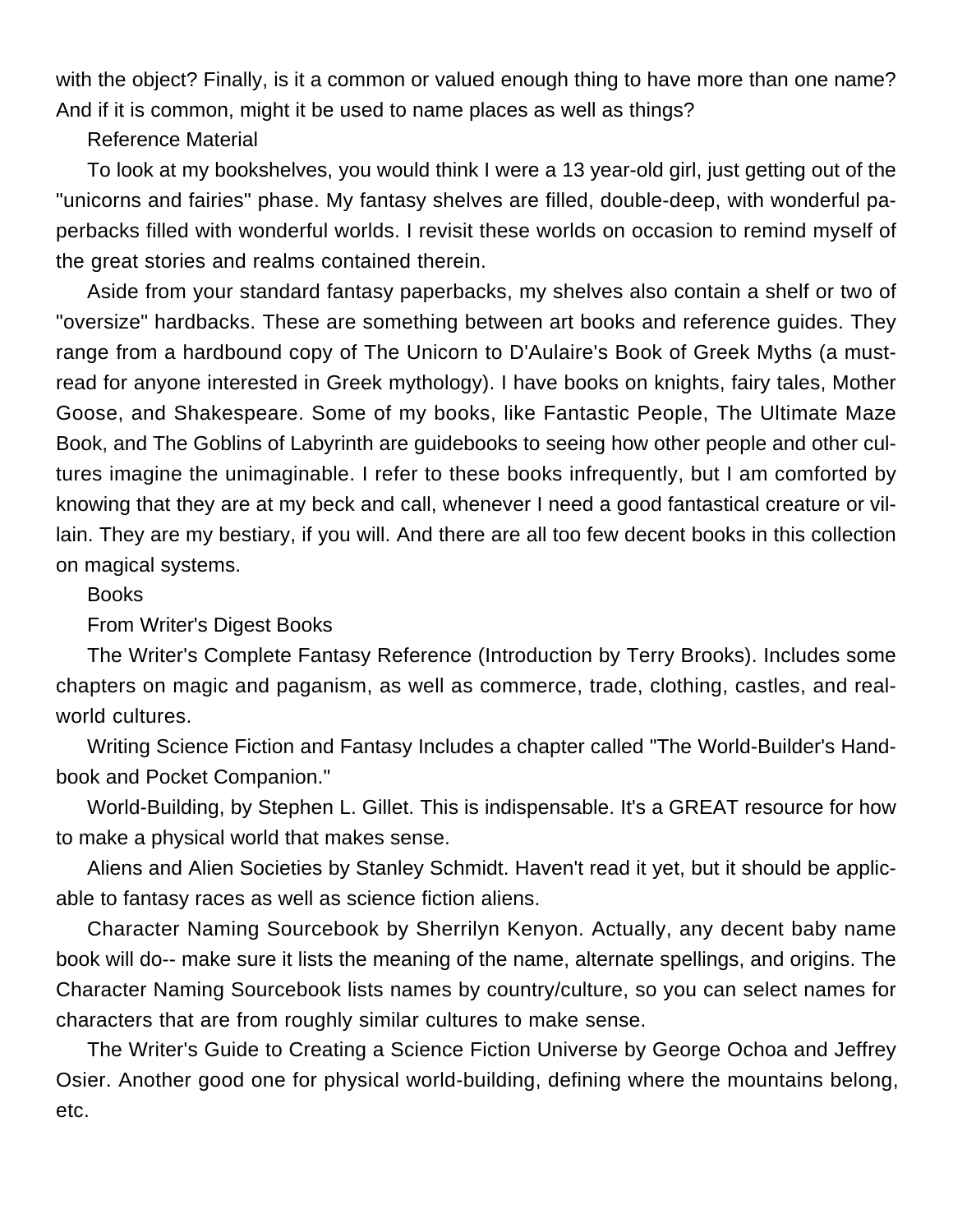with the object? Finally, is it a common or valued enough thing to have more than one name? And if it is common, might it be used to name places as well as things?

Reference Material

To look at my bookshelves, you would think I were a 13 year-old girl, just getting out of the "unicorns and fairies" phase. My fantasy shelves are filled, double-deep, with wonderful paperbacks filled with wonderful worlds. I revisit these worlds on occasion to remind myself of the great stories and realms contained therein.

Aside from your standard fantasy paperbacks, my shelves also contain a shelf or two of "oversize" hardbacks. These are something between art books and reference guides. They range from a hardbound copy of The Unicorn to D'Aulaire's Book of Greek Myths (a mustread for anyone interested in Greek mythology). I have books on knights, fairy tales, Mother Goose, and Shakespeare. Some of my books, like Fantastic People, The Ultimate Maze Book, and The Goblins of Labyrinth are guidebooks to seeing how other people and other cultures imagine the unimaginable. I refer to these books infrequently, but I am comforted by knowing that they are at my beck and call, whenever I need a good fantastical creature or villain. They are my bestiary, if you will. And there are all too few decent books in this collection on magical systems.

**Books** 

From Writer's Digest Books

The Writer's Complete Fantasy Reference (Introduction by Terry Brooks). Includes some chapters on magic and paganism, as well as commerce, trade, clothing, castles, and realworld cultures.

Writing Science Fiction and Fantasy Includes a chapter called "The World-Builder's Handbook and Pocket Companion."

World-Building, by Stephen L. Gillet. This is indispensable. It's a GREAT resource for how to make a physical world that makes sense.

Aliens and Alien Societies by Stanley Schmidt. Haven't read it yet, but it should be applicable to fantasy races as well as science fiction aliens.

Character Naming Sourcebook by Sherrilyn Kenyon. Actually, any decent baby name book will do-- make sure it lists the meaning of the name, alternate spellings, and origins. The Character Naming Sourcebook lists names by country/culture, so you can select names for characters that are from roughly similar cultures to make sense.

The Writer's Guide to Creating a Science Fiction Universe by George Ochoa and Jeffrey Osier. Another good one for physical world-building, defining where the mountains belong, etc.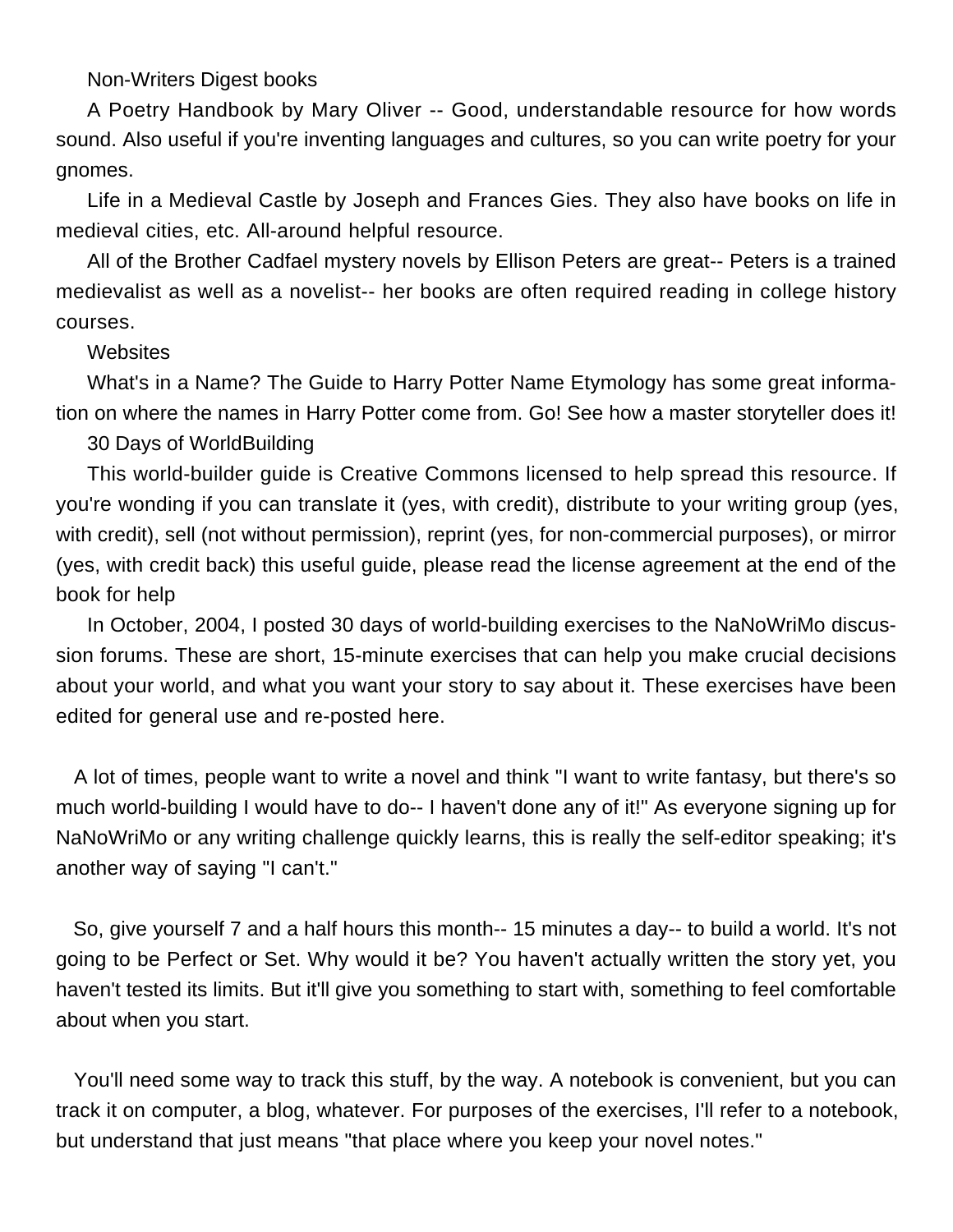Non-Writers Digest books

A Poetry Handbook by Mary Oliver -- Good, understandable resource for how words sound. Also useful if you're inventing languages and cultures, so you can write poetry for your gnomes.

Life in a Medieval Castle by Joseph and Frances Gies. They also have books on life in medieval cities, etc. All-around helpful resource.

All of the Brother Cadfael mystery novels by Ellison Peters are great-- Peters is a trained medievalist as well as a novelist-- her books are often required reading in college history courses.

**Websites** 

What's in a Name? The Guide to Harry Potter Name Etymology has some great information on where the names in Harry Potter come from. Go! See how a master storyteller does it!

30 Days of WorldBuilding

This world-builder guide is Creative Commons licensed to help spread this resource. If you're wonding if you can translate it (yes, with credit), distribute to your writing group (yes, with credit), sell (not without permission), reprint (yes, for non-commercial purposes), or mirror (yes, with credit back) this useful guide, please read the license agreement at the end of the book for help

In October, 2004, I posted 30 days of world-building exercises to the NaNoWriMo discussion forums. These are short, 15-minute exercises that can help you make crucial decisions about your world, and what you want your story to say about it. These exercises have been edited for general use and re-posted here.

 A lot of times, people want to write a novel and think "I want to write fantasy, but there's so much world-building I would have to do-- I haven't done any of it!" As everyone signing up for NaNoWriMo or any writing challenge quickly learns, this is really the self-editor speaking; it's another way of saying "I can't."

 So, give yourself 7 and a half hours this month-- 15 minutes a day-- to build a world. It's not going to be Perfect or Set. Why would it be? You haven't actually written the story yet, you haven't tested its limits. But it'll give you something to start with, something to feel comfortable about when you start.

 You'll need some way to track this stuff, by the way. A notebook is convenient, but you can track it on computer, a blog, whatever. For purposes of the exercises, I'll refer to a notebook, but understand that just means "that place where you keep your novel notes."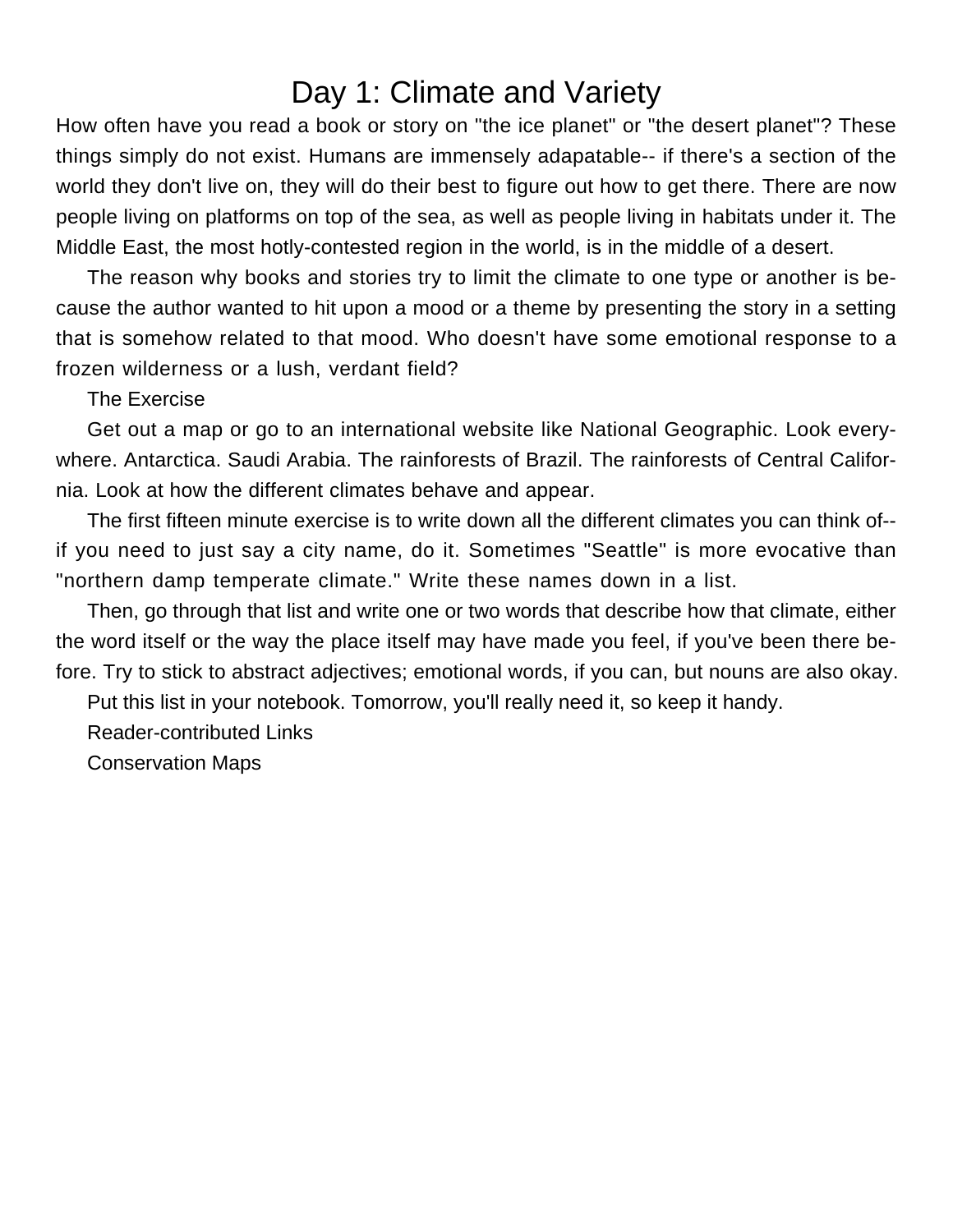# Day 1: Climate and Variety

How often have you read a book or story on "the ice planet" or "the desert planet"? These things simply do not exist. Humans are immensely adapatable-- if there's a section of the world they don't live on, they will do their best to figure out how to get there. There are now people living on platforms on top of the sea, as well as people living in habitats under it. The Middle East, the most hotly-contested region in the world, is in the middle of a desert.

The reason why books and stories try to limit the climate to one type or another is because the author wanted to hit upon a mood or a theme by presenting the story in a setting that is somehow related to that mood. Who doesn't have some emotional response to a frozen wilderness or a lush, verdant field?

The Exercise

Get out a map or go to an international website like National Geographic. Look everywhere. Antarctica. Saudi Arabia. The rainforests of Brazil. The rainforests of Central California. Look at how the different climates behave and appear.

The first fifteen minute exercise is to write down all the different climates you can think of- if you need to just say a city name, do it. Sometimes "Seattle" is more evocative than "northern damp temperate climate." Write these names down in a list.

Then, go through that list and write one or two words that describe how that climate, either the word itself or the way the place itself may have made you feel, if you've been there before. Try to stick to abstract adjectives; emotional words, if you can, but nouns are also okay.

Put this list in your notebook. Tomorrow, you'll really need it, so keep it handy.

Reader-contributed Links

Conservation Maps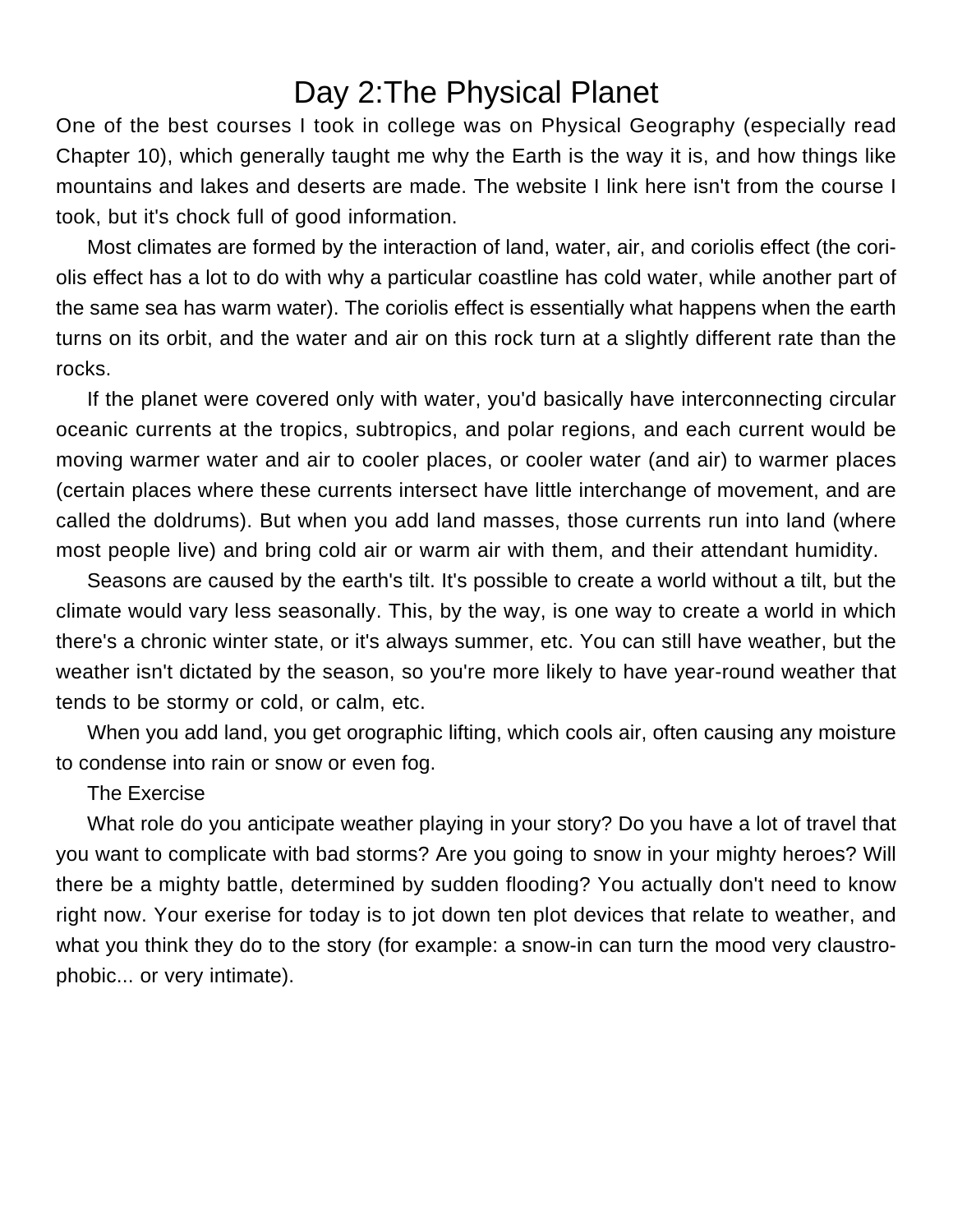### Day 2:The Physical Planet

One of the best courses I took in college was on Physical Geography (especially read Chapter 10), which generally taught me why the Earth is the way it is, and how things like mountains and lakes and deserts are made. The website I link here isn't from the course I took, but it's chock full of good information.

Most climates are formed by the interaction of land, water, air, and coriolis effect (the coriolis effect has a lot to do with why a particular coastline has cold water, while another part of the same sea has warm water). The coriolis effect is essentially what happens when the earth turns on its orbit, and the water and air on this rock turn at a slightly different rate than the rocks.

If the planet were covered only with water, you'd basically have interconnecting circular oceanic currents at the tropics, subtropics, and polar regions, and each current would be moving warmer water and air to cooler places, or cooler water (and air) to warmer places (certain places where these currents intersect have little interchange of movement, and are called the doldrums). But when you add land masses, those currents run into land (where most people live) and bring cold air or warm air with them, and their attendant humidity.

Seasons are caused by the earth's tilt. It's possible to create a world without a tilt, but the climate would vary less seasonally. This, by the way, is one way to create a world in which there's a chronic winter state, or it's always summer, etc. You can still have weather, but the weather isn't dictated by the season, so you're more likely to have year-round weather that tends to be stormy or cold, or calm, etc.

When you add land, you get orographic lifting, which cools air, often causing any moisture to condense into rain or snow or even fog.

#### The Exercise

What role do you anticipate weather playing in your story? Do you have a lot of travel that you want to complicate with bad storms? Are you going to snow in your mighty heroes? Will there be a mighty battle, determined by sudden flooding? You actually don't need to know right now. Your exerise for today is to jot down ten plot devices that relate to weather, and what you think they do to the story (for example: a snow-in can turn the mood very claustrophobic... or very intimate).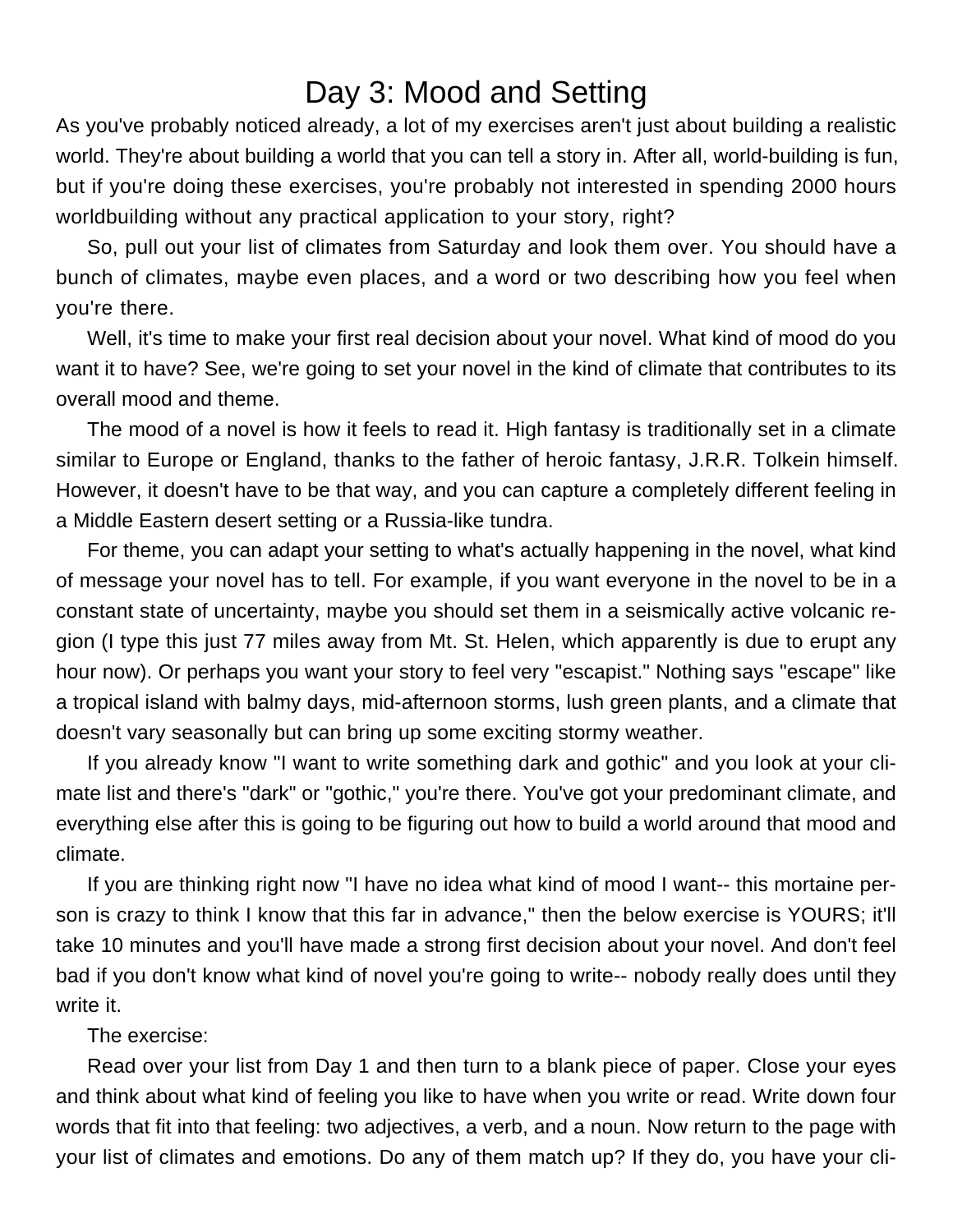### Day 3: Mood and Setting

As you've probably noticed already, a lot of my exercises aren't just about building a realistic world. They're about building a world that you can tell a story in. After all, world-building is fun, but if you're doing these exercises, you're probably not interested in spending 2000 hours worldbuilding without any practical application to your story, right?

So, pull out your list of climates from Saturday and look them over. You should have a bunch of climates, maybe even places, and a word or two describing how you feel when you're there.

Well, it's time to make your first real decision about your novel. What kind of mood do you want it to have? See, we're going to set your novel in the kind of climate that contributes to its overall mood and theme.

The mood of a novel is how it feels to read it. High fantasy is traditionally set in a climate similar to Europe or England, thanks to the father of heroic fantasy, J.R.R. Tolkein himself. However, it doesn't have to be that way, and you can capture a completely different feeling in a Middle Eastern desert setting or a Russia-like tundra.

For theme, you can adapt your setting to what's actually happening in the novel, what kind of message your novel has to tell. For example, if you want everyone in the novel to be in a constant state of uncertainty, maybe you should set them in a seismically active volcanic region (I type this just 77 miles away from Mt. St. Helen, which apparently is due to erupt any hour now). Or perhaps you want your story to feel very "escapist." Nothing says "escape" like a tropical island with balmy days, mid-afternoon storms, lush green plants, and a climate that doesn't vary seasonally but can bring up some exciting stormy weather.

If you already know "I want to write something dark and gothic" and you look at your climate list and there's "dark" or "gothic," you're there. You've got your predominant climate, and everything else after this is going to be figuring out how to build a world around that mood and climate.

If you are thinking right now "I have no idea what kind of mood I want-- this mortaine person is crazy to think I know that this far in advance," then the below exercise is YOURS; it'll take 10 minutes and you'll have made a strong first decision about your novel. And don't feel bad if you don't know what kind of novel you're going to write-- nobody really does until they write it.

#### The exercise:

Read over your list from Day 1 and then turn to a blank piece of paper. Close your eyes and think about what kind of feeling you like to have when you write or read. Write down four words that fit into that feeling: two adjectives, a verb, and a noun. Now return to the page with your list of climates and emotions. Do any of them match up? If they do, you have your cli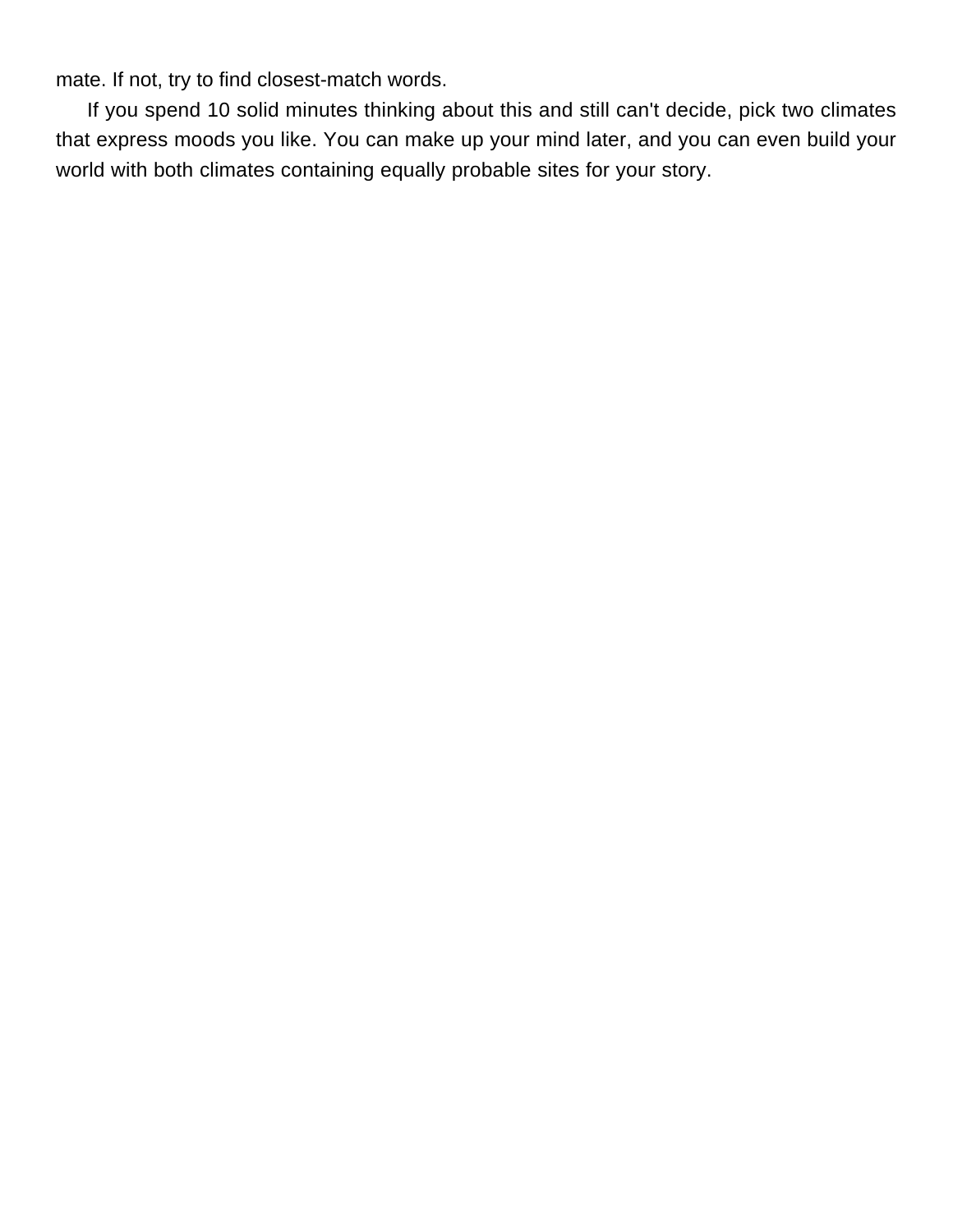mate. If not, try to find closest-match words.

If you spend 10 solid minutes thinking about this and still can't decide, pick two climates that express moods you like. You can make up your mind later, and you can even build your world with both climates containing equally probable sites for your story.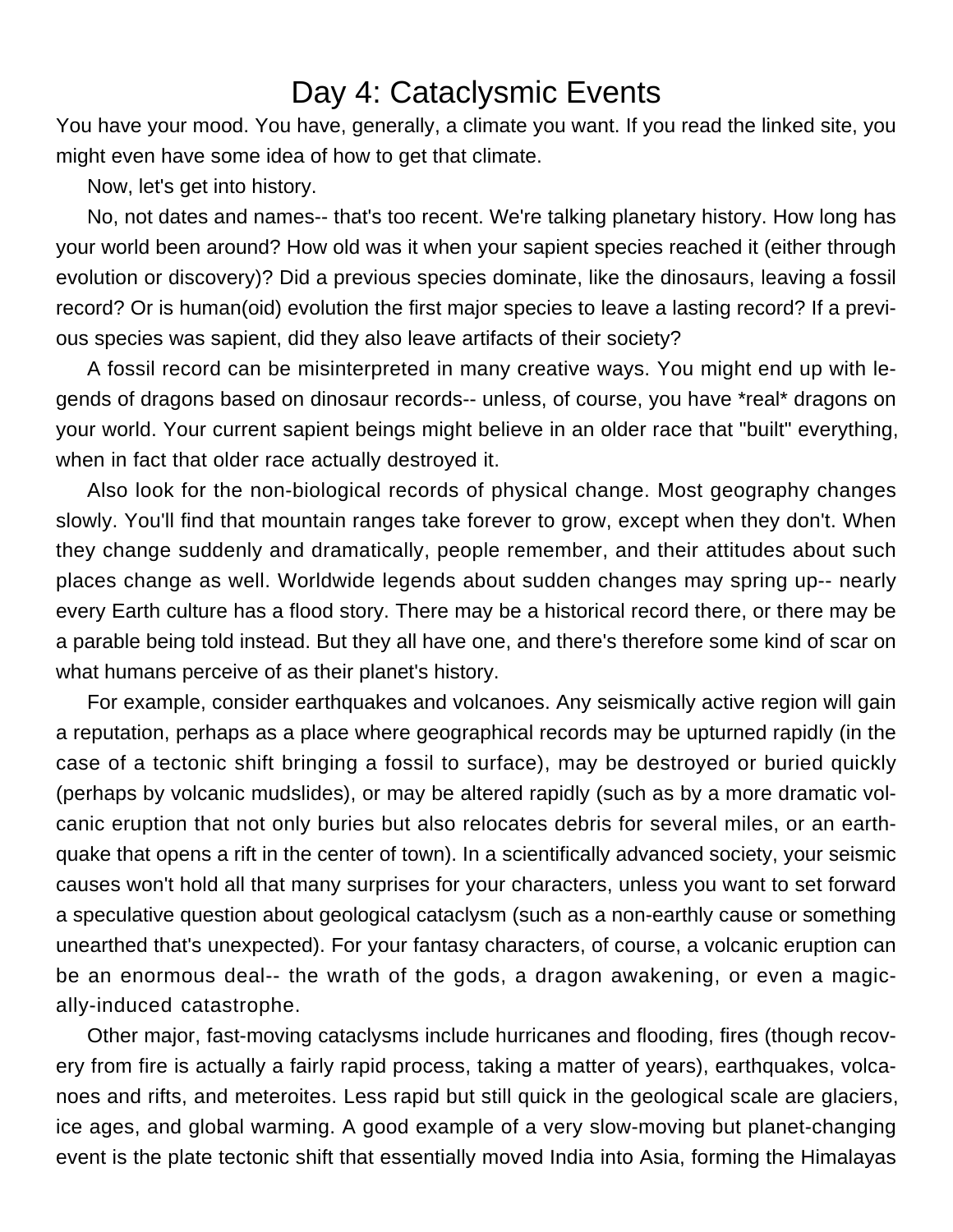### Day 4: Cataclysmic Events

You have your mood. You have, generally, a climate you want. If you read the linked site, you might even have some idea of how to get that climate.

Now, let's get into history.

No, not dates and names-- that's too recent. We're talking planetary history. How long has your world been around? How old was it when your sapient species reached it (either through evolution or discovery)? Did a previous species dominate, like the dinosaurs, leaving a fossil record? Or is human(oid) evolution the first major species to leave a lasting record? If a previous species was sapient, did they also leave artifacts of their society?

A fossil record can be misinterpreted in many creative ways. You might end up with legends of dragons based on dinosaur records-- unless, of course, you have \*real\* dragons on your world. Your current sapient beings might believe in an older race that "built" everything, when in fact that older race actually destroyed it.

Also look for the non-biological records of physical change. Most geography changes slowly. You'll find that mountain ranges take forever to grow, except when they don't. When they change suddenly and dramatically, people remember, and their attitudes about such places change as well. Worldwide legends about sudden changes may spring up-- nearly every Earth culture has a flood story. There may be a historical record there, or there may be a parable being told instead. But they all have one, and there's therefore some kind of scar on what humans perceive of as their planet's history.

For example, consider earthquakes and volcanoes. Any seismically active region will gain a reputation, perhaps as a place where geographical records may be upturned rapidly (in the case of a tectonic shift bringing a fossil to surface), may be destroyed or buried quickly (perhaps by volcanic mudslides), or may be altered rapidly (such as by a more dramatic volcanic eruption that not only buries but also relocates debris for several miles, or an earthquake that opens a rift in the center of town). In a scientifically advanced society, your seismic causes won't hold all that many surprises for your characters, unless you want to set forward a speculative question about geological cataclysm (such as a non-earthly cause or something unearthed that's unexpected). For your fantasy characters, of course, a volcanic eruption can be an enormous deal-- the wrath of the gods, a dragon awakening, or even a magically-induced catastrophe.

Other major, fast-moving cataclysms include hurricanes and flooding, fires (though recovery from fire is actually a fairly rapid process, taking a matter of years), earthquakes, volcanoes and rifts, and meteroites. Less rapid but still quick in the geological scale are glaciers, ice ages, and global warming. A good example of a very slow-moving but planet-changing event is the plate tectonic shift that essentially moved India into Asia, forming the Himalayas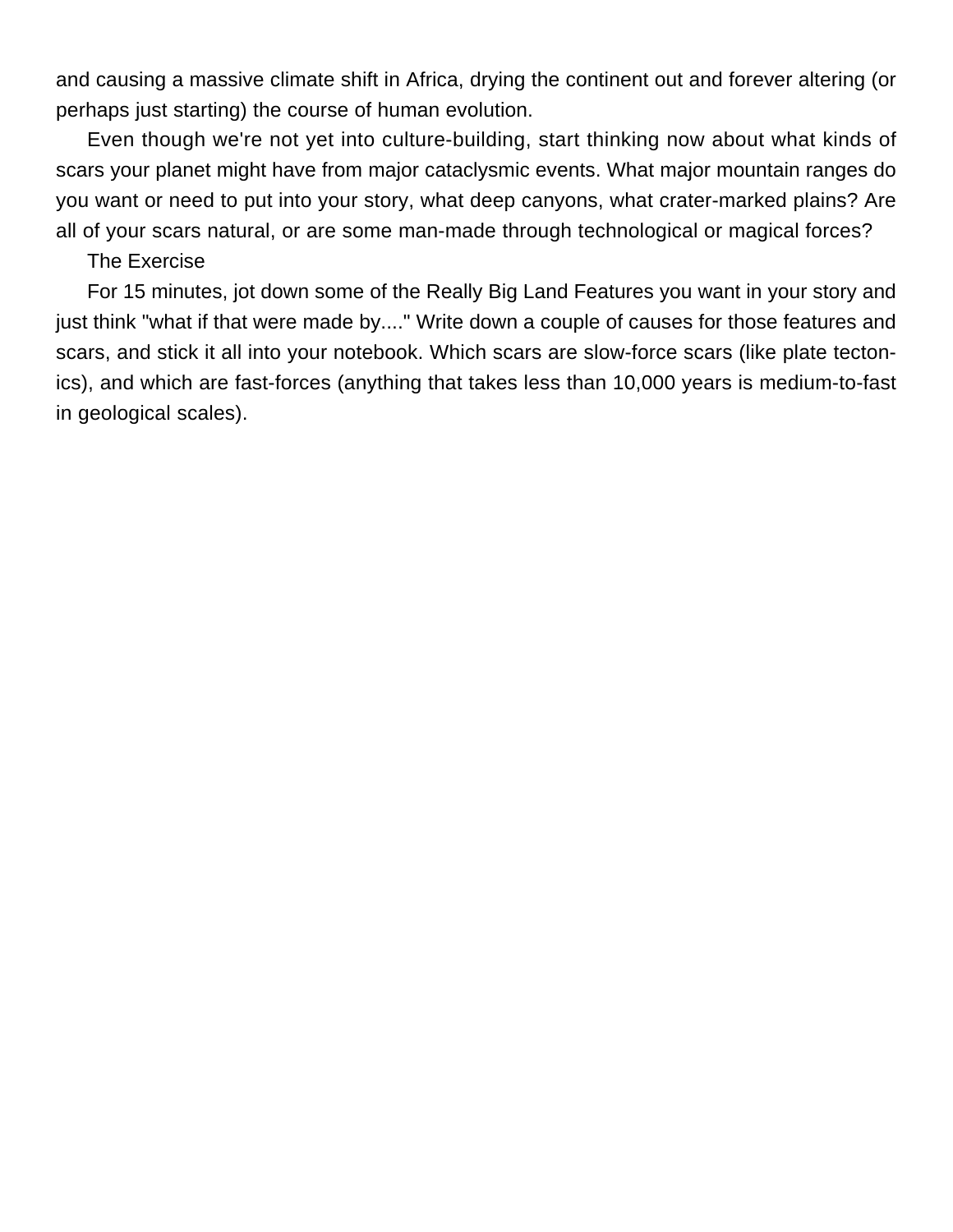and causing a massive climate shift in Africa, drying the continent out and forever altering (or perhaps just starting) the course of human evolution.

Even though we're not yet into culture-building, start thinking now about what kinds of scars your planet might have from major cataclysmic events. What major mountain ranges do you want or need to put into your story, what deep canyons, what crater-marked plains? Are all of your scars natural, or are some man-made through technological or magical forces?

The Exercise

For 15 minutes, jot down some of the Really Big Land Features you want in your story and just think "what if that were made by...." Write down a couple of causes for those features and scars, and stick it all into your notebook. Which scars are slow-force scars (like plate tectonics), and which are fast-forces (anything that takes less than 10,000 years is medium-to-fast in geological scales).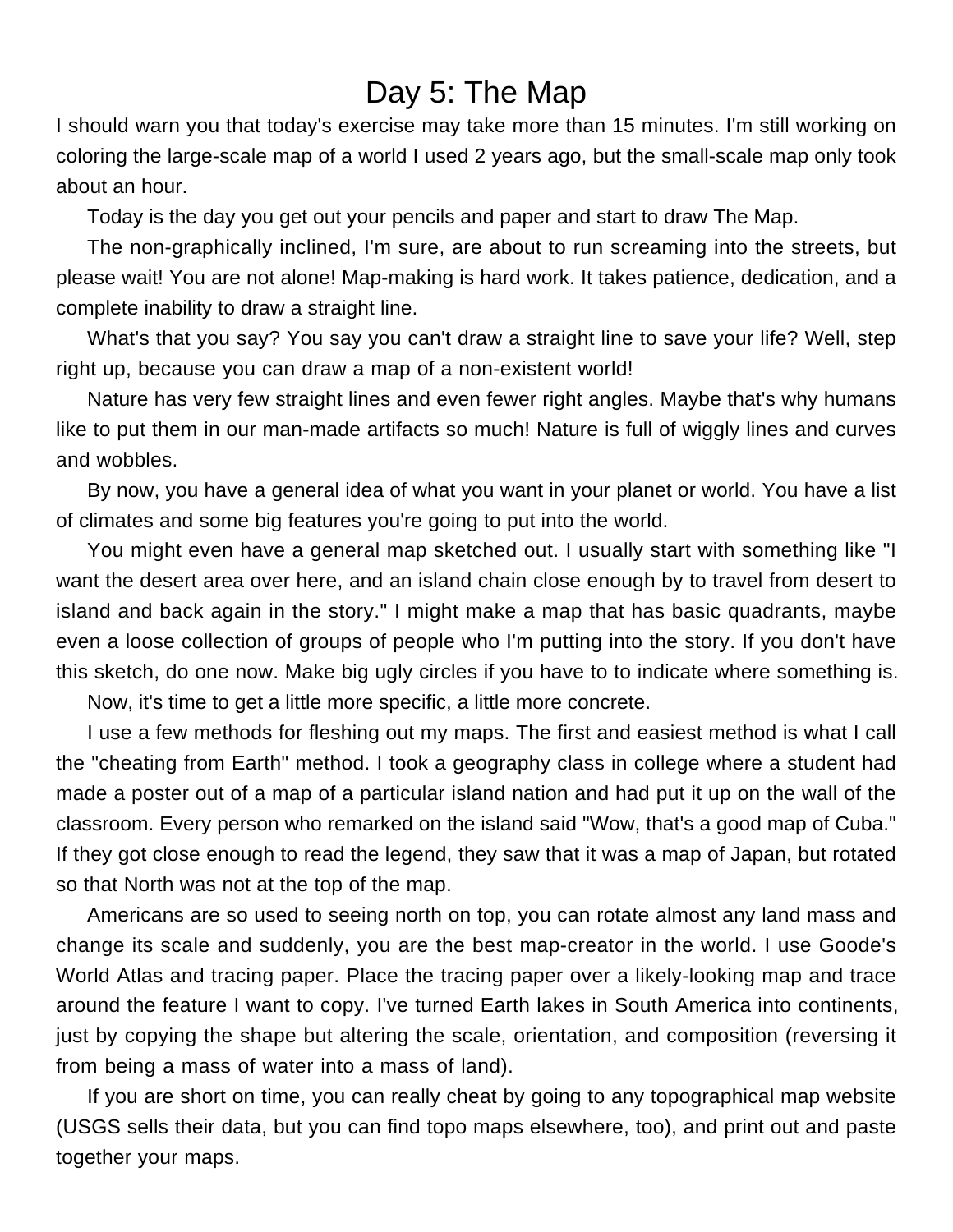# Day 5: The Map

I should warn you that today's exercise may take more than 15 minutes. I'm still working on coloring the large-scale map of a world I used 2 years ago, but the small-scale map only took about an hour.

Today is the day you get out your pencils and paper and start to draw The Map.

The non-graphically inclined, I'm sure, are about to run screaming into the streets, but please wait! You are not alone! Map-making is hard work. It takes patience, dedication, and a complete inability to draw a straight line.

What's that you say? You say you can't draw a straight line to save your life? Well, step right up, because you can draw a map of a non-existent world!

Nature has very few straight lines and even fewer right angles. Maybe that's why humans like to put them in our man-made artifacts so much! Nature is full of wiggly lines and curves and wobbles.

By now, you have a general idea of what you want in your planet or world. You have a list of climates and some big features you're going to put into the world.

You might even have a general map sketched out. I usually start with something like "I want the desert area over here, and an island chain close enough by to travel from desert to island and back again in the story." I might make a map that has basic quadrants, maybe even a loose collection of groups of people who I'm putting into the story. If you don't have this sketch, do one now. Make big ugly circles if you have to to indicate where something is.

Now, it's time to get a little more specific, a little more concrete.

I use a few methods for fleshing out my maps. The first and easiest method is what I call the "cheating from Earth" method. I took a geography class in college where a student had made a poster out of a map of a particular island nation and had put it up on the wall of the classroom. Every person who remarked on the island said "Wow, that's a good map of Cuba." If they got close enough to read the legend, they saw that it was a map of Japan, but rotated so that North was not at the top of the map.

Americans are so used to seeing north on top, you can rotate almost any land mass and change its scale and suddenly, you are the best map-creator in the world. I use Goode's World Atlas and tracing paper. Place the tracing paper over a likely-looking map and trace around the feature I want to copy. I've turned Earth lakes in South America into continents, just by copying the shape but altering the scale, orientation, and composition (reversing it from being a mass of water into a mass of land).

If you are short on time, you can really cheat by going to any topographical map website (USGS sells their data, but you can find topo maps elsewhere, too), and print out and paste together your maps.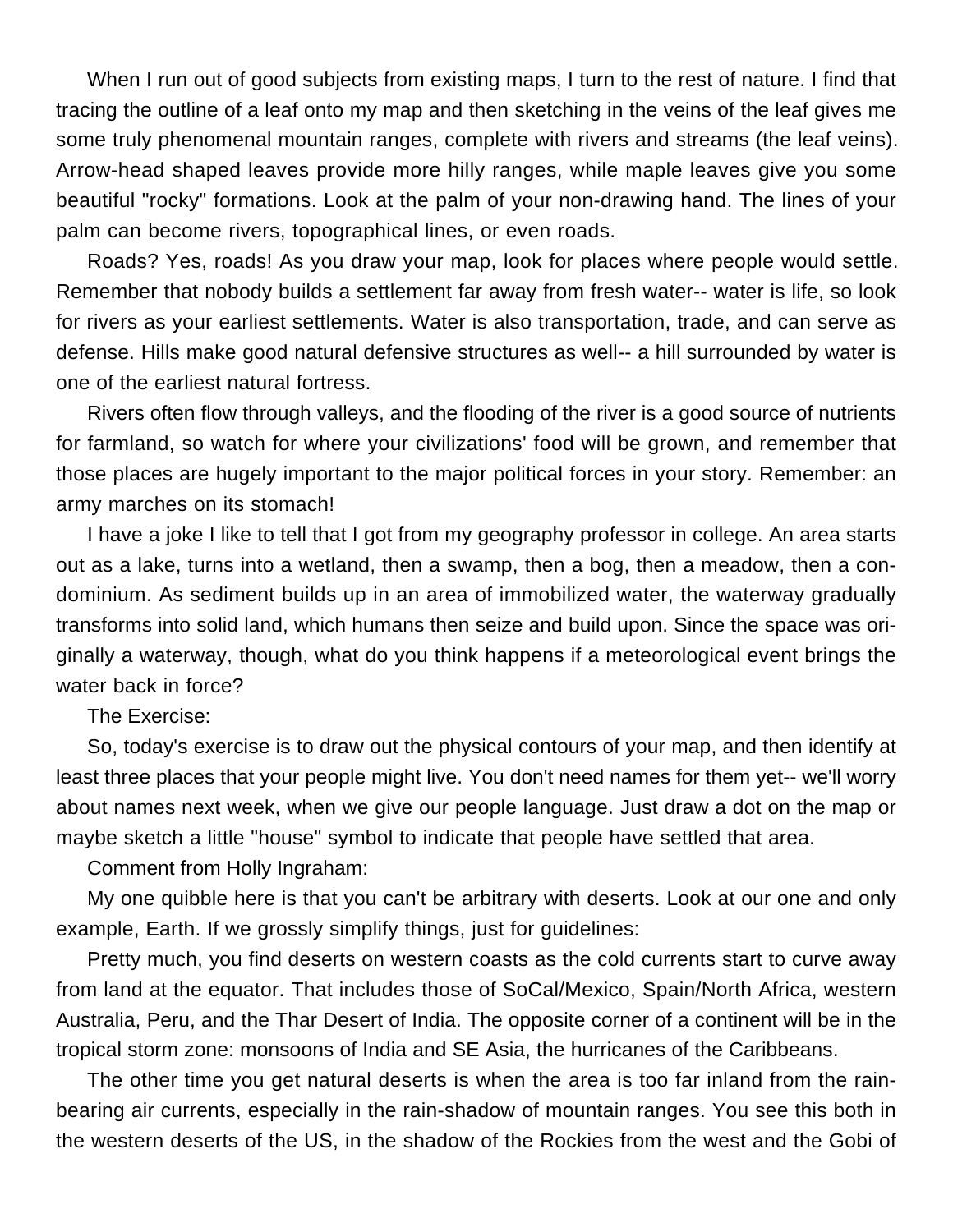When I run out of good subjects from existing maps, I turn to the rest of nature. I find that tracing the outline of a leaf onto my map and then sketching in the veins of the leaf gives me some truly phenomenal mountain ranges, complete with rivers and streams (the leaf veins). Arrow-head shaped leaves provide more hilly ranges, while maple leaves give you some beautiful "rocky" formations. Look at the palm of your non-drawing hand. The lines of your palm can become rivers, topographical lines, or even roads.

Roads? Yes, roads! As you draw your map, look for places where people would settle. Remember that nobody builds a settlement far away from fresh water-- water is life, so look for rivers as your earliest settlements. Water is also transportation, trade, and can serve as defense. Hills make good natural defensive structures as well-- a hill surrounded by water is one of the earliest natural fortress.

Rivers often flow through valleys, and the flooding of the river is a good source of nutrients for farmland, so watch for where your civilizations' food will be grown, and remember that those places are hugely important to the major political forces in your story. Remember: an army marches on its stomach!

I have a joke I like to tell that I got from my geography professor in college. An area starts out as a lake, turns into a wetland, then a swamp, then a bog, then a meadow, then a condominium. As sediment builds up in an area of immobilized water, the waterway gradually transforms into solid land, which humans then seize and build upon. Since the space was originally a waterway, though, what do you think happens if a meteorological event brings the water back in force?

#### The Exercise:

So, today's exercise is to draw out the physical contours of your map, and then identify at least three places that your people might live. You don't need names for them yet-- we'll worry about names next week, when we give our people language. Just draw a dot on the map or maybe sketch a little "house" symbol to indicate that people have settled that area.

Comment from Holly Ingraham:

My one quibble here is that you can't be arbitrary with deserts. Look at our one and only example, Earth. If we grossly simplify things, just for guidelines:

Pretty much, you find deserts on western coasts as the cold currents start to curve away from land at the equator. That includes those of SoCal/Mexico, Spain/North Africa, western Australia, Peru, and the Thar Desert of India. The opposite corner of a continent will be in the tropical storm zone: monsoons of India and SE Asia, the hurricanes of the Caribbeans.

The other time you get natural deserts is when the area is too far inland from the rainbearing air currents, especially in the rain-shadow of mountain ranges. You see this both in the western deserts of the US, in the shadow of the Rockies from the west and the Gobi of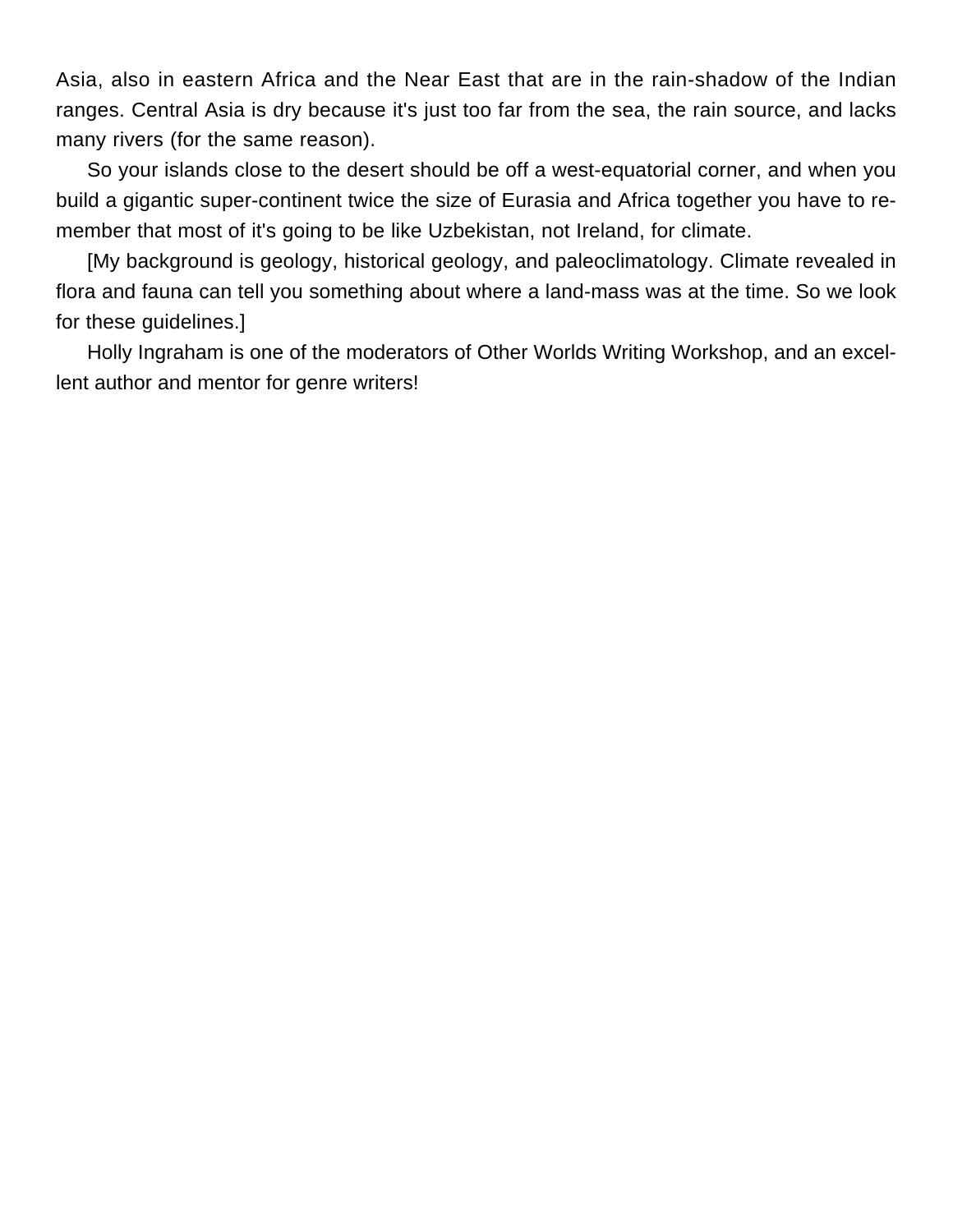Asia, also in eastern Africa and the Near East that are in the rain-shadow of the Indian ranges. Central Asia is dry because it's just too far from the sea, the rain source, and lacks many rivers (for the same reason).

So your islands close to the desert should be off a west-equatorial corner, and when you build a gigantic super-continent twice the size of Eurasia and Africa together you have to remember that most of it's going to be like Uzbekistan, not Ireland, for climate.

[My background is geology, historical geology, and paleoclimatology. Climate revealed in flora and fauna can tell you something about where a land-mass was at the time. So we look for these guidelines.]

Holly Ingraham is one of the moderators of Other Worlds Writing Workshop, and an excellent author and mentor for genre writers!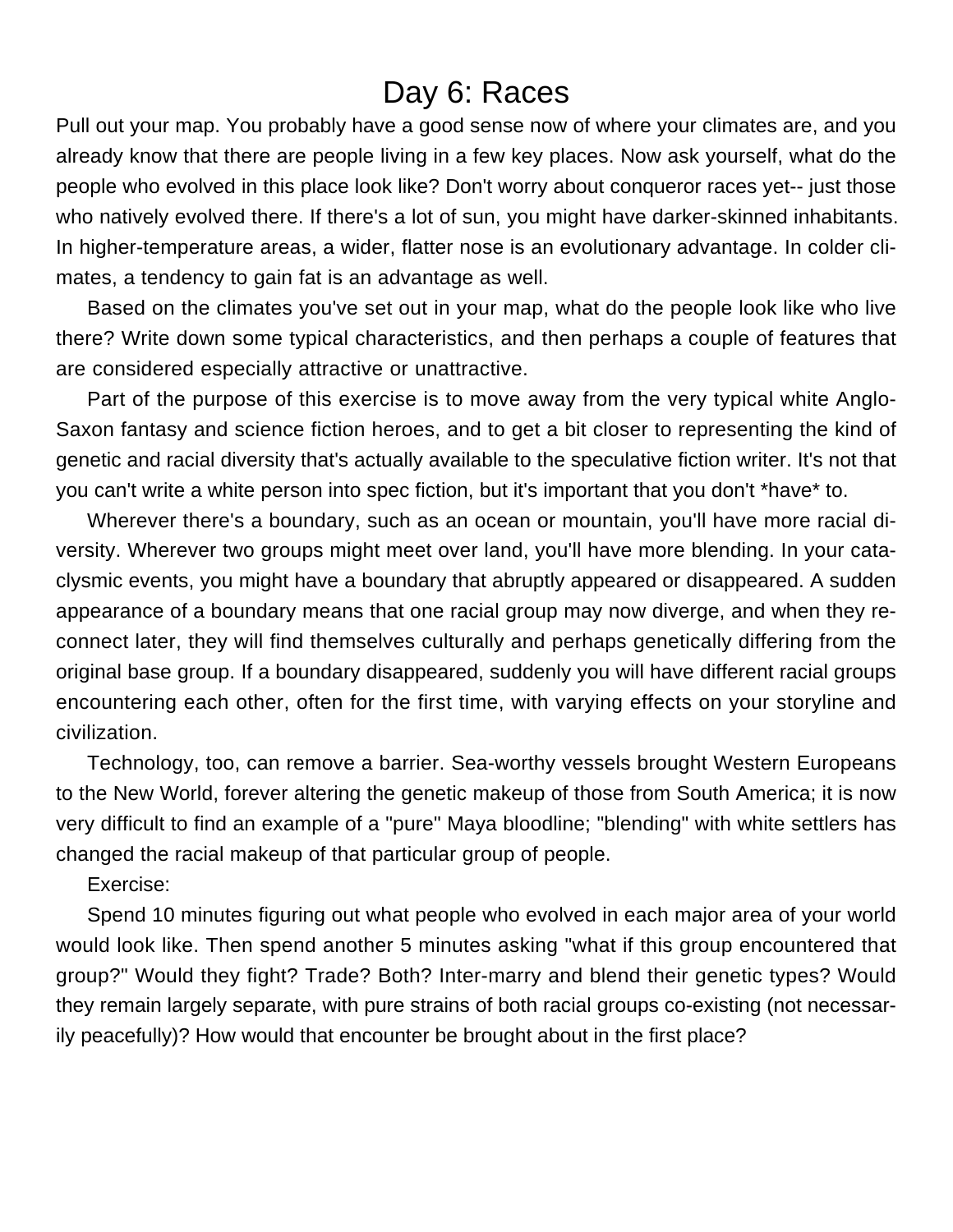### Day 6: Races

Pull out your map. You probably have a good sense now of where your climates are, and you already know that there are people living in a few key places. Now ask yourself, what do the people who evolved in this place look like? Don't worry about conqueror races yet-- just those who natively evolved there. If there's a lot of sun, you might have darker-skinned inhabitants. In higher-temperature areas, a wider, flatter nose is an evolutionary advantage. In colder climates, a tendency to gain fat is an advantage as well.

Based on the climates you've set out in your map, what do the people look like who live there? Write down some typical characteristics, and then perhaps a couple of features that are considered especially attractive or unattractive.

Part of the purpose of this exercise is to move away from the very typical white Anglo-Saxon fantasy and science fiction heroes, and to get a bit closer to representing the kind of genetic and racial diversity that's actually available to the speculative fiction writer. It's not that you can't write a white person into spec fiction, but it's important that you don't \*have\* to.

Wherever there's a boundary, such as an ocean or mountain, you'll have more racial diversity. Wherever two groups might meet over land, you'll have more blending. In your cataclysmic events, you might have a boundary that abruptly appeared or disappeared. A sudden appearance of a boundary means that one racial group may now diverge, and when they reconnect later, they will find themselves culturally and perhaps genetically differing from the original base group. If a boundary disappeared, suddenly you will have different racial groups encountering each other, often for the first time, with varying effects on your storyline and civilization.

Technology, too, can remove a barrier. Sea-worthy vessels brought Western Europeans to the New World, forever altering the genetic makeup of those from South America; it is now very difficult to find an example of a "pure" Maya bloodline; "blending" with white settlers has changed the racial makeup of that particular group of people.

Exercise:

Spend 10 minutes figuring out what people who evolved in each major area of your world would look like. Then spend another 5 minutes asking "what if this group encountered that group?" Would they fight? Trade? Both? Inter-marry and blend their genetic types? Would they remain largely separate, with pure strains of both racial groups co-existing (not necessarily peacefully)? How would that encounter be brought about in the first place?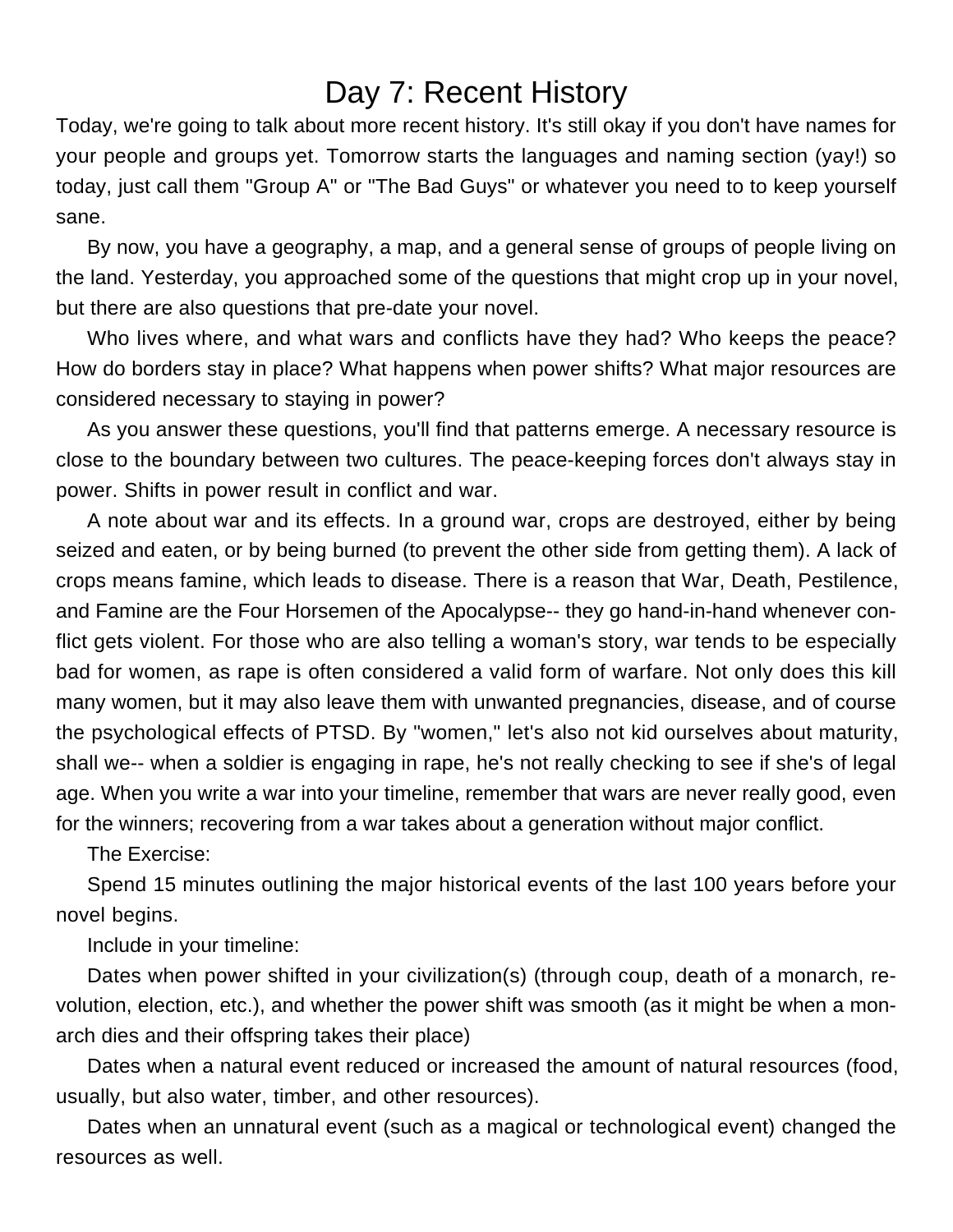## Day 7: Recent History

Today, we're going to talk about more recent history. It's still okay if you don't have names for your people and groups yet. Tomorrow starts the languages and naming section (yay!) so today, just call them "Group A" or "The Bad Guys" or whatever you need to to keep yourself sane.

By now, you have a geography, a map, and a general sense of groups of people living on the land. Yesterday, you approached some of the questions that might crop up in your novel, but there are also questions that pre-date your novel.

Who lives where, and what wars and conflicts have they had? Who keeps the peace? How do borders stay in place? What happens when power shifts? What major resources are considered necessary to staying in power?

As you answer these questions, you'll find that patterns emerge. A necessary resource is close to the boundary between two cultures. The peace-keeping forces don't always stay in power. Shifts in power result in conflict and war.

A note about war and its effects. In a ground war, crops are destroyed, either by being seized and eaten, or by being burned (to prevent the other side from getting them). A lack of crops means famine, which leads to disease. There is a reason that War, Death, Pestilence, and Famine are the Four Horsemen of the Apocalypse-- they go hand-in-hand whenever conflict gets violent. For those who are also telling a woman's story, war tends to be especially bad for women, as rape is often considered a valid form of warfare. Not only does this kill many women, but it may also leave them with unwanted pregnancies, disease, and of course the psychological effects of PTSD. By "women," let's also not kid ourselves about maturity, shall we-- when a soldier is engaging in rape, he's not really checking to see if she's of legal age. When you write a war into your timeline, remember that wars are never really good, even for the winners; recovering from a war takes about a generation without major conflict.

The Exercise:

Spend 15 minutes outlining the major historical events of the last 100 years before your novel begins.

Include in your timeline:

Dates when power shifted in your civilization(s) (through coup, death of a monarch, revolution, election, etc.), and whether the power shift was smooth (as it might be when a monarch dies and their offspring takes their place)

Dates when a natural event reduced or increased the amount of natural resources (food, usually, but also water, timber, and other resources).

Dates when an unnatural event (such as a magical or technological event) changed the resources as well.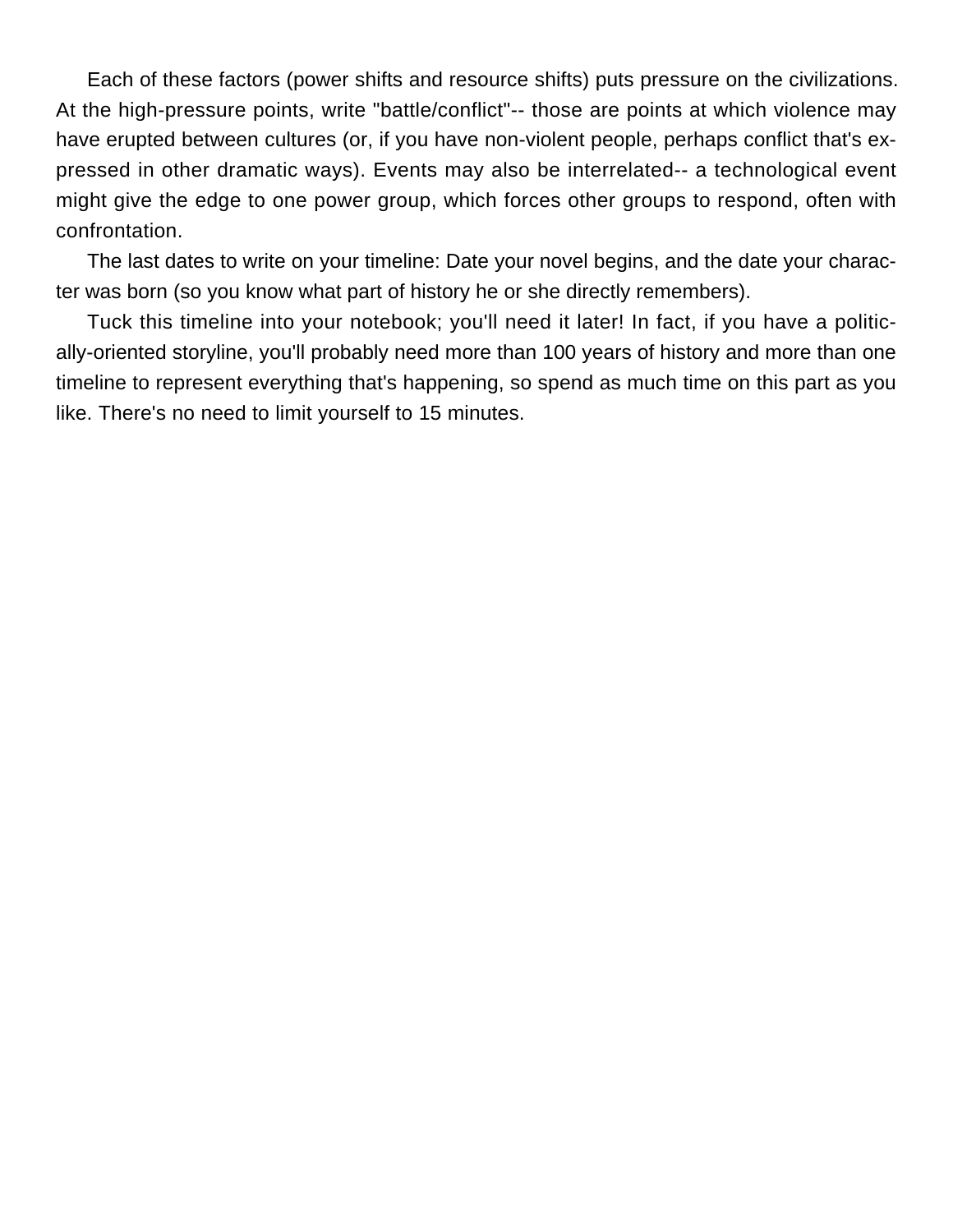Each of these factors (power shifts and resource shifts) puts pressure on the civilizations. At the high-pressure points, write "battle/conflict"-- those are points at which violence may have erupted between cultures (or, if you have non-violent people, perhaps conflict that's expressed in other dramatic ways). Events may also be interrelated-- a technological event might give the edge to one power group, which forces other groups to respond, often with confrontation.

The last dates to write on your timeline: Date your novel begins, and the date your character was born (so you know what part of history he or she directly remembers).

Tuck this timeline into your notebook; you'll need it later! In fact, if you have a politically-oriented storyline, you'll probably need more than 100 years of history and more than one timeline to represent everything that's happening, so spend as much time on this part as you like. There's no need to limit yourself to 15 minutes.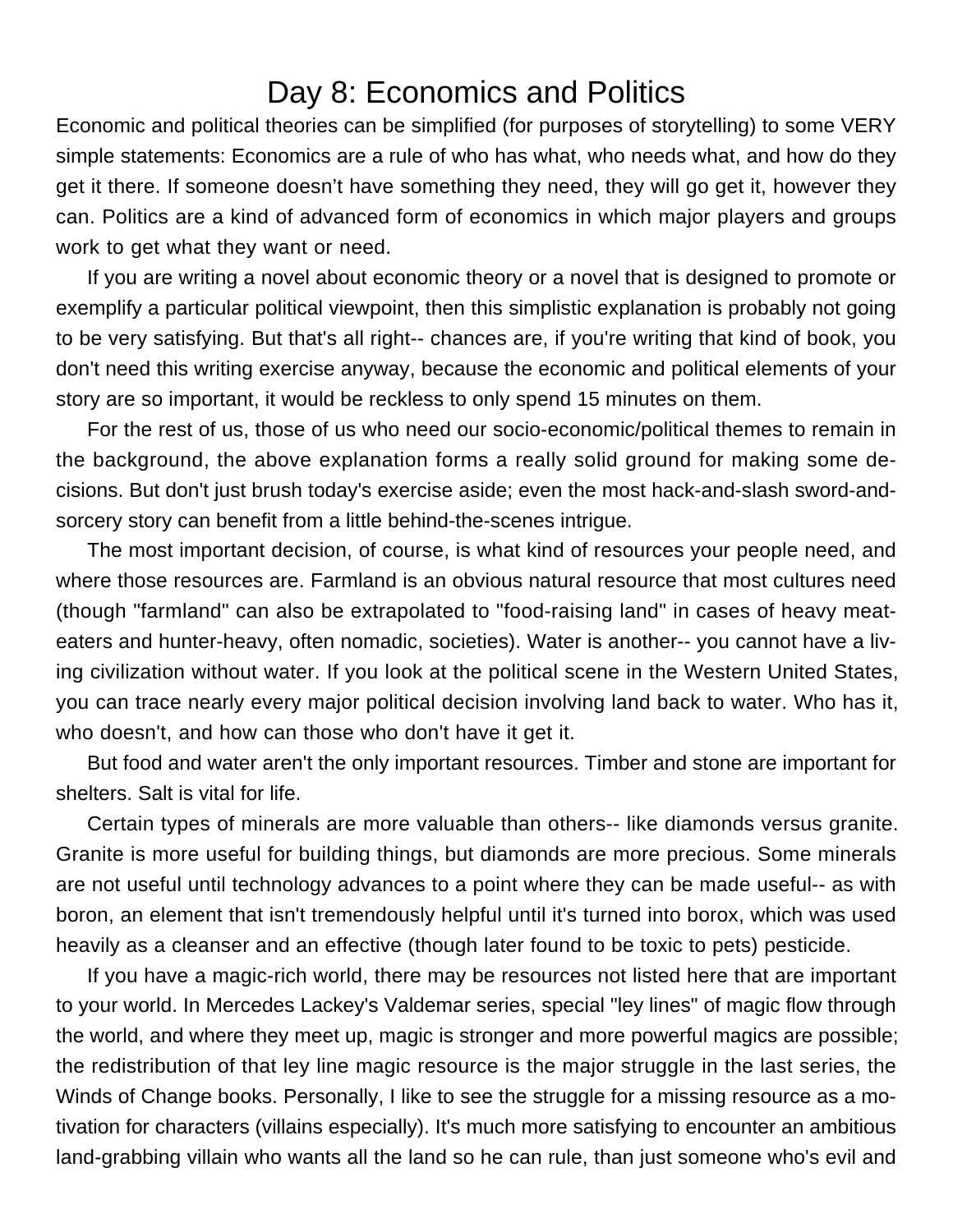### Day 8: Economics and Politics

Economic and political theories can be simplified (for purposes of storytelling) to some VERY simple statements: Economics are a rule of who has what, who needs what, and how do they get it there. If someone doesn't have something they need, they will go get it, however they can. Politics are a kind of advanced form of economics in which major players and groups work to get what they want or need.

If you are writing a novel about economic theory or a novel that is designed to promote or exemplify a particular political viewpoint, then this simplistic explanation is probably not going to be very satisfying. But that's all right-- chances are, if you're writing that kind of book, you don't need this writing exercise anyway, because the economic and political elements of your story are so important, it would be reckless to only spend 15 minutes on them.

For the rest of us, those of us who need our socio-economic/political themes to remain in the background, the above explanation forms a really solid ground for making some decisions. But don't just brush today's exercise aside; even the most hack-and-slash sword-andsorcery story can benefit from a little behind-the-scenes intrigue.

The most important decision, of course, is what kind of resources your people need, and where those resources are. Farmland is an obvious natural resource that most cultures need (though "farmland" can also be extrapolated to "food-raising land" in cases of heavy meateaters and hunter-heavy, often nomadic, societies). Water is another-- you cannot have a living civilization without water. If you look at the political scene in the Western United States, you can trace nearly every major political decision involving land back to water. Who has it, who doesn't, and how can those who don't have it get it.

But food and water aren't the only important resources. Timber and stone are important for shelters. Salt is vital for life.

Certain types of minerals are more valuable than others-- like diamonds versus granite. Granite is more useful for building things, but diamonds are more precious. Some minerals are not useful until technology advances to a point where they can be made useful-- as with boron, an element that isn't tremendously helpful until it's turned into borox, which was used heavily as a cleanser and an effective (though later found to be toxic to pets) pesticide.

If you have a magic-rich world, there may be resources not listed here that are important to your world. In Mercedes Lackey's Valdemar series, special "ley lines" of magic flow through the world, and where they meet up, magic is stronger and more powerful magics are possible; the redistribution of that ley line magic resource is the major struggle in the last series, the Winds of Change books. Personally, I like to see the struggle for a missing resource as a motivation for characters (villains especially). It's much more satisfying to encounter an ambitious land-grabbing villain who wants all the land so he can rule, than just someone who's evil and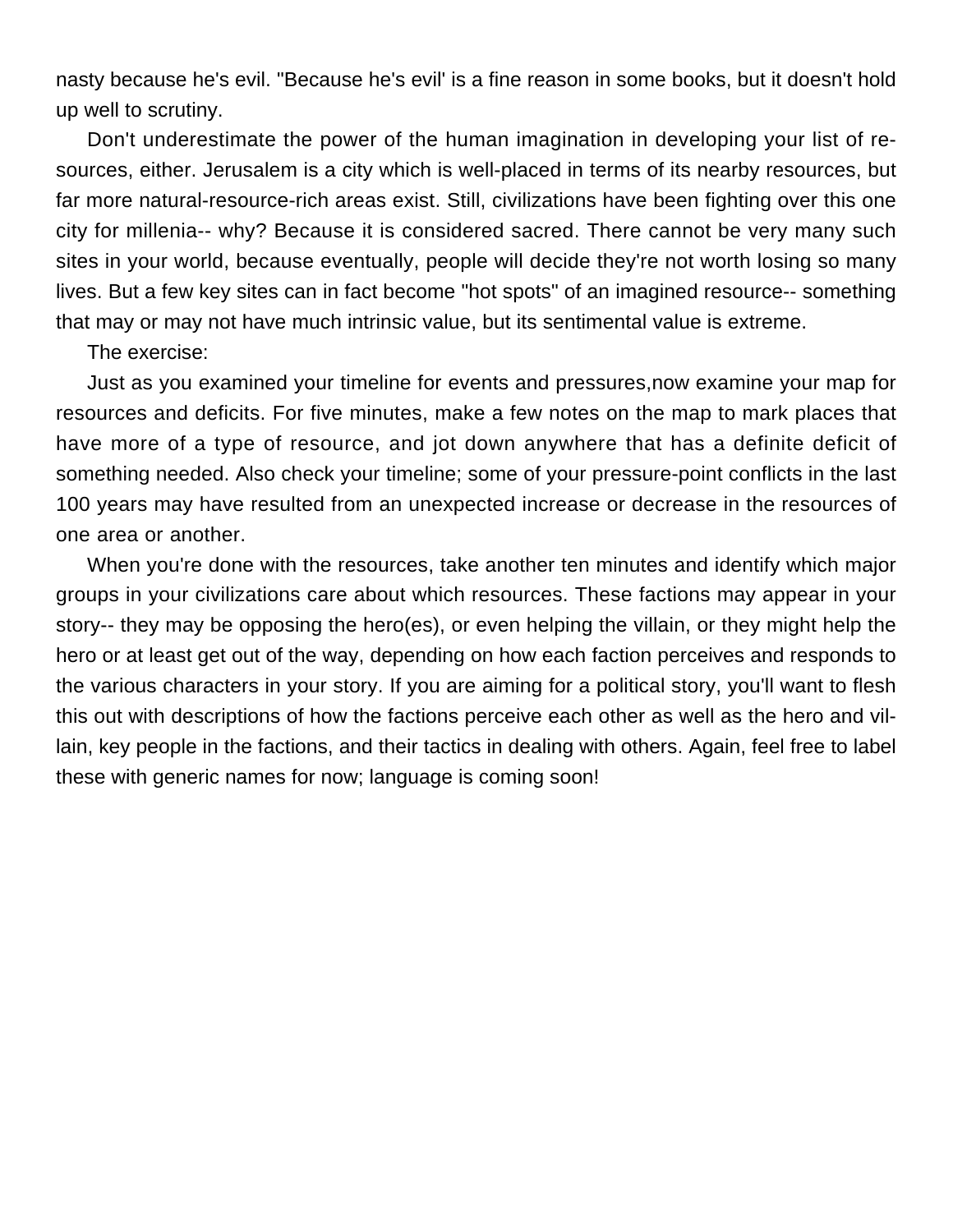nasty because he's evil. "Because he's evil' is a fine reason in some books, but it doesn't hold up well to scrutiny.

Don't underestimate the power of the human imagination in developing your list of resources, either. Jerusalem is a city which is well-placed in terms of its nearby resources, but far more natural-resource-rich areas exist. Still, civilizations have been fighting over this one city for millenia-- why? Because it is considered sacred. There cannot be very many such sites in your world, because eventually, people will decide they're not worth losing so many lives. But a few key sites can in fact become "hot spots" of an imagined resource-- something that may or may not have much intrinsic value, but its sentimental value is extreme.

The exercise:

Just as you examined your timeline for events and pressures,now examine your map for resources and deficits. For five minutes, make a few notes on the map to mark places that have more of a type of resource, and jot down anywhere that has a definite deficit of something needed. Also check your timeline; some of your pressure-point conflicts in the last 100 years may have resulted from an unexpected increase or decrease in the resources of one area or another.

When you're done with the resources, take another ten minutes and identify which major groups in your civilizations care about which resources. These factions may appear in your story-- they may be opposing the hero(es), or even helping the villain, or they might help the hero or at least get out of the way, depending on how each faction perceives and responds to the various characters in your story. If you are aiming for a political story, you'll want to flesh this out with descriptions of how the factions perceive each other as well as the hero and villain, key people in the factions, and their tactics in dealing with others. Again, feel free to label these with generic names for now; language is coming soon!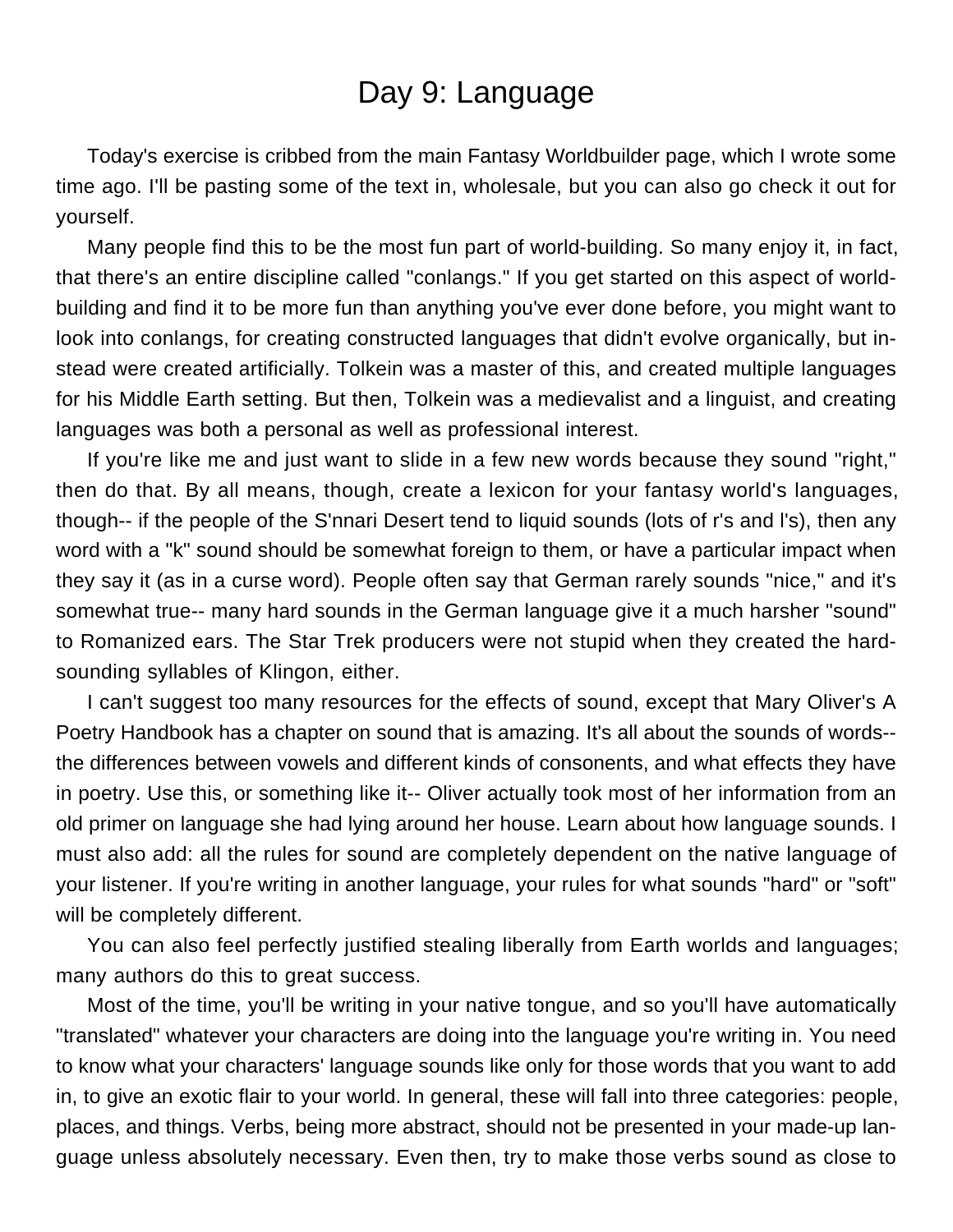### Day 9: Language

Today's exercise is cribbed from the main Fantasy Worldbuilder page, which I wrote some time ago. I'll be pasting some of the text in, wholesale, but you can also go check it out for yourself.

Many people find this to be the most fun part of world-building. So many enjoy it, in fact, that there's an entire discipline called "conlangs." If you get started on this aspect of worldbuilding and find it to be more fun than anything you've ever done before, you might want to look into conlangs, for creating constructed languages that didn't evolve organically, but instead were created artificially. Tolkein was a master of this, and created multiple languages for his Middle Earth setting. But then, Tolkein was a medievalist and a linguist, and creating languages was both a personal as well as professional interest.

If you're like me and just want to slide in a few new words because they sound "right," then do that. By all means, though, create a lexicon for your fantasy world's languages, though-- if the people of the S'nnari Desert tend to liquid sounds (lots of r's and l's), then any word with a "k" sound should be somewhat foreign to them, or have a particular impact when they say it (as in a curse word). People often say that German rarely sounds "nice," and it's somewhat true-- many hard sounds in the German language give it a much harsher "sound" to Romanized ears. The Star Trek producers were not stupid when they created the hardsounding syllables of Klingon, either.

I can't suggest too many resources for the effects of sound, except that Mary Oliver's A Poetry Handbook has a chapter on sound that is amazing. It's all about the sounds of words- the differences between vowels and different kinds of consonents, and what effects they have in poetry. Use this, or something like it-- Oliver actually took most of her information from an old primer on language she had lying around her house. Learn about how language sounds. I must also add: all the rules for sound are completely dependent on the native language of your listener. If you're writing in another language, your rules for what sounds "hard" or "soft" will be completely different.

You can also feel perfectly justified stealing liberally from Earth worlds and languages; many authors do this to great success.

Most of the time, you'll be writing in your native tongue, and so you'll have automatically "translated" whatever your characters are doing into the language you're writing in. You need to know what your characters' language sounds like only for those words that you want to add in, to give an exotic flair to your world. In general, these will fall into three categories: people, places, and things. Verbs, being more abstract, should not be presented in your made-up language unless absolutely necessary. Even then, try to make those verbs sound as close to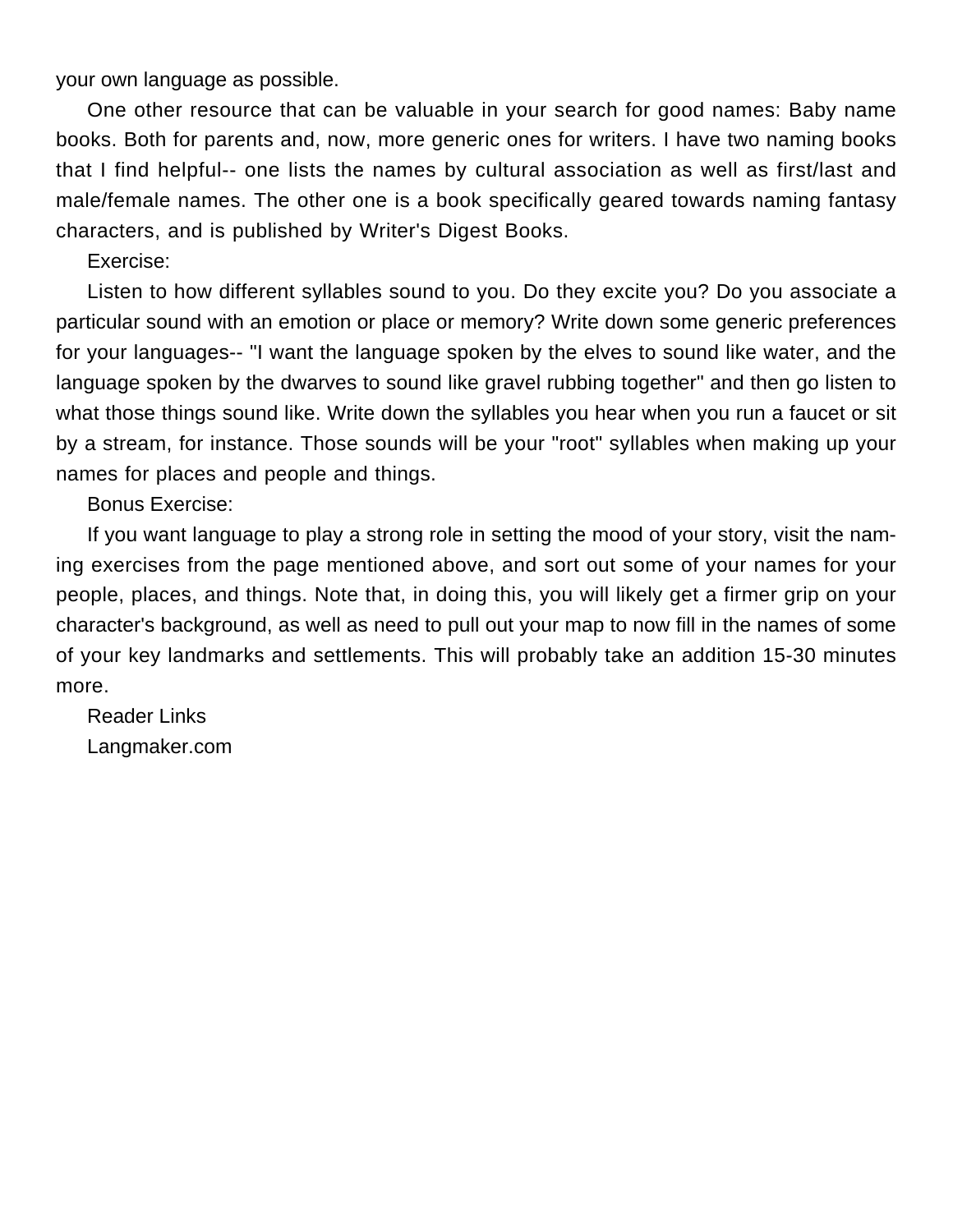your own language as possible.

One other resource that can be valuable in your search for good names: Baby name books. Both for parents and, now, more generic ones for writers. I have two naming books that I find helpful-- one lists the names by cultural association as well as first/last and male/female names. The other one is a book specifically geared towards naming fantasy characters, and is published by Writer's Digest Books.

Exercise:

Listen to how different syllables sound to you. Do they excite you? Do you associate a particular sound with an emotion or place or memory? Write down some generic preferences for your languages-- "I want the language spoken by the elves to sound like water, and the language spoken by the dwarves to sound like gravel rubbing together" and then go listen to what those things sound like. Write down the syllables you hear when you run a faucet or sit by a stream, for instance. Those sounds will be your "root" syllables when making up your names for places and people and things.

Bonus Exercise:

If you want language to play a strong role in setting the mood of your story, visit the naming exercises from the page mentioned above, and sort out some of your names for your people, places, and things. Note that, in doing this, you will likely get a firmer grip on your character's background, as well as need to pull out your map to now fill in the names of some of your key landmarks and settlements. This will probably take an addition 15-30 minutes more.

Reader Links Langmaker.com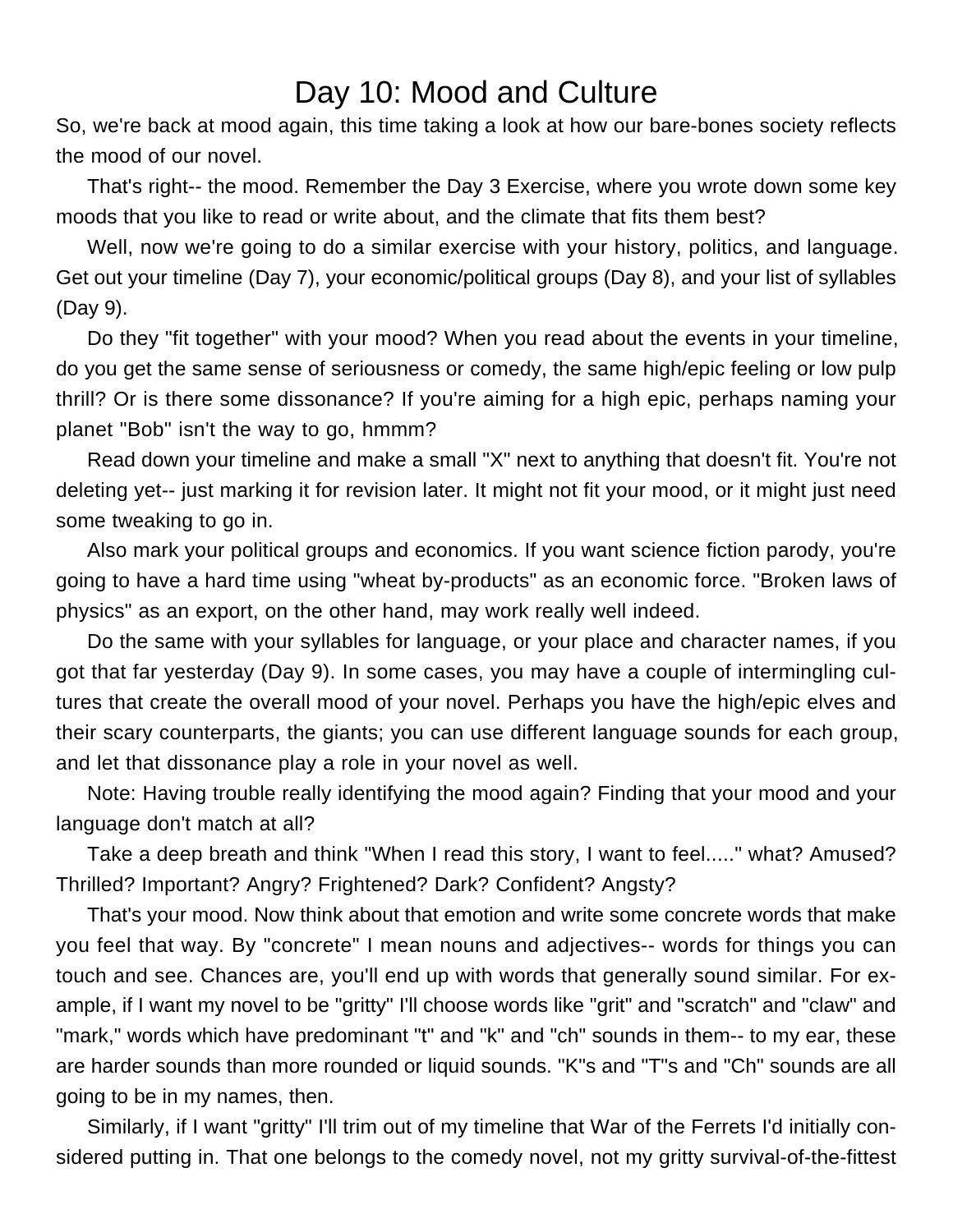### Day 10: Mood and Culture

So, we're back at mood again, this time taking a look at how our bare-bones society reflects the mood of our novel.

That's right-- the mood. Remember the Day 3 Exercise, where you wrote down some key moods that you like to read or write about, and the climate that fits them best?

Well, now we're going to do a similar exercise with your history, politics, and language. Get out your timeline (Day 7), your economic/political groups (Day 8), and your list of syllables (Day 9).

Do they "fit together" with your mood? When you read about the events in your timeline, do you get the same sense of seriousness or comedy, the same high/epic feeling or low pulp thrill? Or is there some dissonance? If you're aiming for a high epic, perhaps naming your planet "Bob" isn't the way to go, hmmm?

Read down your timeline and make a small "X" next to anything that doesn't fit. You're not deleting yet-- just marking it for revision later. It might not fit your mood, or it might just need some tweaking to go in.

Also mark your political groups and economics. If you want science fiction parody, you're going to have a hard time using "wheat by-products" as an economic force. "Broken laws of physics" as an export, on the other hand, may work really well indeed.

Do the same with your syllables for language, or your place and character names, if you got that far yesterday (Day 9). In some cases, you may have a couple of intermingling cultures that create the overall mood of your novel. Perhaps you have the high/epic elves and their scary counterparts, the giants; you can use different language sounds for each group, and let that dissonance play a role in your novel as well.

Note: Having trouble really identifying the mood again? Finding that your mood and your language don't match at all?

Take a deep breath and think "When I read this story, I want to feel....." what? Amused? Thrilled? Important? Angry? Frightened? Dark? Confident? Angsty?

That's your mood. Now think about that emotion and write some concrete words that make you feel that way. By "concrete" I mean nouns and adjectives-- words for things you can touch and see. Chances are, you'll end up with words that generally sound similar. For example, if I want my novel to be "gritty" I'll choose words like "grit" and "scratch" and "claw" and "mark," words which have predominant "t" and "k" and "ch" sounds in them-- to my ear, these are harder sounds than more rounded or liquid sounds. "K"s and "T"s and "Ch" sounds are all going to be in my names, then.

Similarly, if I want "gritty" I'll trim out of my timeline that War of the Ferrets I'd initially considered putting in. That one belongs to the comedy novel, not my gritty survival-of-the-fittest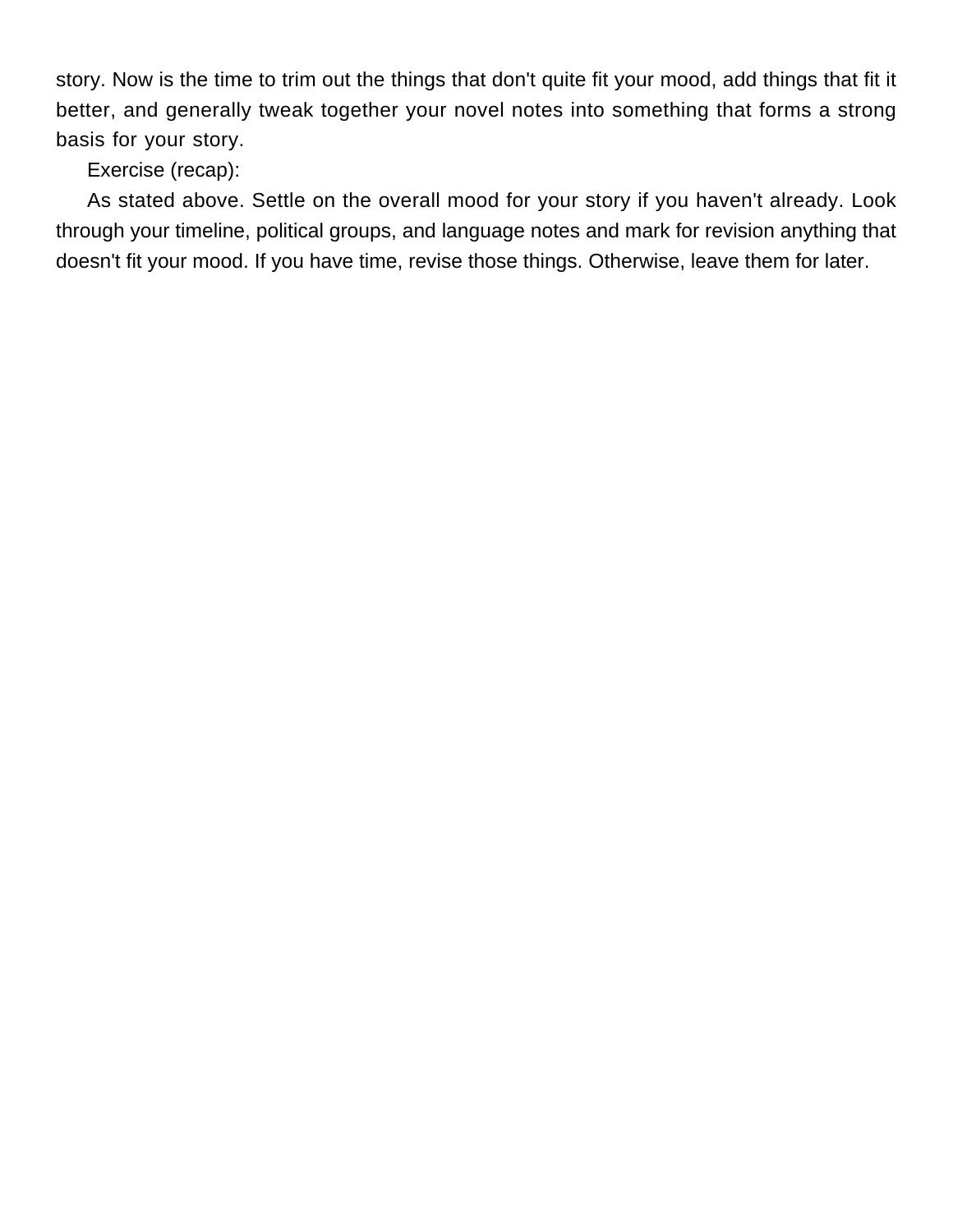story. Now is the time to trim out the things that don't quite fit your mood, add things that fit it better, and generally tweak together your novel notes into something that forms a strong basis for your story.

Exercise (recap):

As stated above. Settle on the overall mood for your story if you haven't already. Look through your timeline, political groups, and language notes and mark for revision anything that doesn't fit your mood. If you have time, revise those things. Otherwise, leave them for later.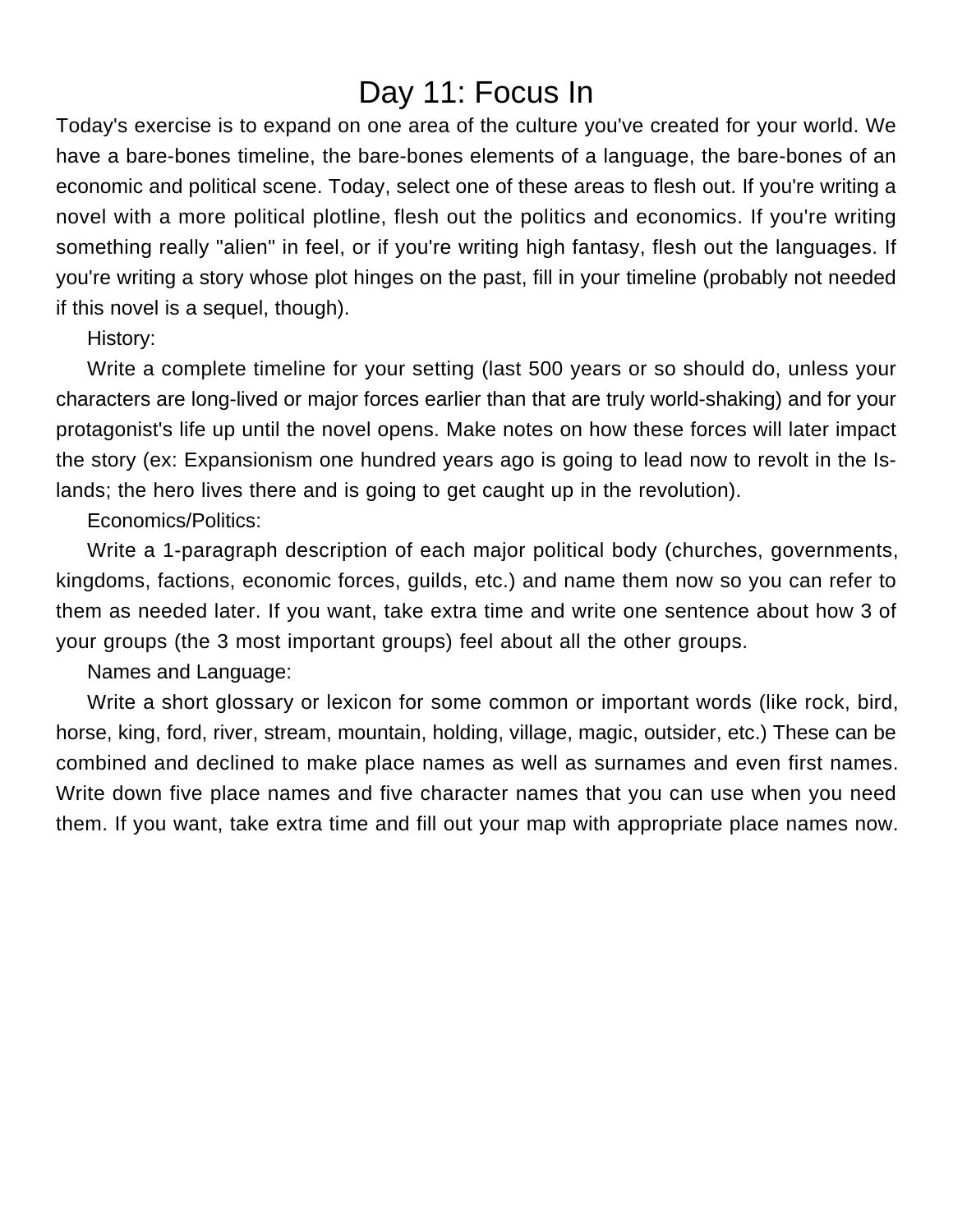# Day 11: Focus In

Today's exercise is to expand on one area of the culture you've created for your world. We have a bare-bones timeline, the bare-bones elements of a language, the bare-bones of an economic and political scene. Today, select one of these areas to flesh out. If you're writing a novel with a more political plotline, flesh out the politics and economics. If you're writing something really "alien" in feel, or if you're writing high fantasy, flesh out the languages. If you're writing a story whose plot hinges on the past, fill in your timeline (probably not needed if this novel is a sequel, though).

History:

Write a complete timeline for your setting (last 500 years or so should do, unless your characters are long-lived or major forces earlier than that are truly world-shaking) and for your protagonist's life up until the novel opens. Make notes on how these forces will later impact the story (ex: Expansionism one hundred years ago is going to lead now to revolt in the Islands; the hero lives there and is going to get caught up in the revolution).

Economics/Politics:

Write a 1-paragraph description of each major political body (churches, governments, kingdoms, factions, economic forces, guilds, etc.) and name them now so you can refer to them as needed later. If you want, take extra time and write one sentence about how 3 of your groups (the 3 most important groups) feel about all the other groups.

Names and Language:

Write a short glossary or lexicon for some common or important words (like rock, bird, horse, king, ford, river, stream, mountain, holding, village, magic, outsider, etc.) These can be combined and declined to make place names as well as surnames and even first names. Write down five place names and five character names that you can use when you need them. If you want, take extra time and fill out your map with appropriate place names now.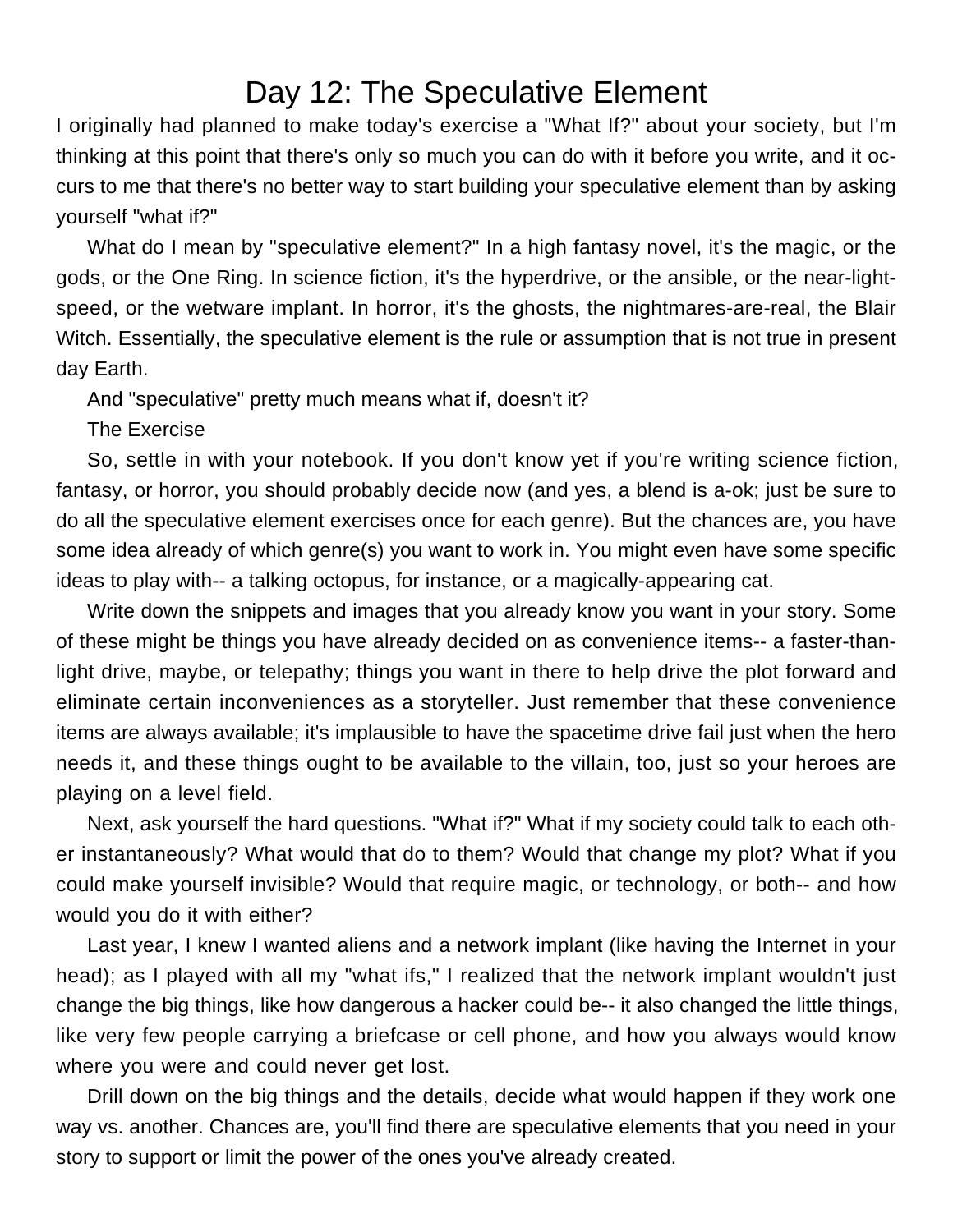# Day 12: The Speculative Element

I originally had planned to make today's exercise a "What If?" about your society, but I'm thinking at this point that there's only so much you can do with it before you write, and it occurs to me that there's no better way to start building your speculative element than by asking yourself "what if?"

What do I mean by "speculative element?" In a high fantasy novel, it's the magic, or the gods, or the One Ring. In science fiction, it's the hyperdrive, or the ansible, or the near-lightspeed, or the wetware implant. In horror, it's the ghosts, the nightmares-are-real, the Blair Witch. Essentially, the speculative element is the rule or assumption that is not true in present day Earth.

And "speculative" pretty much means what if, doesn't it?

The Exercise

So, settle in with your notebook. If you don't know yet if you're writing science fiction, fantasy, or horror, you should probably decide now (and yes, a blend is a-ok; just be sure to do all the speculative element exercises once for each genre). But the chances are, you have some idea already of which genre(s) you want to work in. You might even have some specific ideas to play with-- a talking octopus, for instance, or a magically-appearing cat.

Write down the snippets and images that you already know you want in your story. Some of these might be things you have already decided on as convenience items-- a faster-thanlight drive, maybe, or telepathy; things you want in there to help drive the plot forward and eliminate certain inconveniences as a storyteller. Just remember that these convenience items are always available; it's implausible to have the spacetime drive fail just when the hero needs it, and these things ought to be available to the villain, too, just so your heroes are playing on a level field.

Next, ask yourself the hard questions. "What if?" What if my society could talk to each other instantaneously? What would that do to them? Would that change my plot? What if you could make yourself invisible? Would that require magic, or technology, or both-- and how would you do it with either?

Last year, I knew I wanted aliens and a network implant (like having the Internet in your head); as I played with all my "what ifs," I realized that the network implant wouldn't just change the big things, like how dangerous a hacker could be-- it also changed the little things, like very few people carrying a briefcase or cell phone, and how you always would know where you were and could never get lost.

Drill down on the big things and the details, decide what would happen if they work one way vs. another. Chances are, you'll find there are speculative elements that you need in your story to support or limit the power of the ones you've already created.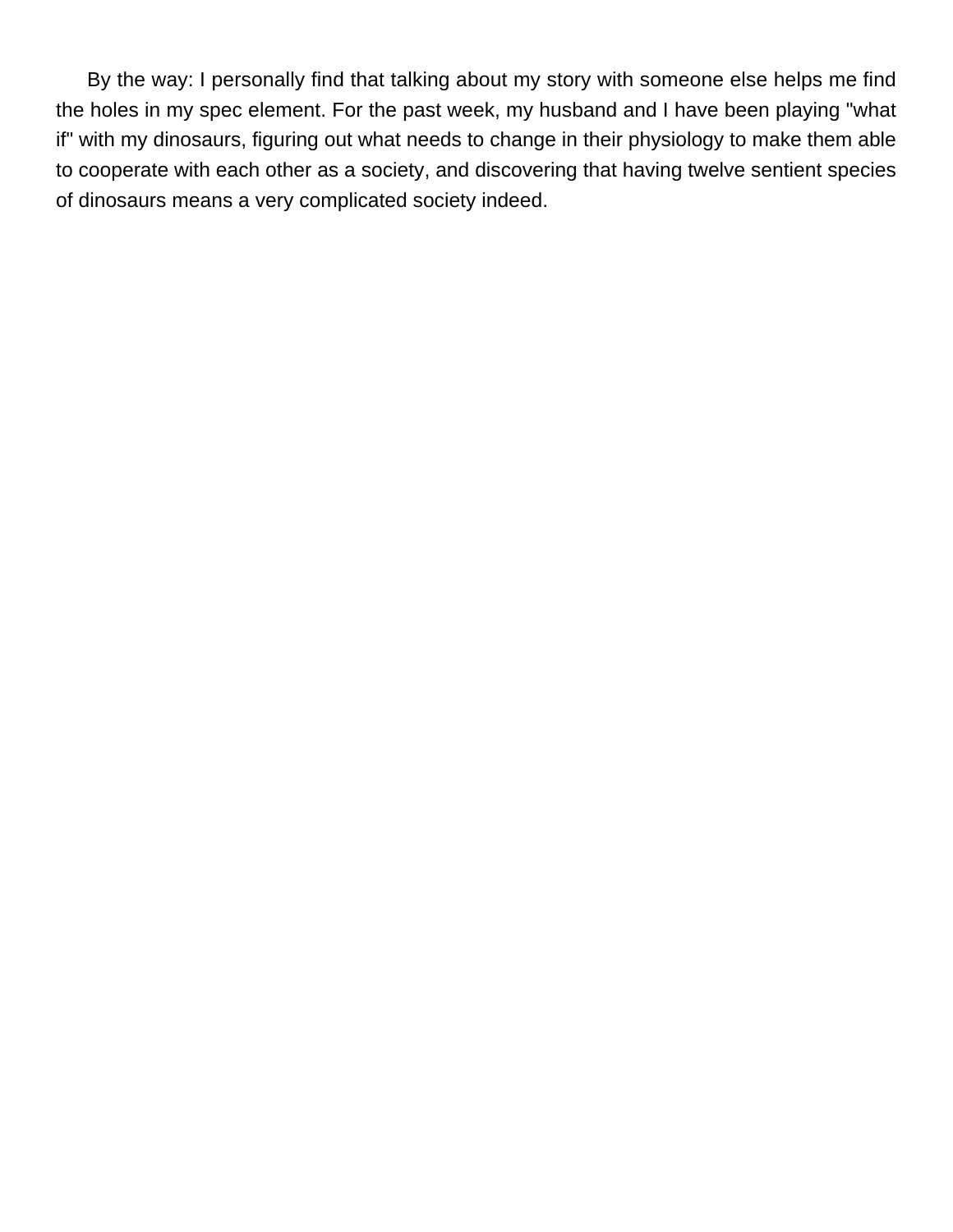By the way: I personally find that talking about my story with someone else helps me find the holes in my spec element. For the past week, my husband and I have been playing "what if" with my dinosaurs, figuring out what needs to change in their physiology to make them able to cooperate with each other as a society, and discovering that having twelve sentient species of dinosaurs means a very complicated society indeed.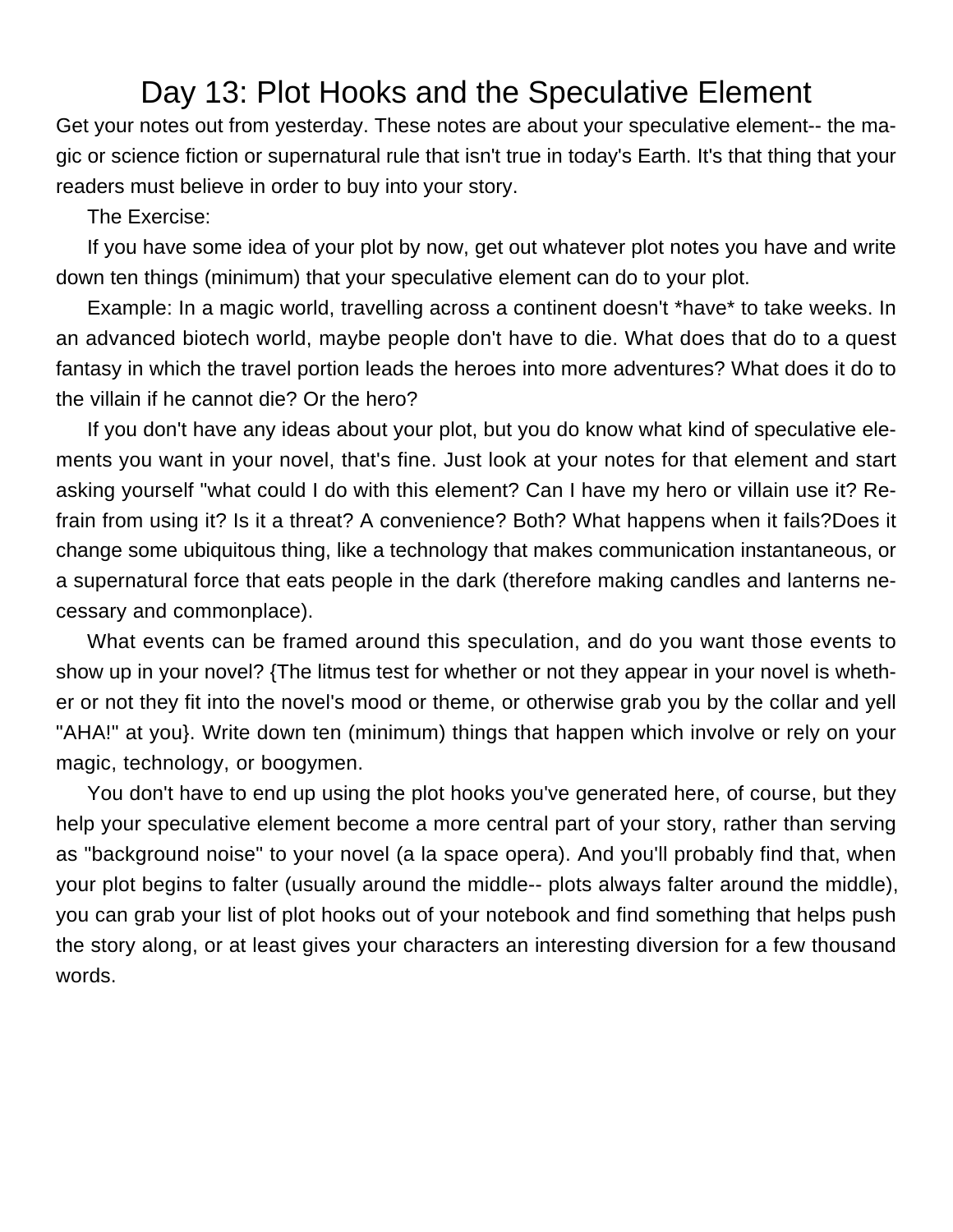### Day 13: Plot Hooks and the Speculative Element

Get your notes out from yesterday. These notes are about your speculative element-- the magic or science fiction or supernatural rule that isn't true in today's Earth. It's that thing that your readers must believe in order to buy into your story.

The Exercise:

If you have some idea of your plot by now, get out whatever plot notes you have and write down ten things (minimum) that your speculative element can do to your plot.

Example: In a magic world, travelling across a continent doesn't \*have\* to take weeks. In an advanced biotech world, maybe people don't have to die. What does that do to a quest fantasy in which the travel portion leads the heroes into more adventures? What does it do to the villain if he cannot die? Or the hero?

If you don't have any ideas about your plot, but you do know what kind of speculative elements you want in your novel, that's fine. Just look at your notes for that element and start asking yourself "what could I do with this element? Can I have my hero or villain use it? Refrain from using it? Is it a threat? A convenience? Both? What happens when it fails?Does it change some ubiquitous thing, like a technology that makes communication instantaneous, or a supernatural force that eats people in the dark (therefore making candles and lanterns necessary and commonplace).

What events can be framed around this speculation, and do you want those events to show up in your novel? {The litmus test for whether or not they appear in your novel is whether or not they fit into the novel's mood or theme, or otherwise grab you by the collar and yell "AHA!" at you}. Write down ten (minimum) things that happen which involve or rely on your magic, technology, or boogymen.

You don't have to end up using the plot hooks you've generated here, of course, but they help your speculative element become a more central part of your story, rather than serving as "background noise" to your novel (a la space opera). And you'll probably find that, when your plot begins to falter (usually around the middle-- plots always falter around the middle), you can grab your list of plot hooks out of your notebook and find something that helps push the story along, or at least gives your characters an interesting diversion for a few thousand words.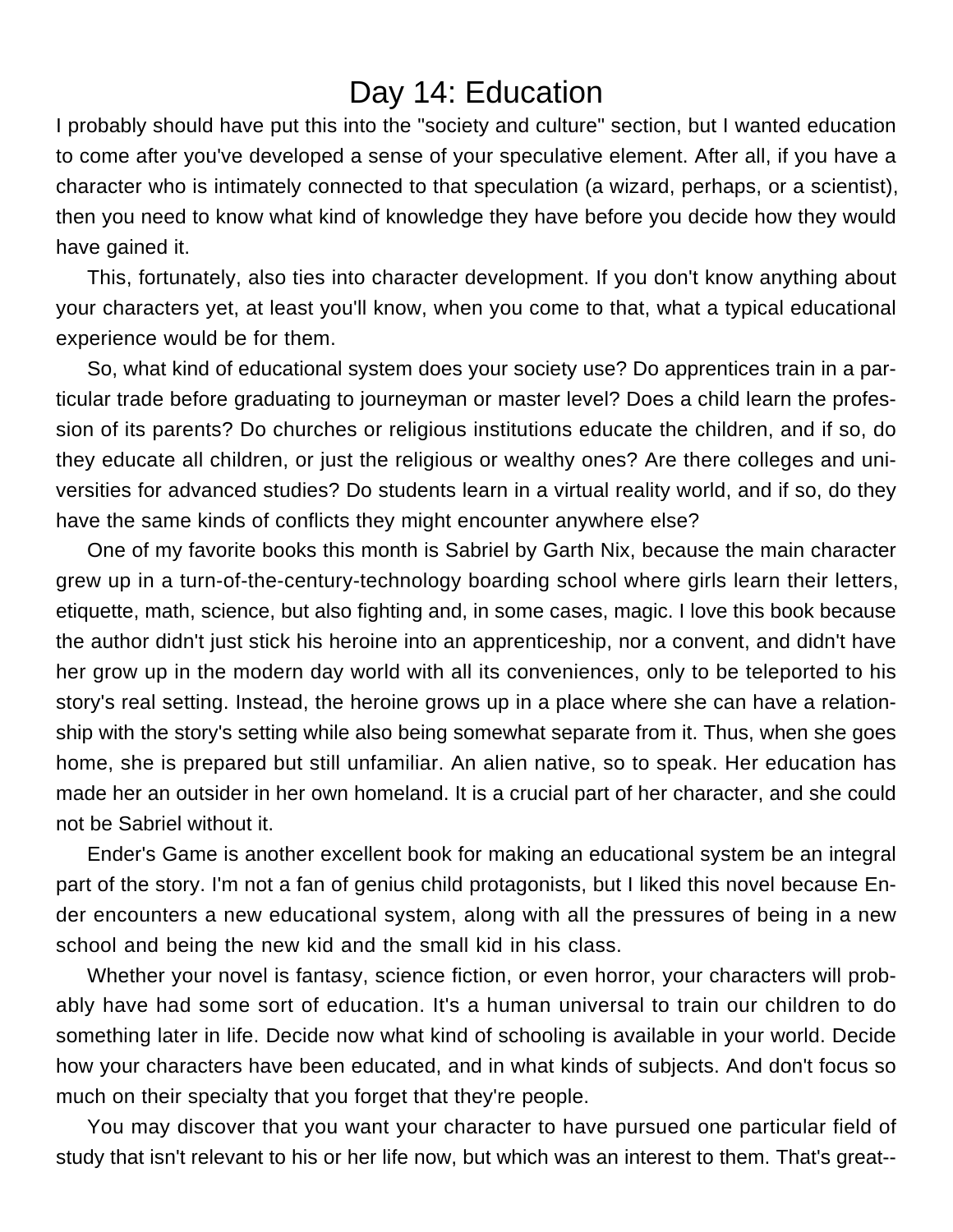### Day 14: Education

I probably should have put this into the "society and culture" section, but I wanted education to come after you've developed a sense of your speculative element. After all, if you have a character who is intimately connected to that speculation (a wizard, perhaps, or a scientist), then you need to know what kind of knowledge they have before you decide how they would have gained it.

This, fortunately, also ties into character development. If you don't know anything about your characters yet, at least you'll know, when you come to that, what a typical educational experience would be for them.

So, what kind of educational system does your society use? Do apprentices train in a particular trade before graduating to journeyman or master level? Does a child learn the profession of its parents? Do churches or religious institutions educate the children, and if so, do they educate all children, or just the religious or wealthy ones? Are there colleges and universities for advanced studies? Do students learn in a virtual reality world, and if so, do they have the same kinds of conflicts they might encounter anywhere else?

One of my favorite books this month is Sabriel by Garth Nix, because the main character grew up in a turn-of-the-century-technology boarding school where girls learn their letters, etiquette, math, science, but also fighting and, in some cases, magic. I love this book because the author didn't just stick his heroine into an apprenticeship, nor a convent, and didn't have her grow up in the modern day world with all its conveniences, only to be teleported to his story's real setting. Instead, the heroine grows up in a place where she can have a relationship with the story's setting while also being somewhat separate from it. Thus, when she goes home, she is prepared but still unfamiliar. An alien native, so to speak. Her education has made her an outsider in her own homeland. It is a crucial part of her character, and she could not be Sabriel without it.

Ender's Game is another excellent book for making an educational system be an integral part of the story. I'm not a fan of genius child protagonists, but I liked this novel because Ender encounters a new educational system, along with all the pressures of being in a new school and being the new kid and the small kid in his class.

Whether your novel is fantasy, science fiction, or even horror, your characters will probably have had some sort of education. It's a human universal to train our children to do something later in life. Decide now what kind of schooling is available in your world. Decide how your characters have been educated, and in what kinds of subjects. And don't focus so much on their specialty that you forget that they're people.

You may discover that you want your character to have pursued one particular field of study that isn't relevant to his or her life now, but which was an interest to them. That's great--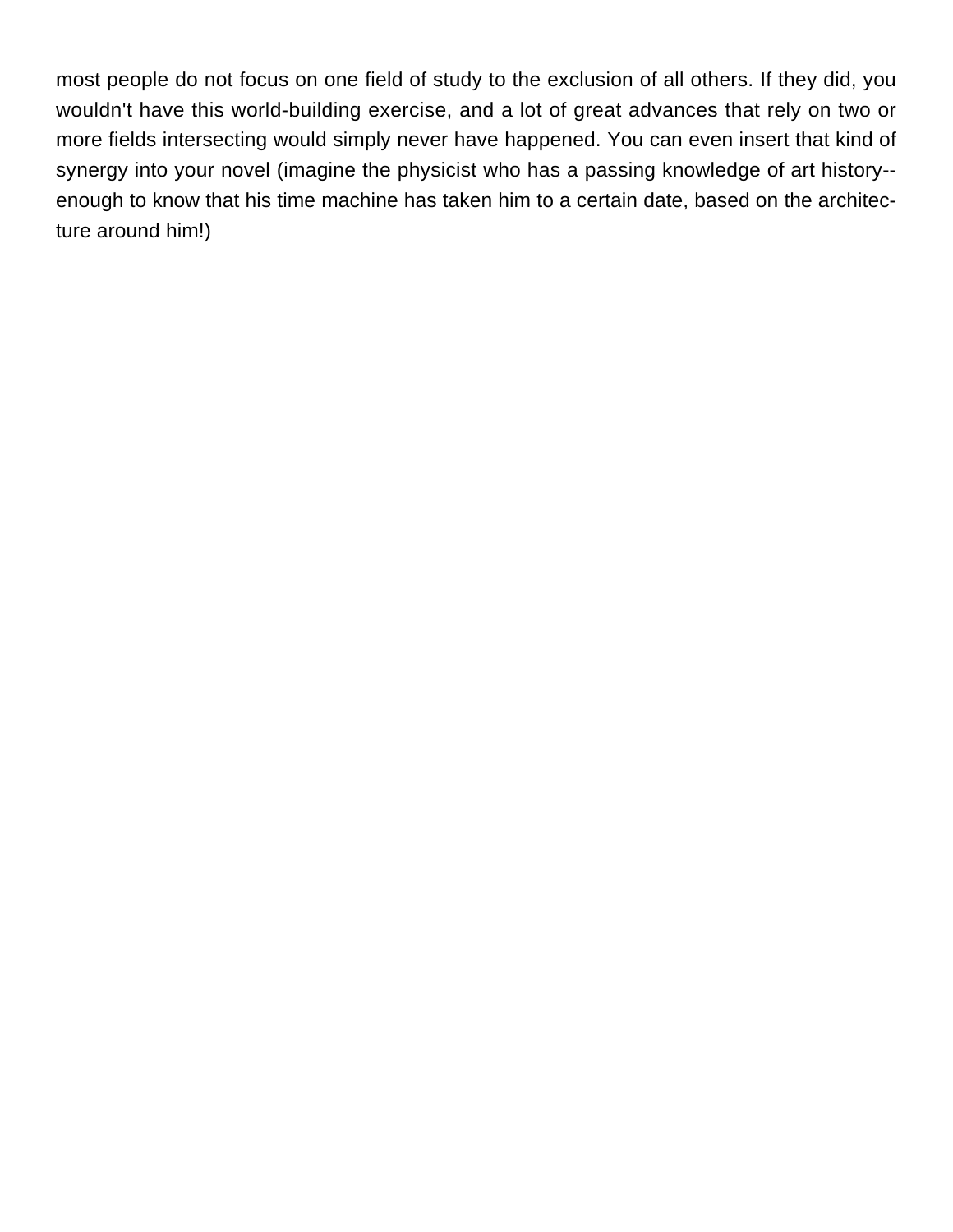most people do not focus on one field of study to the exclusion of all others. If they did, you wouldn't have this world-building exercise, and a lot of great advances that rely on two or more fields intersecting would simply never have happened. You can even insert that kind of synergy into your novel (imagine the physicist who has a passing knowledge of art history- enough to know that his time machine has taken him to a certain date, based on the architecture around him!)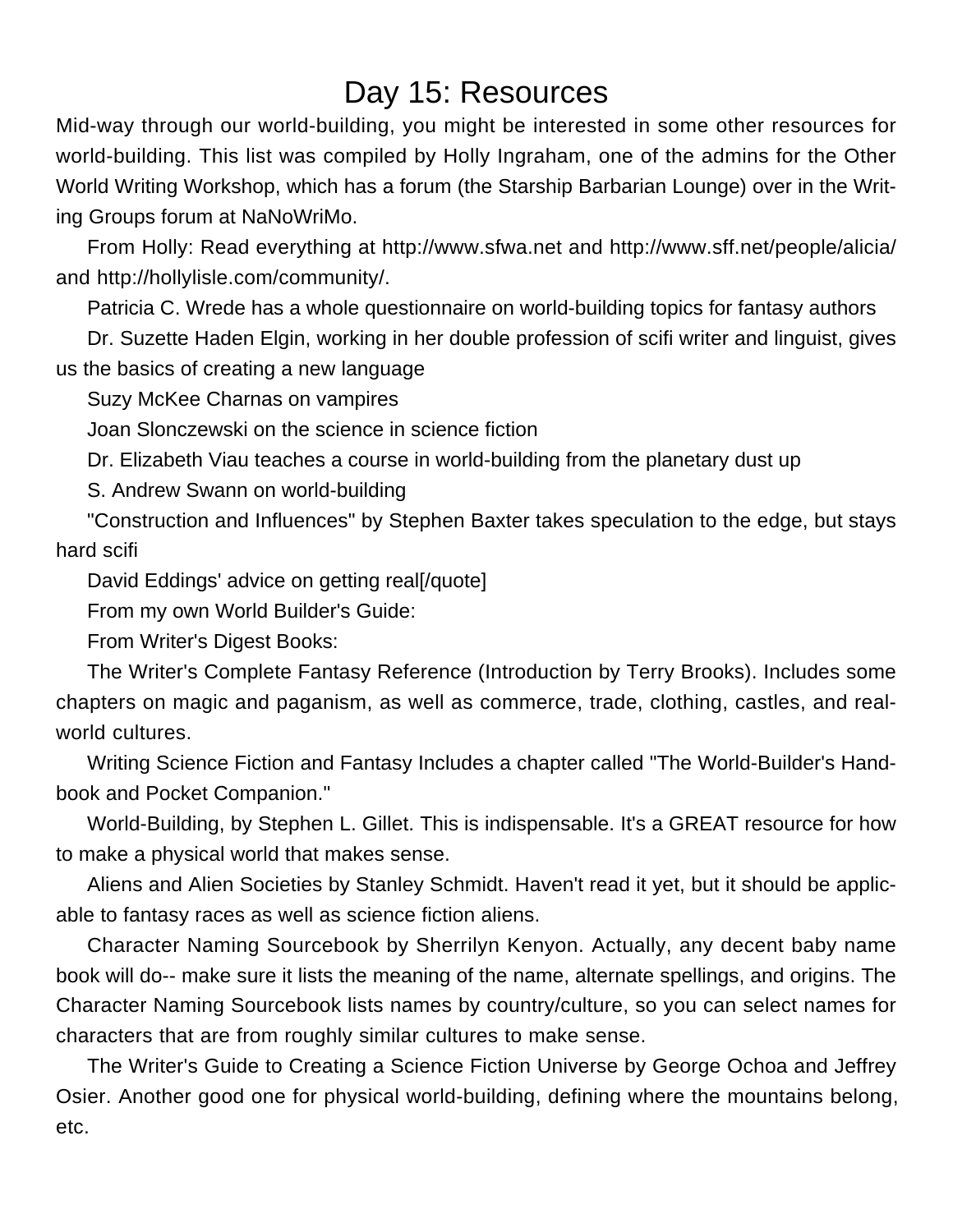# Day 15: Resources

Mid-way through our world-building, you might be interested in some other resources for world-building. This list was compiled by Holly Ingraham, one of the admins for the Other World Writing Workshop, which has a forum (the Starship Barbarian Lounge) over in the Writing Groups forum at NaNoWriMo.

From Holly: Read everything at http://www.sfwa.net and http://www.sff.net/people/alicia/ and http://hollylisle.com/community/.

Patricia C. Wrede has a whole questionnaire on world-building topics for fantasy authors

Dr. Suzette Haden Elgin, working in her double profession of scifi writer and linguist, gives us the basics of creating a new language

Suzy McKee Charnas on vampires

Joan Slonczewski on the science in science fiction

Dr. Elizabeth Viau teaches a course in world-building from the planetary dust up

S. Andrew Swann on world-building

"Construction and Influences" by Stephen Baxter takes speculation to the edge, but stays hard scifi

David Eddings' advice on getting real[/quote]

From my own World Builder's Guide:

From Writer's Digest Books:

The Writer's Complete Fantasy Reference (Introduction by Terry Brooks). Includes some chapters on magic and paganism, as well as commerce, trade, clothing, castles, and realworld cultures.

Writing Science Fiction and Fantasy Includes a chapter called "The World-Builder's Handbook and Pocket Companion."

World-Building, by Stephen L. Gillet. This is indispensable. It's a GREAT resource for how to make a physical world that makes sense.

Aliens and Alien Societies by Stanley Schmidt. Haven't read it yet, but it should be applicable to fantasy races as well as science fiction aliens.

Character Naming Sourcebook by Sherrilyn Kenyon. Actually, any decent baby name book will do-- make sure it lists the meaning of the name, alternate spellings, and origins. The Character Naming Sourcebook lists names by country/culture, so you can select names for characters that are from roughly similar cultures to make sense.

The Writer's Guide to Creating a Science Fiction Universe by George Ochoa and Jeffrey Osier. Another good one for physical world-building, defining where the mountains belong, etc.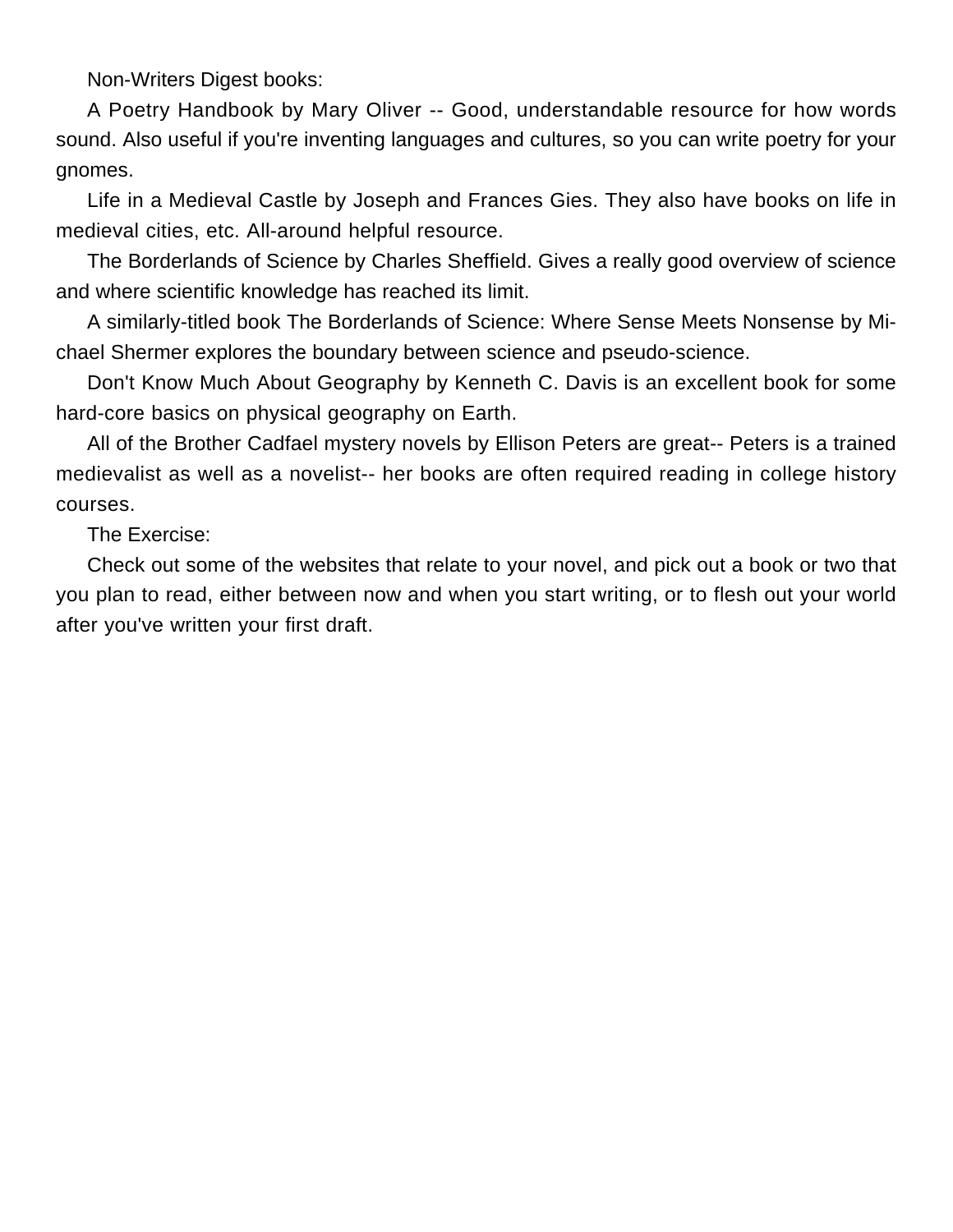Non-Writers Digest books:

A Poetry Handbook by Mary Oliver -- Good, understandable resource for how words sound. Also useful if you're inventing languages and cultures, so you can write poetry for your gnomes.

Life in a Medieval Castle by Joseph and Frances Gies. They also have books on life in medieval cities, etc. All-around helpful resource.

The Borderlands of Science by Charles Sheffield. Gives a really good overview of science and where scientific knowledge has reached its limit.

A similarly-titled book The Borderlands of Science: Where Sense Meets Nonsense by Michael Shermer explores the boundary between science and pseudo-science.

Don't Know Much About Geography by Kenneth C. Davis is an excellent book for some hard-core basics on physical geography on Earth.

All of the Brother Cadfael mystery novels by Ellison Peters are great-- Peters is a trained medievalist as well as a novelist-- her books are often required reading in college history courses.

The Exercise:

Check out some of the websites that relate to your novel, and pick out a book or two that you plan to read, either between now and when you start writing, or to flesh out your world after you've written your first draft.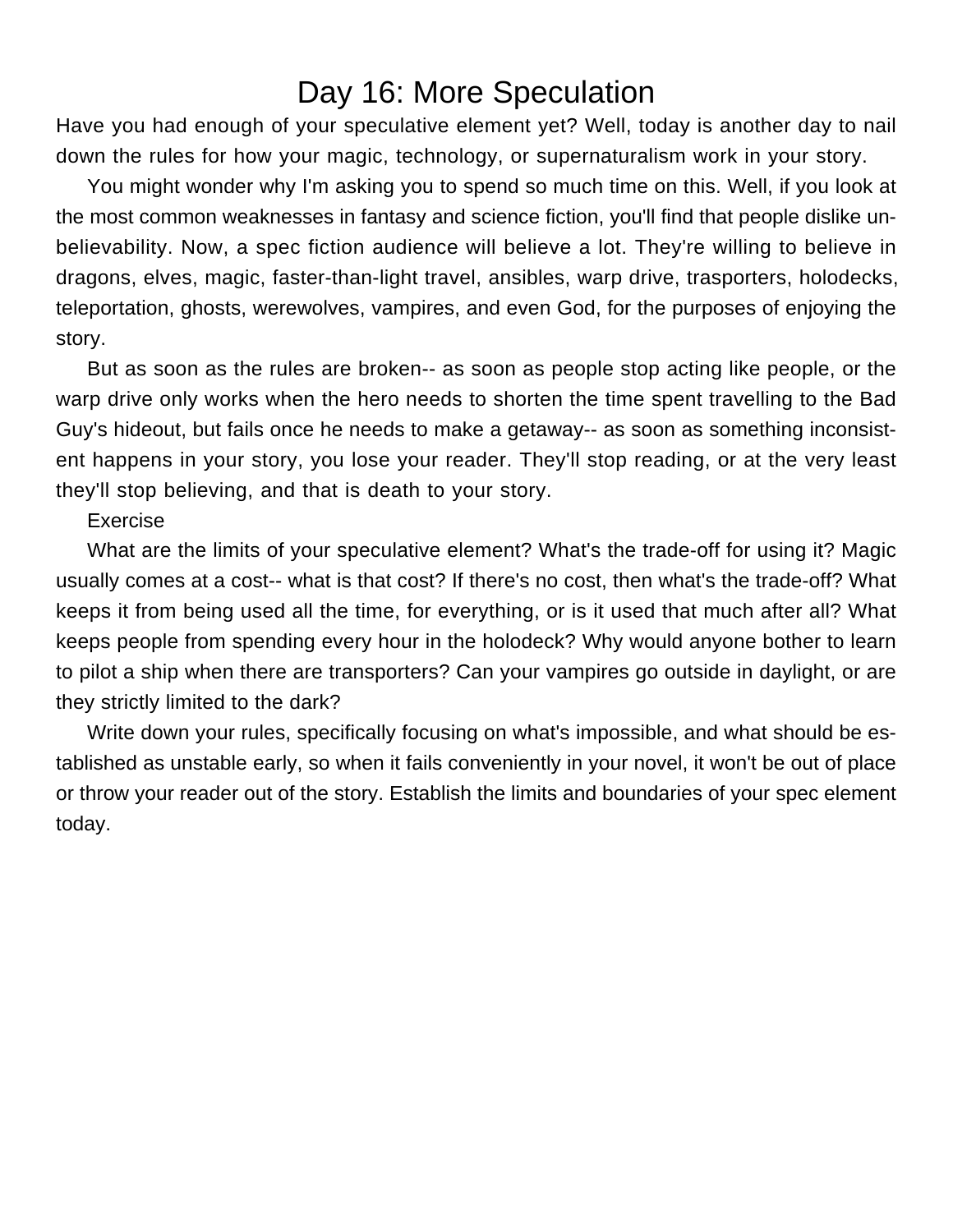### Day 16: More Speculation

Have you had enough of your speculative element yet? Well, today is another day to nail down the rules for how your magic, technology, or supernaturalism work in your story.

You might wonder why I'm asking you to spend so much time on this. Well, if you look at the most common weaknesses in fantasy and science fiction, you'll find that people dislike unbelievability. Now, a spec fiction audience will believe a lot. They're willing to believe in dragons, elves, magic, faster-than-light travel, ansibles, warp drive, trasporters, holodecks, teleportation, ghosts, werewolves, vampires, and even God, for the purposes of enjoying the story.

But as soon as the rules are broken-- as soon as people stop acting like people, or the warp drive only works when the hero needs to shorten the time spent travelling to the Bad Guy's hideout, but fails once he needs to make a getaway-- as soon as something inconsistent happens in your story, you lose your reader. They'll stop reading, or at the very least they'll stop believing, and that is death to your story.

#### Exercise

What are the limits of your speculative element? What's the trade-off for using it? Magic usually comes at a cost-- what is that cost? If there's no cost, then what's the trade-off? What keeps it from being used all the time, for everything, or is it used that much after all? What keeps people from spending every hour in the holodeck? Why would anyone bother to learn to pilot a ship when there are transporters? Can your vampires go outside in daylight, or are they strictly limited to the dark?

Write down your rules, specifically focusing on what's impossible, and what should be established as unstable early, so when it fails conveniently in your novel, it won't be out of place or throw your reader out of the story. Establish the limits and boundaries of your spec element today.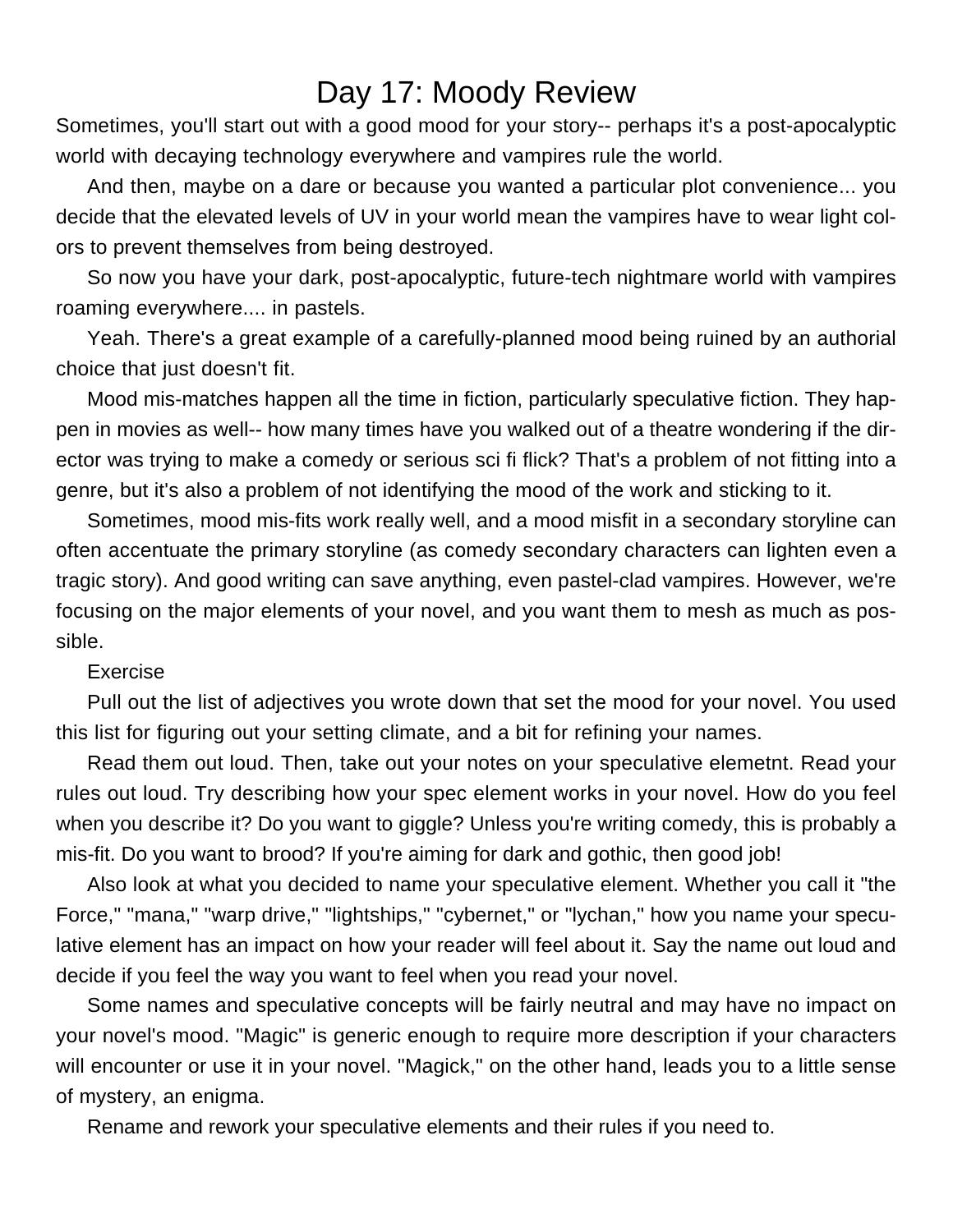### Day 17: Moody Review

Sometimes, you'll start out with a good mood for your story-- perhaps it's a post-apocalyptic world with decaying technology everywhere and vampires rule the world.

And then, maybe on a dare or because you wanted a particular plot convenience... you decide that the elevated levels of UV in your world mean the vampires have to wear light colors to prevent themselves from being destroyed.

So now you have your dark, post-apocalyptic, future-tech nightmare world with vampires roaming everywhere.... in pastels.

Yeah. There's a great example of a carefully-planned mood being ruined by an authorial choice that just doesn't fit.

Mood mis-matches happen all the time in fiction, particularly speculative fiction. They happen in movies as well-- how many times have you walked out of a theatre wondering if the director was trying to make a comedy or serious sci fi flick? That's a problem of not fitting into a genre, but it's also a problem of not identifying the mood of the work and sticking to it.

Sometimes, mood mis-fits work really well, and a mood misfit in a secondary storyline can often accentuate the primary storyline (as comedy secondary characters can lighten even a tragic story). And good writing can save anything, even pastel-clad vampires. However, we're focusing on the major elements of your novel, and you want them to mesh as much as possible.

#### Exercise

Pull out the list of adjectives you wrote down that set the mood for your novel. You used this list for figuring out your setting climate, and a bit for refining your names.

Read them out loud. Then, take out your notes on your speculative elemetnt. Read your rules out loud. Try describing how your spec element works in your novel. How do you feel when you describe it? Do you want to giggle? Unless you're writing comedy, this is probably a mis-fit. Do you want to brood? If you're aiming for dark and gothic, then good job!

Also look at what you decided to name your speculative element. Whether you call it "the Force," "mana," "warp drive," "lightships," "cybernet," or "lychan," how you name your speculative element has an impact on how your reader will feel about it. Say the name out loud and decide if you feel the way you want to feel when you read your novel.

Some names and speculative concepts will be fairly neutral and may have no impact on your novel's mood. "Magic" is generic enough to require more description if your characters will encounter or use it in your novel. "Magick," on the other hand, leads you to a little sense of mystery, an enigma.

Rename and rework your speculative elements and their rules if you need to.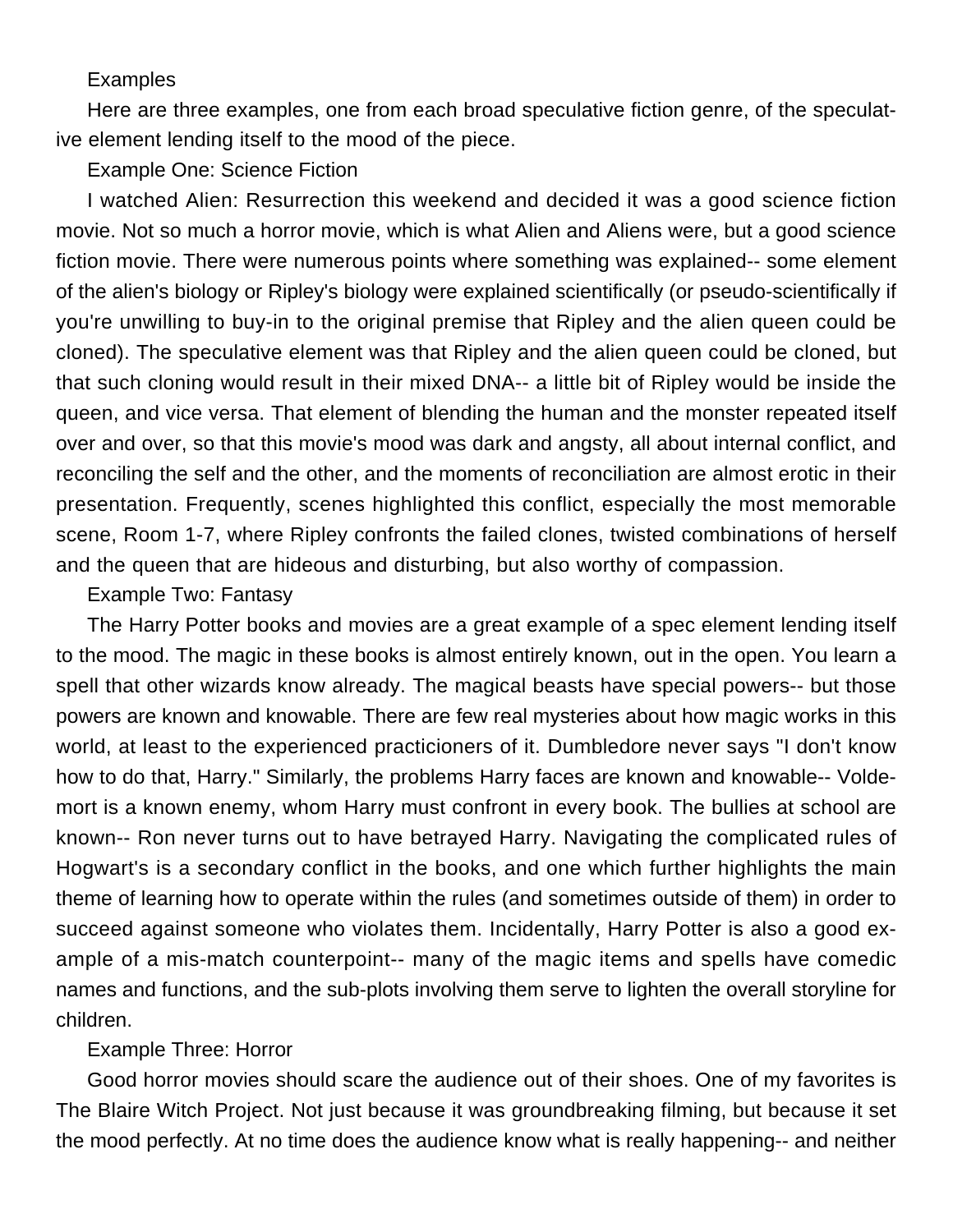#### **Examples**

Here are three examples, one from each broad speculative fiction genre, of the speculative element lending itself to the mood of the piece.

Example One: Science Fiction

I watched Alien: Resurrection this weekend and decided it was a good science fiction movie. Not so much a horror movie, which is what Alien and Aliens were, but a good science fiction movie. There were numerous points where something was explained-- some element of the alien's biology or Ripley's biology were explained scientifically (or pseudo-scientifically if you're unwilling to buy-in to the original premise that Ripley and the alien queen could be cloned). The speculative element was that Ripley and the alien queen could be cloned, but that such cloning would result in their mixed DNA-- a little bit of Ripley would be inside the queen, and vice versa. That element of blending the human and the monster repeated itself over and over, so that this movie's mood was dark and angsty, all about internal conflict, and reconciling the self and the other, and the moments of reconciliation are almost erotic in their presentation. Frequently, scenes highlighted this conflict, especially the most memorable scene, Room 1-7, where Ripley confronts the failed clones, twisted combinations of herself and the queen that are hideous and disturbing, but also worthy of compassion.

Example Two: Fantasy

The Harry Potter books and movies are a great example of a spec element lending itself to the mood. The magic in these books is almost entirely known, out in the open. You learn a spell that other wizards know already. The magical beasts have special powers-- but those powers are known and knowable. There are few real mysteries about how magic works in this world, at least to the experienced practicioners of it. Dumbledore never says "I don't know how to do that, Harry." Similarly, the problems Harry faces are known and knowable-- Voldemort is a known enemy, whom Harry must confront in every book. The bullies at school are known-- Ron never turns out to have betrayed Harry. Navigating the complicated rules of Hogwart's is a secondary conflict in the books, and one which further highlights the main theme of learning how to operate within the rules (and sometimes outside of them) in order to succeed against someone who violates them. Incidentally, Harry Potter is also a good example of a mis-match counterpoint-- many of the magic items and spells have comedic names and functions, and the sub-plots involving them serve to lighten the overall storyline for children.

#### Example Three: Horror

Good horror movies should scare the audience out of their shoes. One of my favorites is The Blaire Witch Project. Not just because it was groundbreaking filming, but because it set the mood perfectly. At no time does the audience know what is really happening-- and neither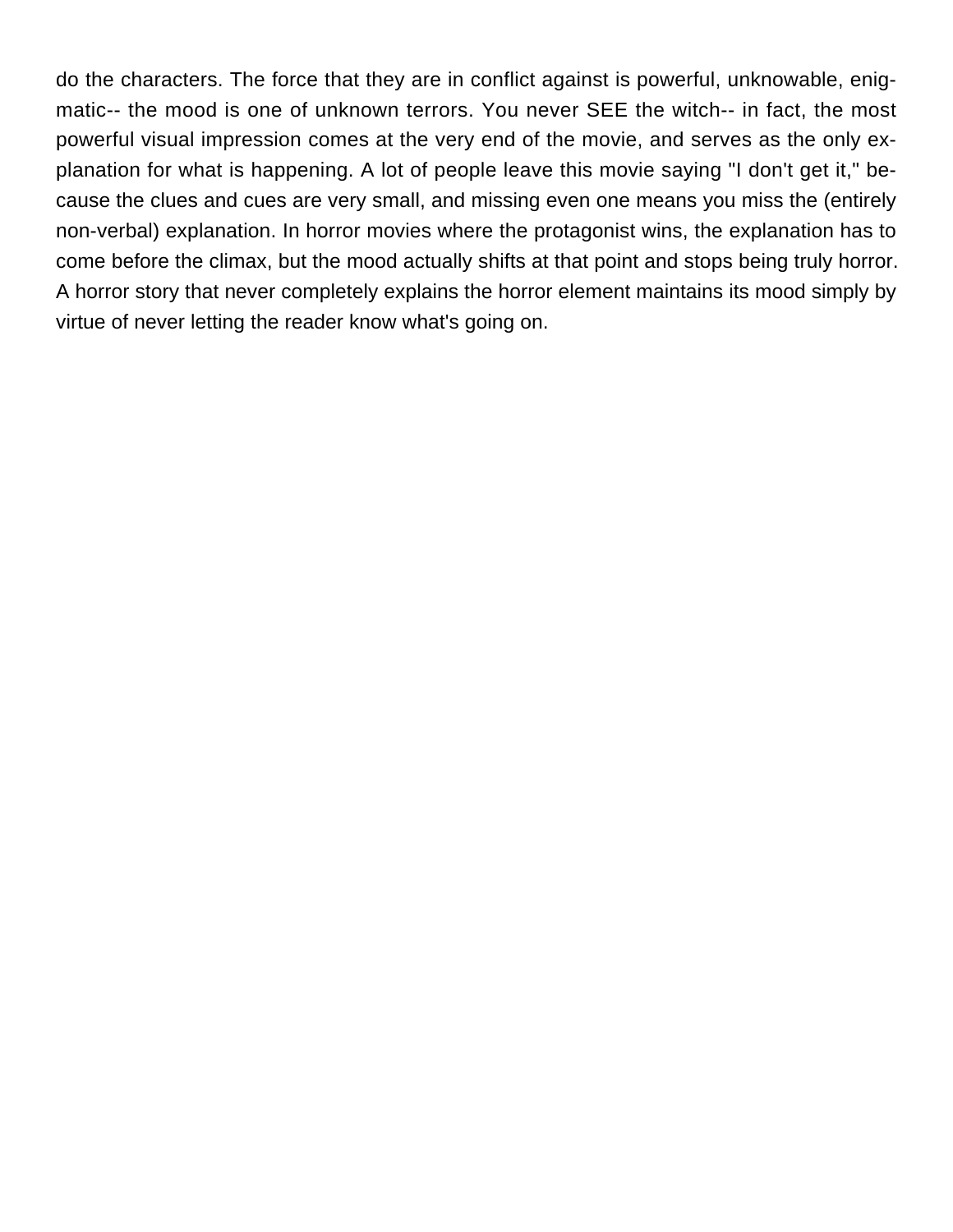do the characters. The force that they are in conflict against is powerful, unknowable, enigmatic-- the mood is one of unknown terrors. You never SEE the witch-- in fact, the most powerful visual impression comes at the very end of the movie, and serves as the only explanation for what is happening. A lot of people leave this movie saying "I don't get it," because the clues and cues are very small, and missing even one means you miss the (entirely non-verbal) explanation. In horror movies where the protagonist wins, the explanation has to come before the climax, but the mood actually shifts at that point and stops being truly horror. A horror story that never completely explains the horror element maintains its mood simply by virtue of never letting the reader know what's going on.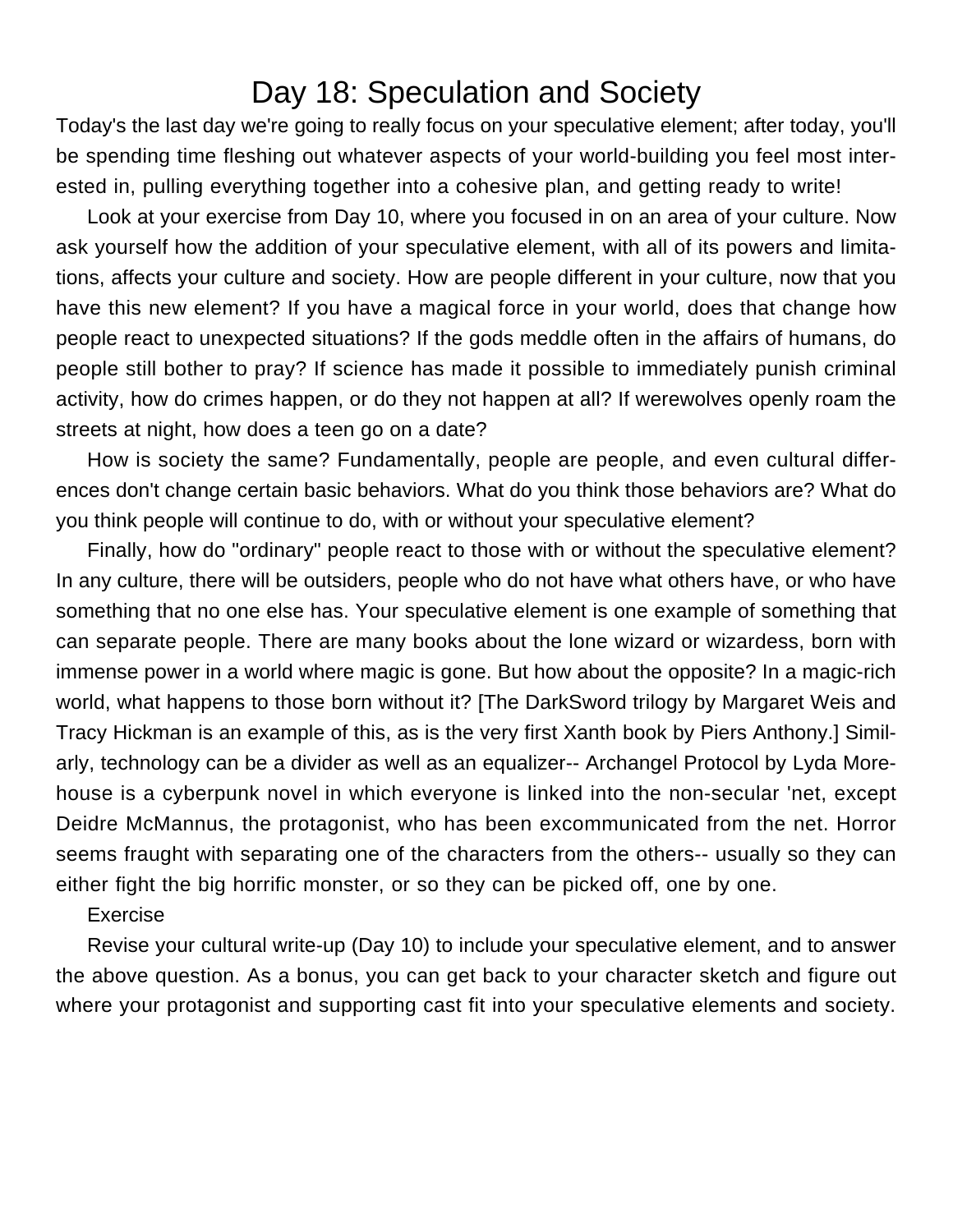### Day 18: Speculation and Society

Today's the last day we're going to really focus on your speculative element; after today, you'll be spending time fleshing out whatever aspects of your world-building you feel most interested in, pulling everything together into a cohesive plan, and getting ready to write!

Look at your exercise from Day 10, where you focused in on an area of your culture. Now ask yourself how the addition of your speculative element, with all of its powers and limitations, affects your culture and society. How are people different in your culture, now that you have this new element? If you have a magical force in your world, does that change how people react to unexpected situations? If the gods meddle often in the affairs of humans, do people still bother to pray? If science has made it possible to immediately punish criminal activity, how do crimes happen, or do they not happen at all? If werewolves openly roam the streets at night, how does a teen go on a date?

How is society the same? Fundamentally, people are people, and even cultural differences don't change certain basic behaviors. What do you think those behaviors are? What do you think people will continue to do, with or without your speculative element?

Finally, how do "ordinary" people react to those with or without the speculative element? In any culture, there will be outsiders, people who do not have what others have, or who have something that no one else has. Your speculative element is one example of something that can separate people. There are many books about the lone wizard or wizardess, born with immense power in a world where magic is gone. But how about the opposite? In a magic-rich world, what happens to those born without it? [The DarkSword trilogy by Margaret Weis and Tracy Hickman is an example of this, as is the very first Xanth book by Piers Anthony.] Similarly, technology can be a divider as well as an equalizer-- Archangel Protocol by Lyda Morehouse is a cyberpunk novel in which everyone is linked into the non-secular 'net, except Deidre McMannus, the protagonist, who has been excommunicated from the net. Horror seems fraught with separating one of the characters from the others-- usually so they can either fight the big horrific monster, or so they can be picked off, one by one.

#### Exercise

Revise your cultural write-up (Day 10) to include your speculative element, and to answer the above question. As a bonus, you can get back to your character sketch and figure out where your protagonist and supporting cast fit into your speculative elements and society.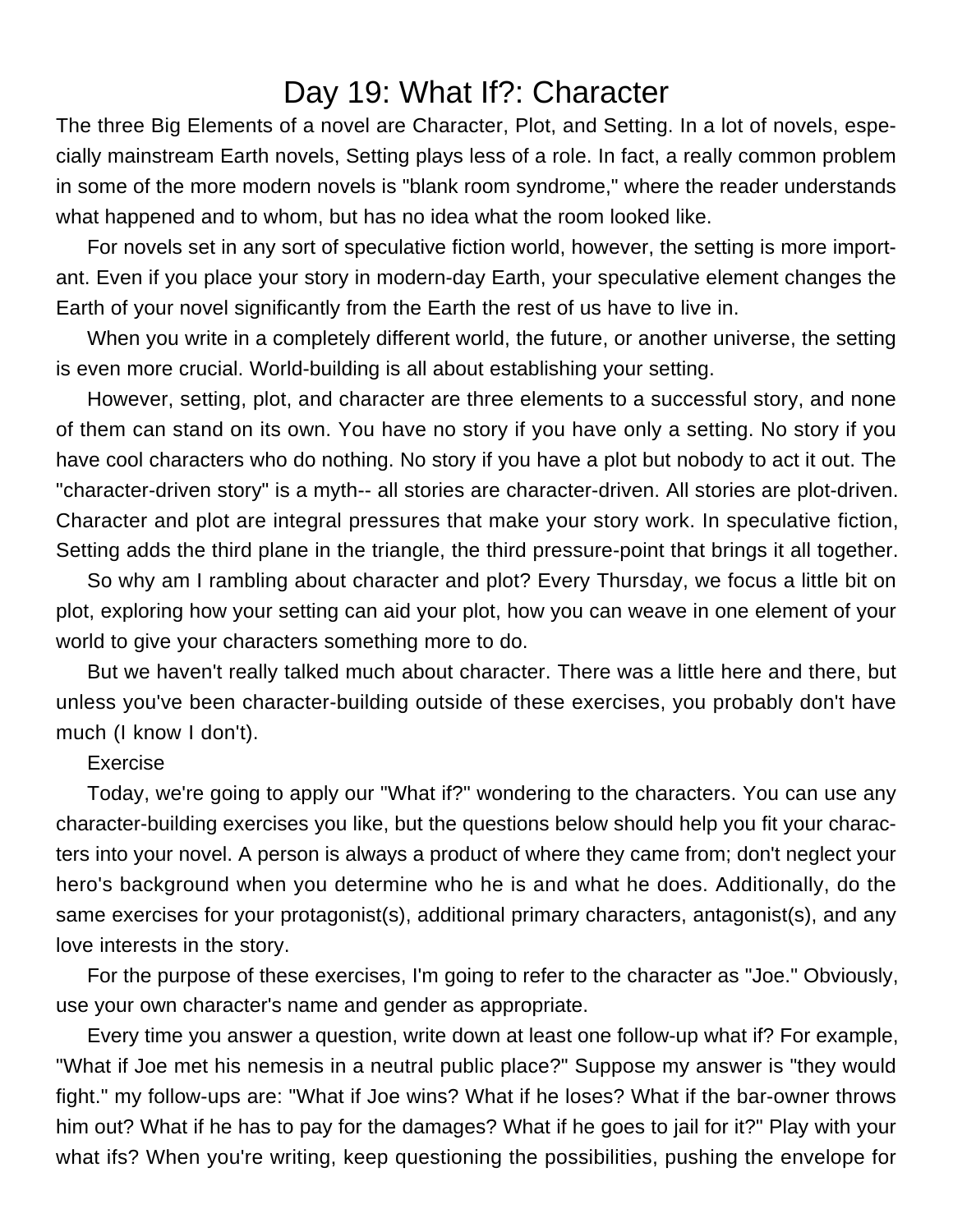### Day 19: What If?: Character

The three Big Elements of a novel are Character, Plot, and Setting. In a lot of novels, especially mainstream Earth novels, Setting plays less of a role. In fact, a really common problem in some of the more modern novels is "blank room syndrome," where the reader understands what happened and to whom, but has no idea what the room looked like.

For novels set in any sort of speculative fiction world, however, the setting is more important. Even if you place your story in modern-day Earth, your speculative element changes the Earth of your novel significantly from the Earth the rest of us have to live in.

When you write in a completely different world, the future, or another universe, the setting is even more crucial. World-building is all about establishing your setting.

However, setting, plot, and character are three elements to a successful story, and none of them can stand on its own. You have no story if you have only a setting. No story if you have cool characters who do nothing. No story if you have a plot but nobody to act it out. The "character-driven story" is a myth-- all stories are character-driven. All stories are plot-driven. Character and plot are integral pressures that make your story work. In speculative fiction, Setting adds the third plane in the triangle, the third pressure-point that brings it all together.

So why am I rambling about character and plot? Every Thursday, we focus a little bit on plot, exploring how your setting can aid your plot, how you can weave in one element of your world to give your characters something more to do.

But we haven't really talked much about character. There was a little here and there, but unless you've been character-building outside of these exercises, you probably don't have much (I know I don't).

#### Exercise

Today, we're going to apply our "What if?" wondering to the characters. You can use any character-building exercises you like, but the questions below should help you fit your characters into your novel. A person is always a product of where they came from; don't neglect your hero's background when you determine who he is and what he does. Additionally, do the same exercises for your protagonist(s), additional primary characters, antagonist(s), and any love interests in the story.

For the purpose of these exercises, I'm going to refer to the character as "Joe." Obviously, use your own character's name and gender as appropriate.

Every time you answer a question, write down at least one follow-up what if? For example, "What if Joe met his nemesis in a neutral public place?" Suppose my answer is "they would fight." my follow-ups are: "What if Joe wins? What if he loses? What if the bar-owner throws him out? What if he has to pay for the damages? What if he goes to jail for it?" Play with your what ifs? When you're writing, keep questioning the possibilities, pushing the envelope for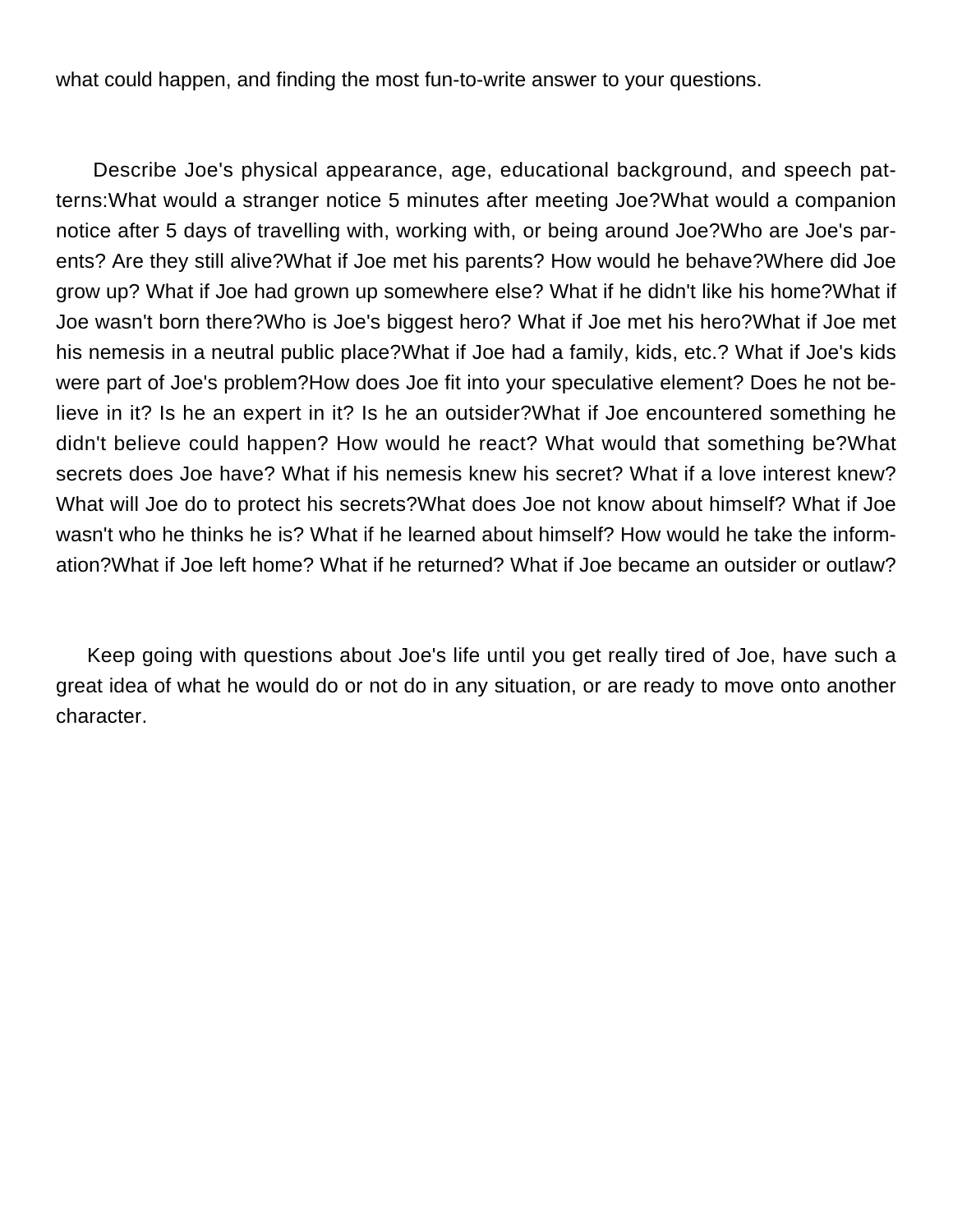what could happen, and finding the most fun-to-write answer to your questions.

 Describe Joe's physical appearance, age, educational background, and speech patterns:What would a stranger notice 5 minutes after meeting Joe?What would a companion notice after 5 days of travelling with, working with, or being around Joe?Who are Joe's parents? Are they still alive?What if Joe met his parents? How would he behave?Where did Joe grow up? What if Joe had grown up somewhere else? What if he didn't like his home?What if Joe wasn't born there?Who is Joe's biggest hero? What if Joe met his hero?What if Joe met his nemesis in a neutral public place?What if Joe had a family, kids, etc.? What if Joe's kids were part of Joe's problem?How does Joe fit into your speculative element? Does he not believe in it? Is he an expert in it? Is he an outsider?What if Joe encountered something he didn't believe could happen? How would he react? What would that something be?What secrets does Joe have? What if his nemesis knew his secret? What if a love interest knew? What will Joe do to protect his secrets?What does Joe not know about himself? What if Joe wasn't who he thinks he is? What if he learned about himself? How would he take the information?What if Joe left home? What if he returned? What if Joe became an outsider or outlaw?

Keep going with questions about Joe's life until you get really tired of Joe, have such a great idea of what he would do or not do in any situation, or are ready to move onto another character.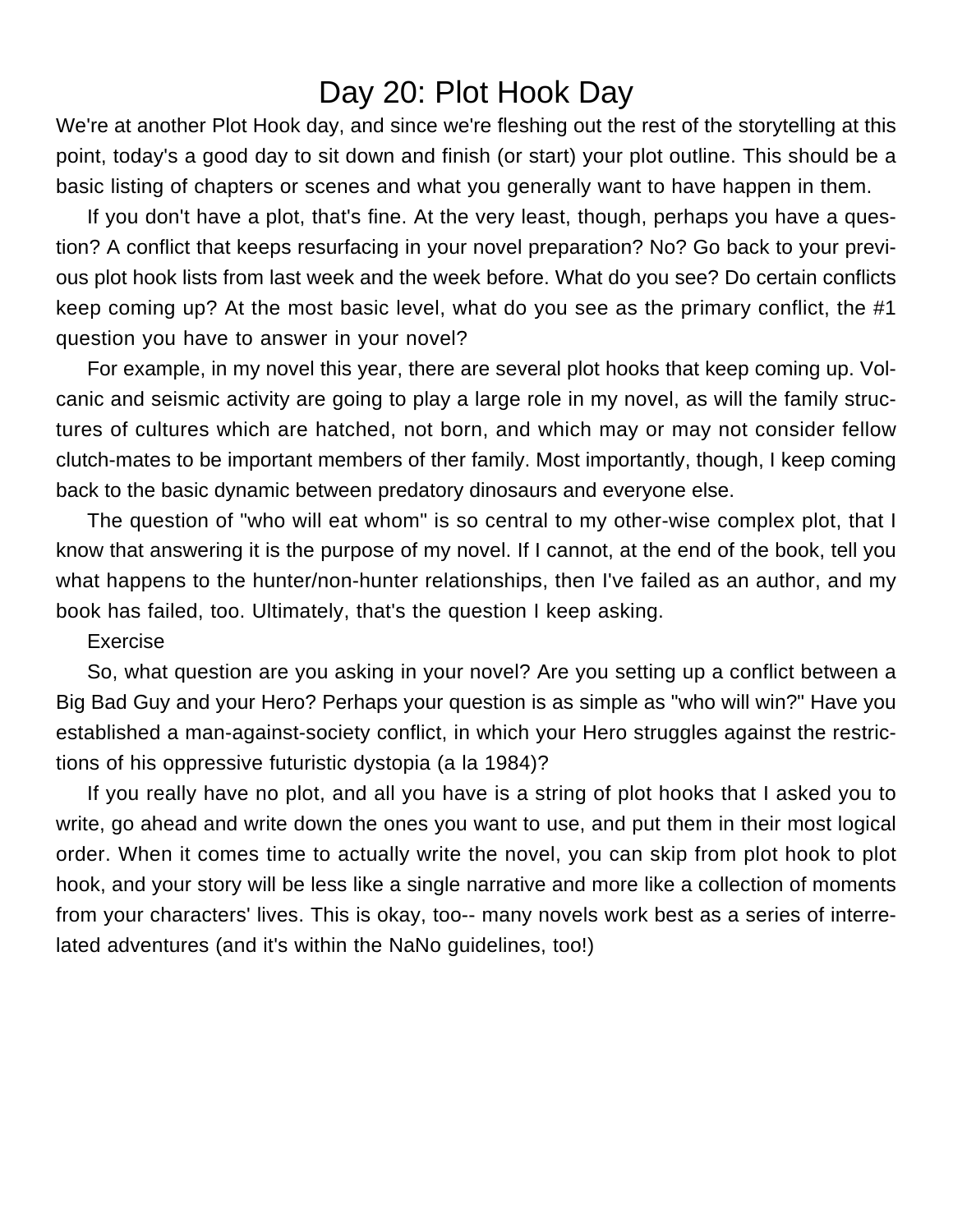### Day 20: Plot Hook Day

We're at another Plot Hook day, and since we're fleshing out the rest of the storytelling at this point, today's a good day to sit down and finish (or start) your plot outline. This should be a basic listing of chapters or scenes and what you generally want to have happen in them.

If you don't have a plot, that's fine. At the very least, though, perhaps you have a question? A conflict that keeps resurfacing in your novel preparation? No? Go back to your previous plot hook lists from last week and the week before. What do you see? Do certain conflicts keep coming up? At the most basic level, what do you see as the primary conflict, the #1 question you have to answer in your novel?

For example, in my novel this year, there are several plot hooks that keep coming up. Volcanic and seismic activity are going to play a large role in my novel, as will the family structures of cultures which are hatched, not born, and which may or may not consider fellow clutch-mates to be important members of ther family. Most importantly, though, I keep coming back to the basic dynamic between predatory dinosaurs and everyone else.

The question of "who will eat whom" is so central to my other-wise complex plot, that I know that answering it is the purpose of my novel. If I cannot, at the end of the book, tell you what happens to the hunter/non-hunter relationships, then I've failed as an author, and my book has failed, too. Ultimately, that's the question I keep asking.

#### Exercise

So, what question are you asking in your novel? Are you setting up a conflict between a Big Bad Guy and your Hero? Perhaps your question is as simple as "who will win?" Have you established a man-against-society conflict, in which your Hero struggles against the restrictions of his oppressive futuristic dystopia (a la 1984)?

If you really have no plot, and all you have is a string of plot hooks that I asked you to write, go ahead and write down the ones you want to use, and put them in their most logical order. When it comes time to actually write the novel, you can skip from plot hook to plot hook, and your story will be less like a single narrative and more like a collection of moments from your characters' lives. This is okay, too-- many novels work best as a series of interrelated adventures (and it's within the NaNo guidelines, too!)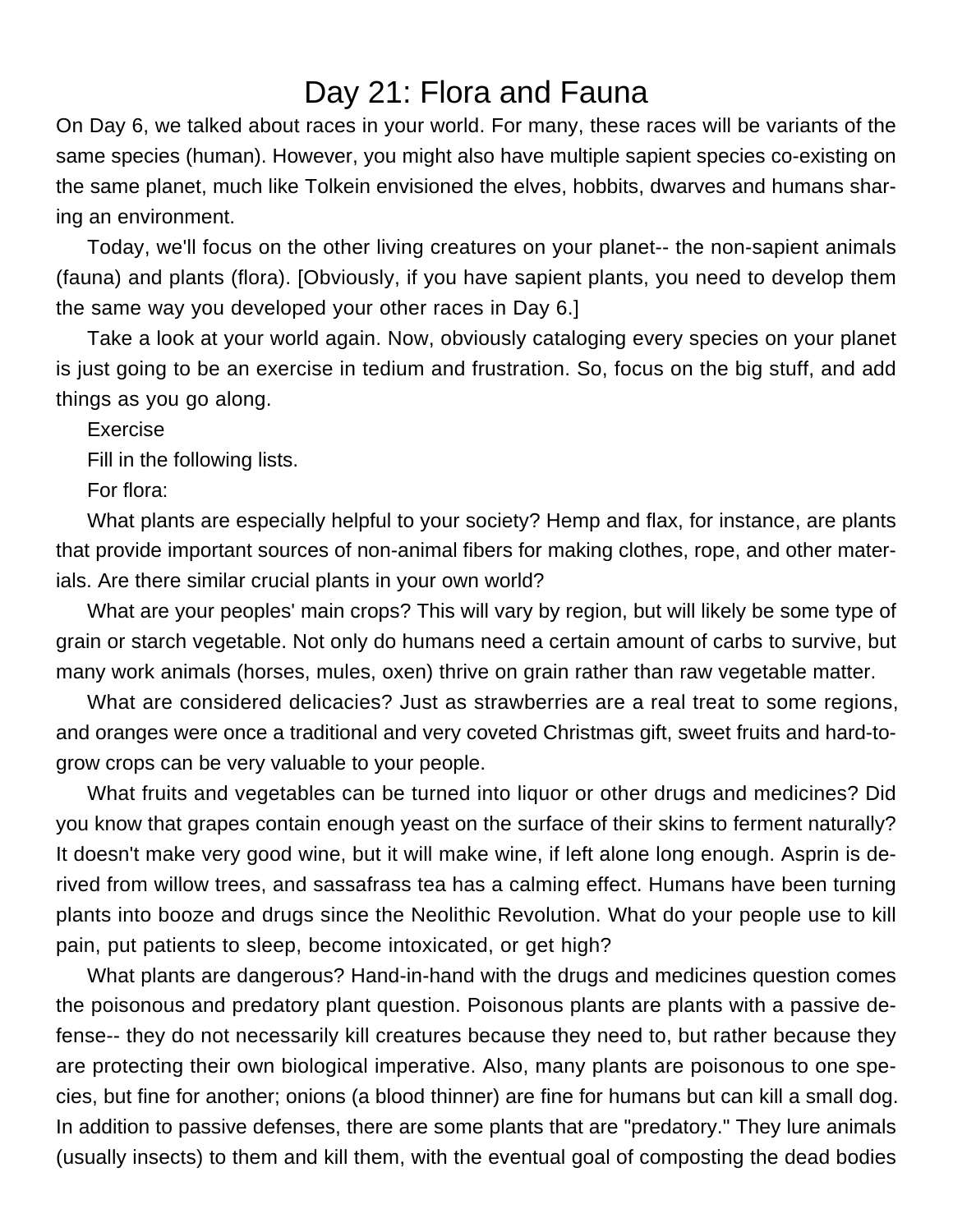### Day 21: Flora and Fauna

On Day 6, we talked about races in your world. For many, these races will be variants of the same species (human). However, you might also have multiple sapient species co-existing on the same planet, much like Tolkein envisioned the elves, hobbits, dwarves and humans sharing an environment.

Today, we'll focus on the other living creatures on your planet-- the non-sapient animals (fauna) and plants (flora). [Obviously, if you have sapient plants, you need to develop them the same way you developed your other races in Day 6.]

Take a look at your world again. Now, obviously cataloging every species on your planet is just going to be an exercise in tedium and frustration. So, focus on the big stuff, and add things as you go along.

Exercise

Fill in the following lists.

For flora:

What plants are especially helpful to your society? Hemp and flax, for instance, are plants that provide important sources of non-animal fibers for making clothes, rope, and other materials. Are there similar crucial plants in your own world?

What are your peoples' main crops? This will vary by region, but will likely be some type of grain or starch vegetable. Not only do humans need a certain amount of carbs to survive, but many work animals (horses, mules, oxen) thrive on grain rather than raw vegetable matter.

What are considered delicacies? Just as strawberries are a real treat to some regions, and oranges were once a traditional and very coveted Christmas gift, sweet fruits and hard-togrow crops can be very valuable to your people.

What fruits and vegetables can be turned into liquor or other drugs and medicines? Did you know that grapes contain enough yeast on the surface of their skins to ferment naturally? It doesn't make very good wine, but it will make wine, if left alone long enough. Asprin is derived from willow trees, and sassafrass tea has a calming effect. Humans have been turning plants into booze and drugs since the Neolithic Revolution. What do your people use to kill pain, put patients to sleep, become intoxicated, or get high?

What plants are dangerous? Hand-in-hand with the drugs and medicines question comes the poisonous and predatory plant question. Poisonous plants are plants with a passive defense-- they do not necessarily kill creatures because they need to, but rather because they are protecting their own biological imperative. Also, many plants are poisonous to one species, but fine for another; onions (a blood thinner) are fine for humans but can kill a small dog. In addition to passive defenses, there are some plants that are "predatory." They lure animals (usually insects) to them and kill them, with the eventual goal of composting the dead bodies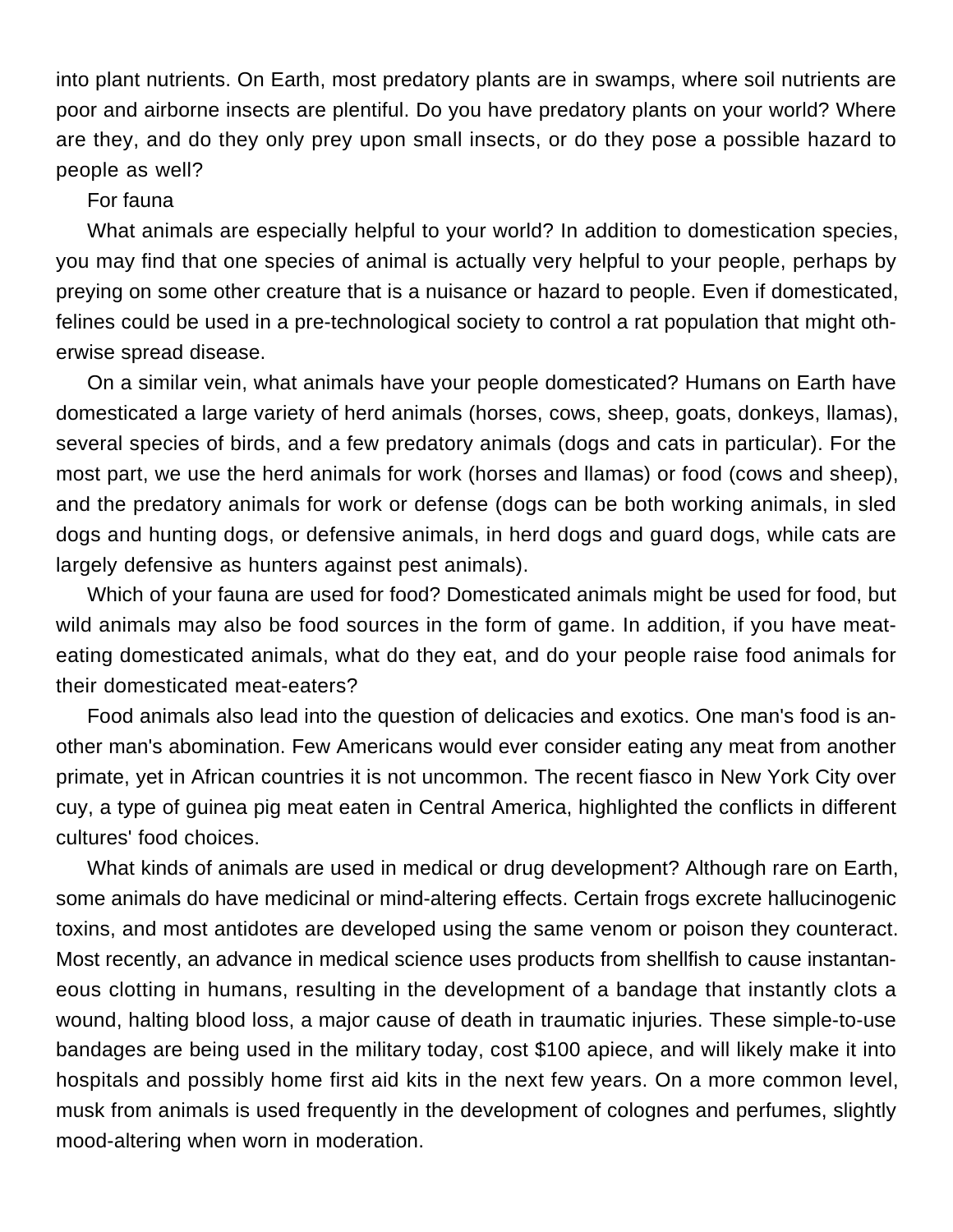into plant nutrients. On Earth, most predatory plants are in swamps, where soil nutrients are poor and airborne insects are plentiful. Do you have predatory plants on your world? Where are they, and do they only prey upon small insects, or do they pose a possible hazard to people as well?

#### For fauna

What animals are especially helpful to your world? In addition to domestication species, you may find that one species of animal is actually very helpful to your people, perhaps by preying on some other creature that is a nuisance or hazard to people. Even if domesticated, felines could be used in a pre-technological society to control a rat population that might otherwise spread disease.

On a similar vein, what animals have your people domesticated? Humans on Earth have domesticated a large variety of herd animals (horses, cows, sheep, goats, donkeys, llamas), several species of birds, and a few predatory animals (dogs and cats in particular). For the most part, we use the herd animals for work (horses and llamas) or food (cows and sheep), and the predatory animals for work or defense (dogs can be both working animals, in sled dogs and hunting dogs, or defensive animals, in herd dogs and guard dogs, while cats are largely defensive as hunters against pest animals).

Which of your fauna are used for food? Domesticated animals might be used for food, but wild animals may also be food sources in the form of game. In addition, if you have meateating domesticated animals, what do they eat, and do your people raise food animals for their domesticated meat-eaters?

Food animals also lead into the question of delicacies and exotics. One man's food is another man's abomination. Few Americans would ever consider eating any meat from another primate, yet in African countries it is not uncommon. The recent fiasco in New York City over cuy, a type of guinea pig meat eaten in Central America, highlighted the conflicts in different cultures' food choices.

What kinds of animals are used in medical or drug development? Although rare on Earth, some animals do have medicinal or mind-altering effects. Certain frogs excrete hallucinogenic toxins, and most antidotes are developed using the same venom or poison they counteract. Most recently, an advance in medical science uses products from shellfish to cause instantaneous clotting in humans, resulting in the development of a bandage that instantly clots a wound, halting blood loss, a major cause of death in traumatic injuries. These simple-to-use bandages are being used in the military today, cost \$100 apiece, and will likely make it into hospitals and possibly home first aid kits in the next few years. On a more common level, musk from animals is used frequently in the development of colognes and perfumes, slightly mood-altering when worn in moderation.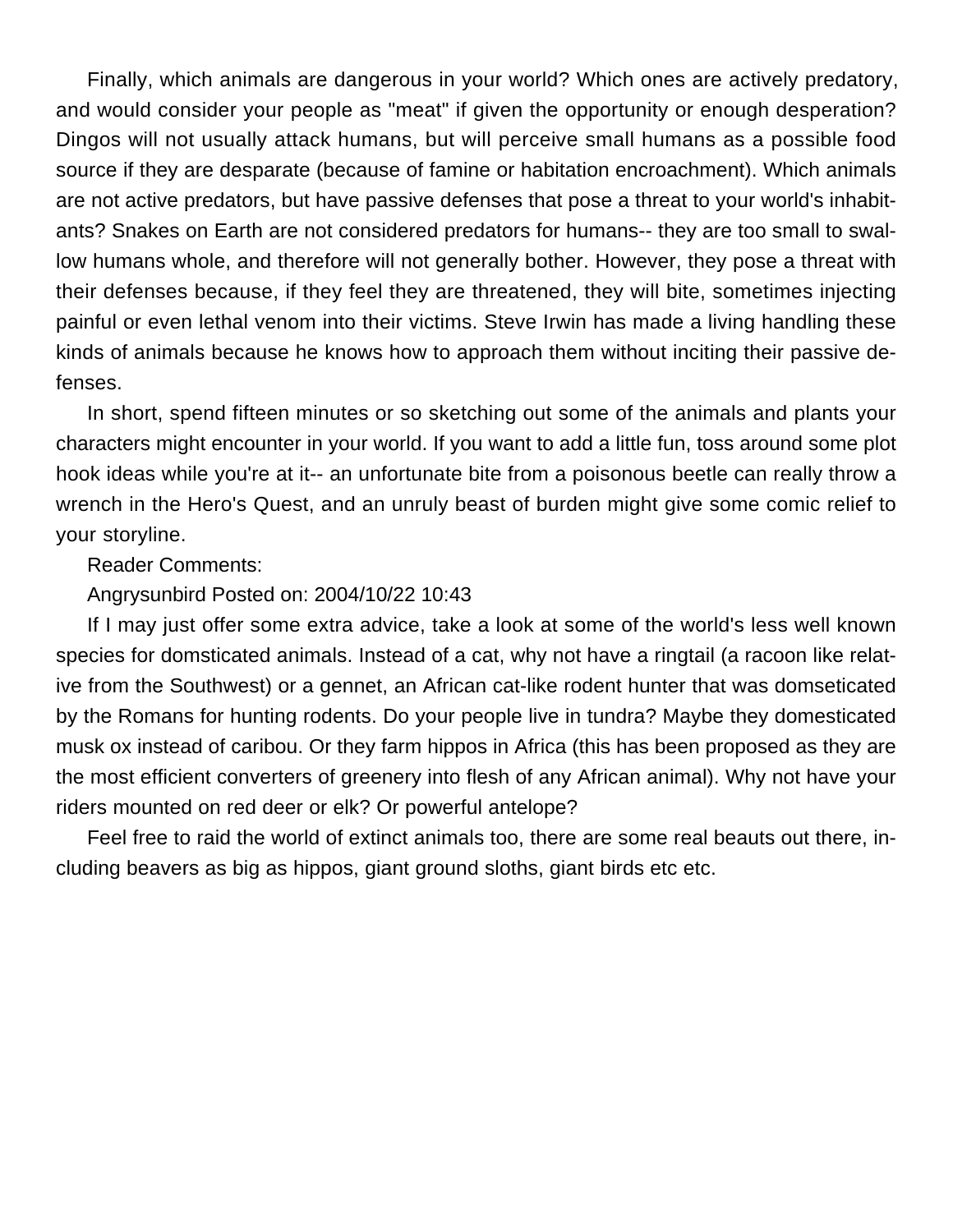Finally, which animals are dangerous in your world? Which ones are actively predatory, and would consider your people as "meat" if given the opportunity or enough desperation? Dingos will not usually attack humans, but will perceive small humans as a possible food source if they are desparate (because of famine or habitation encroachment). Which animals are not active predators, but have passive defenses that pose a threat to your world's inhabitants? Snakes on Earth are not considered predators for humans-- they are too small to swallow humans whole, and therefore will not generally bother. However, they pose a threat with their defenses because, if they feel they are threatened, they will bite, sometimes injecting painful or even lethal venom into their victims. Steve Irwin has made a living handling these kinds of animals because he knows how to approach them without inciting their passive defenses.

In short, spend fifteen minutes or so sketching out some of the animals and plants your characters might encounter in your world. If you want to add a little fun, toss around some plot hook ideas while you're at it-- an unfortunate bite from a poisonous beetle can really throw a wrench in the Hero's Quest, and an unruly beast of burden might give some comic relief to your storyline.

Reader Comments:

Angrysunbird Posted on: 2004/10/22 10:43

If I may just offer some extra advice, take a look at some of the world's less well known species for domsticated animals. Instead of a cat, why not have a ringtail (a racoon like relative from the Southwest) or a gennet, an African cat-like rodent hunter that was domseticated by the Romans for hunting rodents. Do your people live in tundra? Maybe they domesticated musk ox instead of caribou. Or they farm hippos in Africa (this has been proposed as they are the most efficient converters of greenery into flesh of any African animal). Why not have your riders mounted on red deer or elk? Or powerful antelope?

Feel free to raid the world of extinct animals too, there are some real beauts out there, including beavers as big as hippos, giant ground sloths, giant birds etc etc.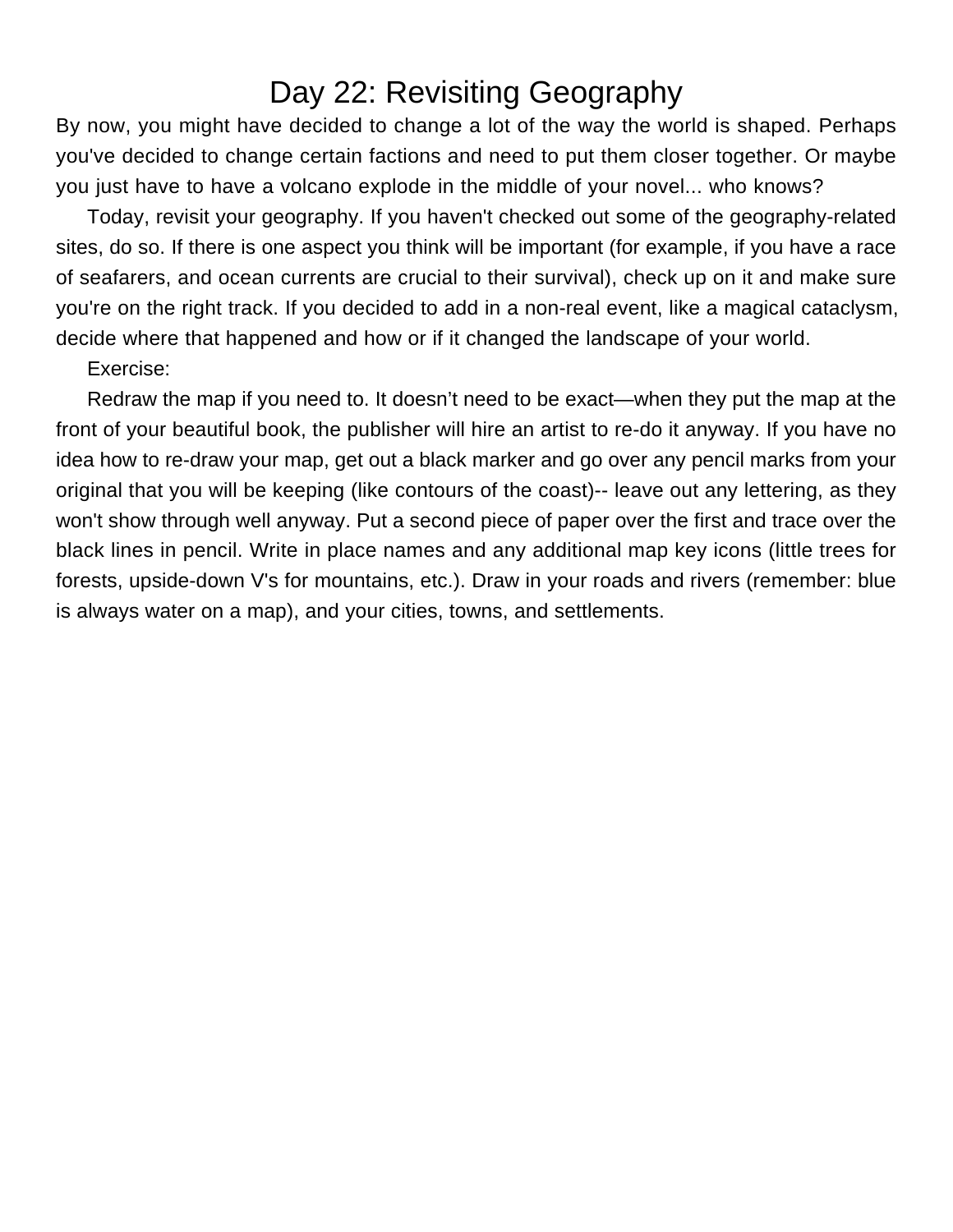### Day 22: Revisiting Geography

By now, you might have decided to change a lot of the way the world is shaped. Perhaps you've decided to change certain factions and need to put them closer together. Or maybe you just have to have a volcano explode in the middle of your novel... who knows?

Today, revisit your geography. If you haven't checked out some of the geography-related sites, do so. If there is one aspect you think will be important (for example, if you have a race of seafarers, and ocean currents are crucial to their survival), check up on it and make sure you're on the right track. If you decided to add in a non-real event, like a magical cataclysm, decide where that happened and how or if it changed the landscape of your world.

Exercise:

Redraw the map if you need to. It doesn't need to be exact—when they put the map at the front of your beautiful book, the publisher will hire an artist to re-do it anyway. If you have no idea how to re-draw your map, get out a black marker and go over any pencil marks from your original that you will be keeping (like contours of the coast)-- leave out any lettering, as they won't show through well anyway. Put a second piece of paper over the first and trace over the black lines in pencil. Write in place names and any additional map key icons (little trees for forests, upside-down V's for mountains, etc.). Draw in your roads and rivers (remember: blue is always water on a map), and your cities, towns, and settlements.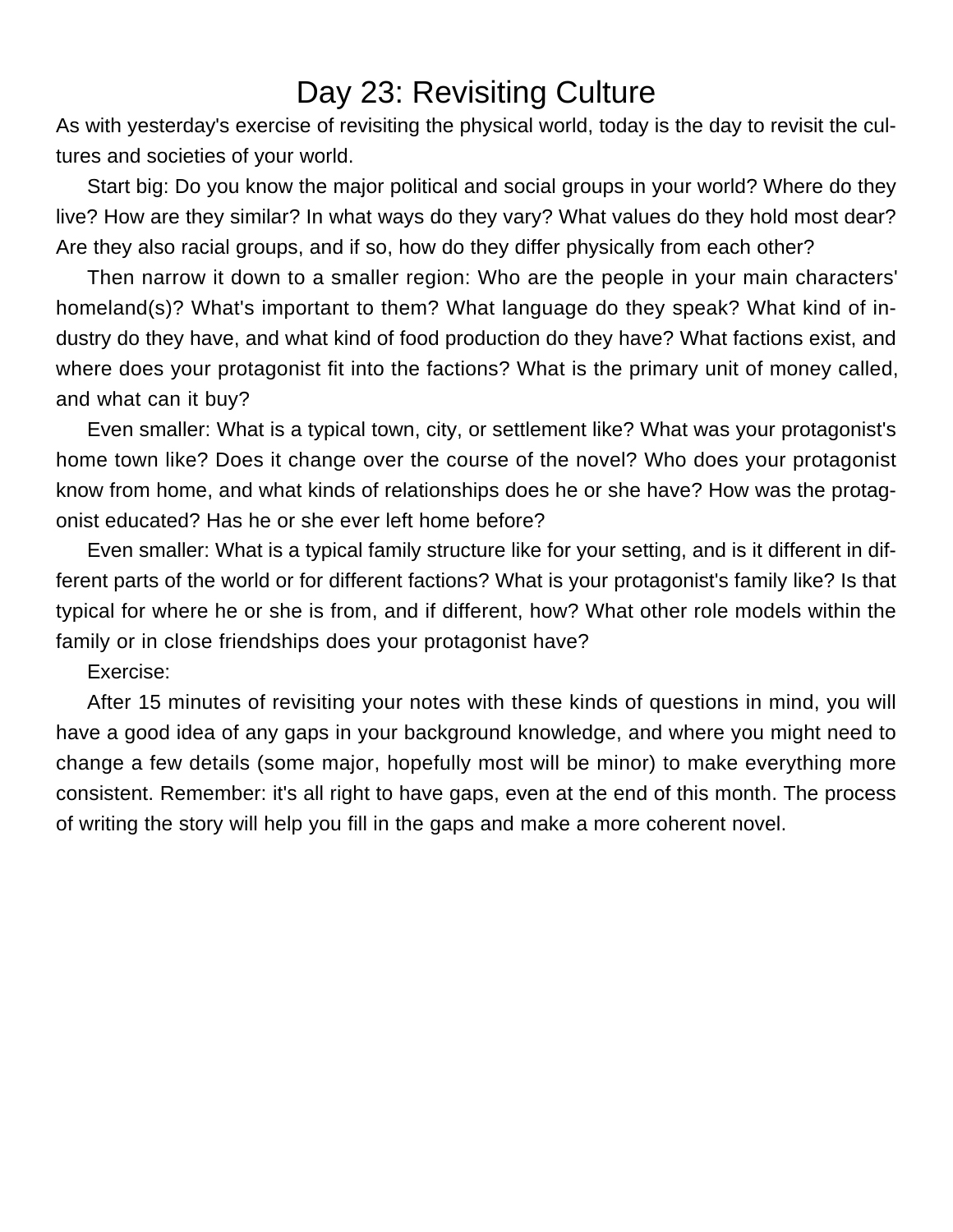# Day 23: Revisiting Culture

As with yesterday's exercise of revisiting the physical world, today is the day to revisit the cultures and societies of your world.

Start big: Do you know the major political and social groups in your world? Where do they live? How are they similar? In what ways do they vary? What values do they hold most dear? Are they also racial groups, and if so, how do they differ physically from each other?

Then narrow it down to a smaller region: Who are the people in your main characters' homeland(s)? What's important to them? What language do they speak? What kind of industry do they have, and what kind of food production do they have? What factions exist, and where does your protagonist fit into the factions? What is the primary unit of money called, and what can it buy?

Even smaller: What is a typical town, city, or settlement like? What was your protagonist's home town like? Does it change over the course of the novel? Who does your protagonist know from home, and what kinds of relationships does he or she have? How was the protagonist educated? Has he or she ever left home before?

Even smaller: What is a typical family structure like for your setting, and is it different in different parts of the world or for different factions? What is your protagonist's family like? Is that typical for where he or she is from, and if different, how? What other role models within the family or in close friendships does your protagonist have?

Exercise:

After 15 minutes of revisiting your notes with these kinds of questions in mind, you will have a good idea of any gaps in your background knowledge, and where you might need to change a few details (some major, hopefully most will be minor) to make everything more consistent. Remember: it's all right to have gaps, even at the end of this month. The process of writing the story will help you fill in the gaps and make a more coherent novel.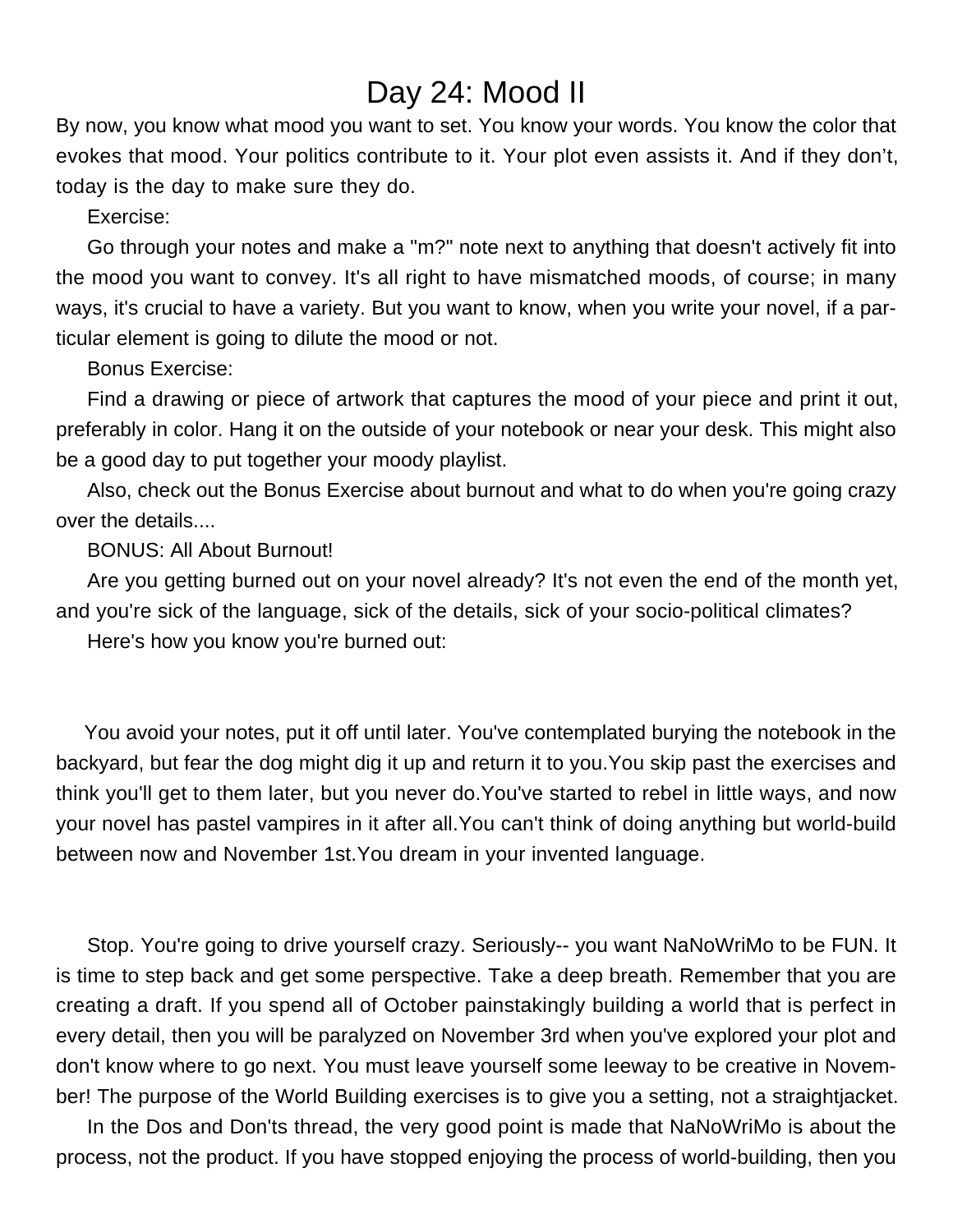# Day 24: Mood II

By now, you know what mood you want to set. You know your words. You know the color that evokes that mood. Your politics contribute to it. Your plot even assists it. And if they don't, today is the day to make sure they do.

Exercise:

Go through your notes and make a "m?" note next to anything that doesn't actively fit into the mood you want to convey. It's all right to have mismatched moods, of course; in many ways, it's crucial to have a variety. But you want to know, when you write your novel, if a particular element is going to dilute the mood or not.

Bonus Exercise:

Find a drawing or piece of artwork that captures the mood of your piece and print it out, preferably in color. Hang it on the outside of your notebook or near your desk. This might also be a good day to put together your moody playlist.

Also, check out the Bonus Exercise about burnout and what to do when you're going crazy over the details....

BONUS: All About Burnout!

Are you getting burned out on your novel already? It's not even the end of the month yet, and you're sick of the language, sick of the details, sick of your socio-political climates?

Here's how you know you're burned out:

 You avoid your notes, put it off until later. You've contemplated burying the notebook in the backyard, but fear the dog might dig it up and return it to you.You skip past the exercises and think you'll get to them later, but you never do.You've started to rebel in little ways, and now your novel has pastel vampires in it after all.You can't think of doing anything but world-build between now and November 1st.You dream in your invented language.

Stop. You're going to drive yourself crazy. Seriously-- you want NaNoWriMo to be FUN. It is time to step back and get some perspective. Take a deep breath. Remember that you are creating a draft. If you spend all of October painstakingly building a world that is perfect in every detail, then you will be paralyzed on November 3rd when you've explored your plot and don't know where to go next. You must leave yourself some leeway to be creative in November! The purpose of the World Building exercises is to give you a setting, not a straightjacket.

In the Dos and Don'ts thread, the very good point is made that NaNoWriMo is about the process, not the product. If you have stopped enjoying the process of world-building, then you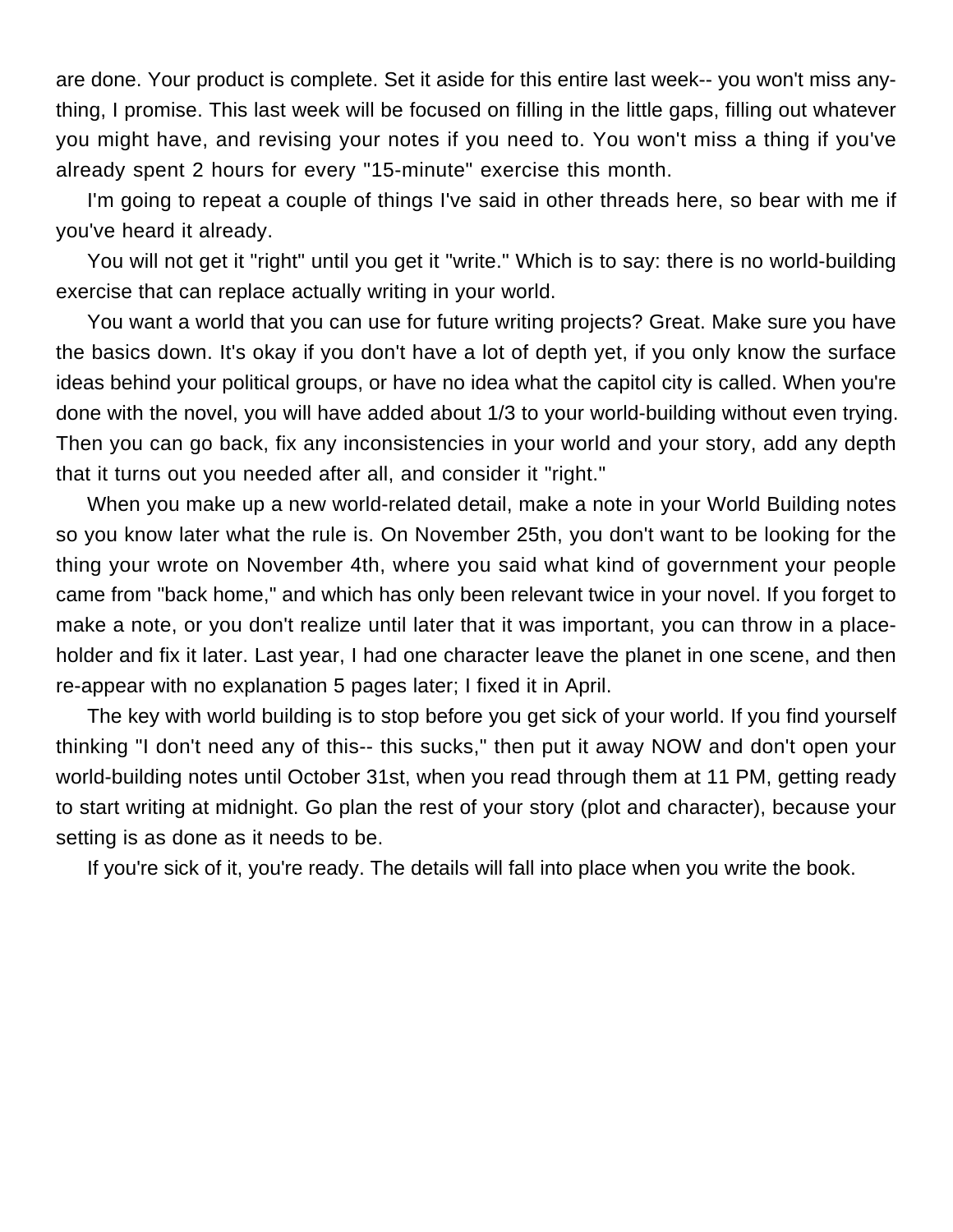are done. Your product is complete. Set it aside for this entire last week-- you won't miss anything, I promise. This last week will be focused on filling in the little gaps, filling out whatever you might have, and revising your notes if you need to. You won't miss a thing if you've already spent 2 hours for every "15-minute" exercise this month.

I'm going to repeat a couple of things I've said in other threads here, so bear with me if you've heard it already.

You will not get it "right" until you get it "write." Which is to say: there is no world-building exercise that can replace actually writing in your world.

You want a world that you can use for future writing projects? Great. Make sure you have the basics down. It's okay if you don't have a lot of depth yet, if you only know the surface ideas behind your political groups, or have no idea what the capitol city is called. When you're done with the novel, you will have added about 1/3 to your world-building without even trying. Then you can go back, fix any inconsistencies in your world and your story, add any depth that it turns out you needed after all, and consider it "right."

When you make up a new world-related detail, make a note in your World Building notes so you know later what the rule is. On November 25th, you don't want to be looking for the thing your wrote on November 4th, where you said what kind of government your people came from "back home," and which has only been relevant twice in your novel. If you forget to make a note, or you don't realize until later that it was important, you can throw in a placeholder and fix it later. Last year, I had one character leave the planet in one scene, and then re-appear with no explanation 5 pages later; I fixed it in April.

The key with world building is to stop before you get sick of your world. If you find yourself thinking "I don't need any of this-- this sucks," then put it away NOW and don't open your world-building notes until October 31st, when you read through them at 11 PM, getting ready to start writing at midnight. Go plan the rest of your story (plot and character), because your setting is as done as it needs to be.

If you're sick of it, you're ready. The details will fall into place when you write the book.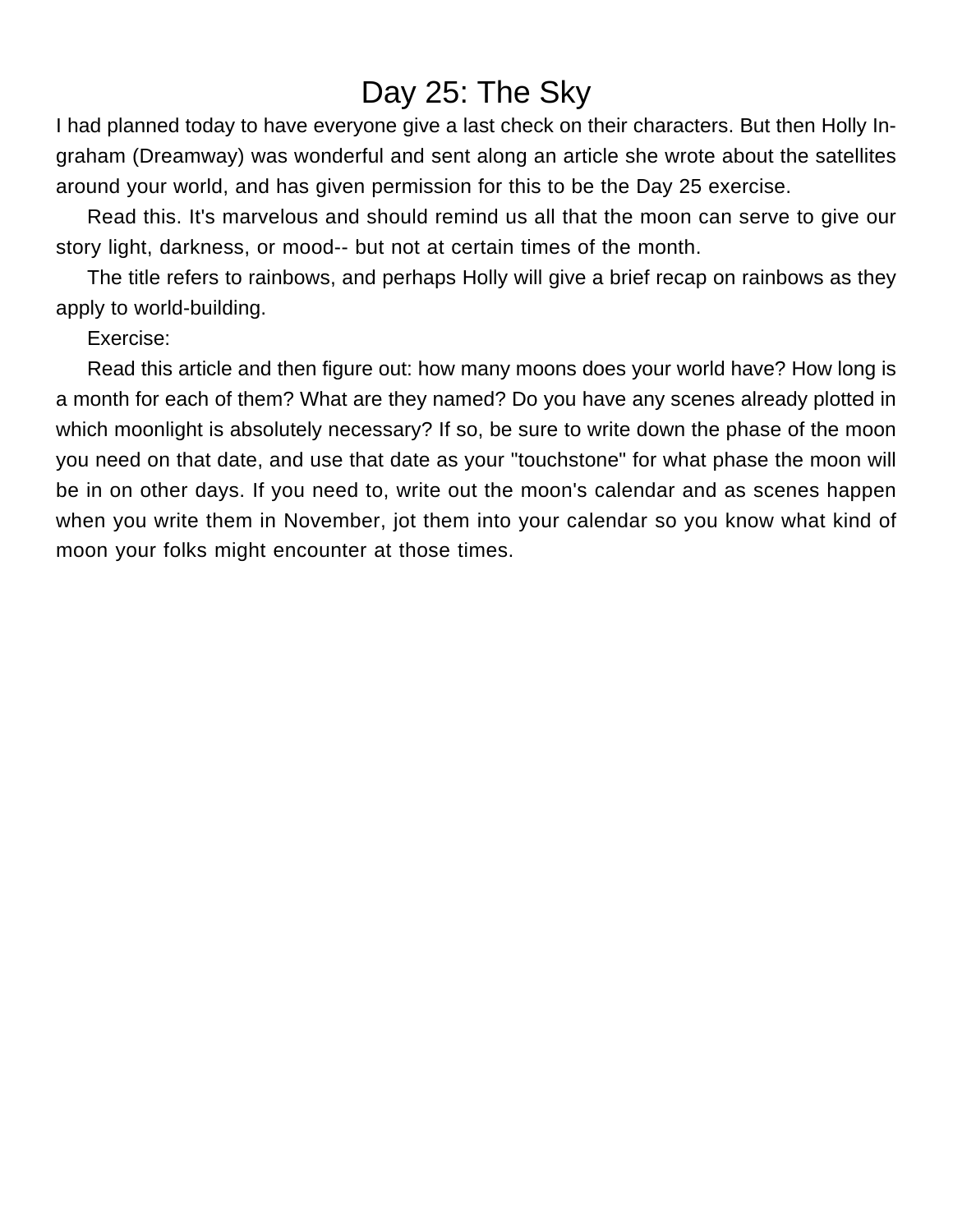# Day 25: The Sky

I had planned today to have everyone give a last check on their characters. But then Holly Ingraham (Dreamway) was wonderful and sent along an article she wrote about the satellites around your world, and has given permission for this to be the Day 25 exercise.

Read this. It's marvelous and should remind us all that the moon can serve to give our story light, darkness, or mood-- but not at certain times of the month.

The title refers to rainbows, and perhaps Holly will give a brief recap on rainbows as they apply to world-building.

Exercise:

Read this article and then figure out: how many moons does your world have? How long is a month for each of them? What are they named? Do you have any scenes already plotted in which moonlight is absolutely necessary? If so, be sure to write down the phase of the moon you need on that date, and use that date as your "touchstone" for what phase the moon will be in on other days. If you need to, write out the moon's calendar and as scenes happen when you write them in November, jot them into your calendar so you know what kind of moon your folks might encounter at those times.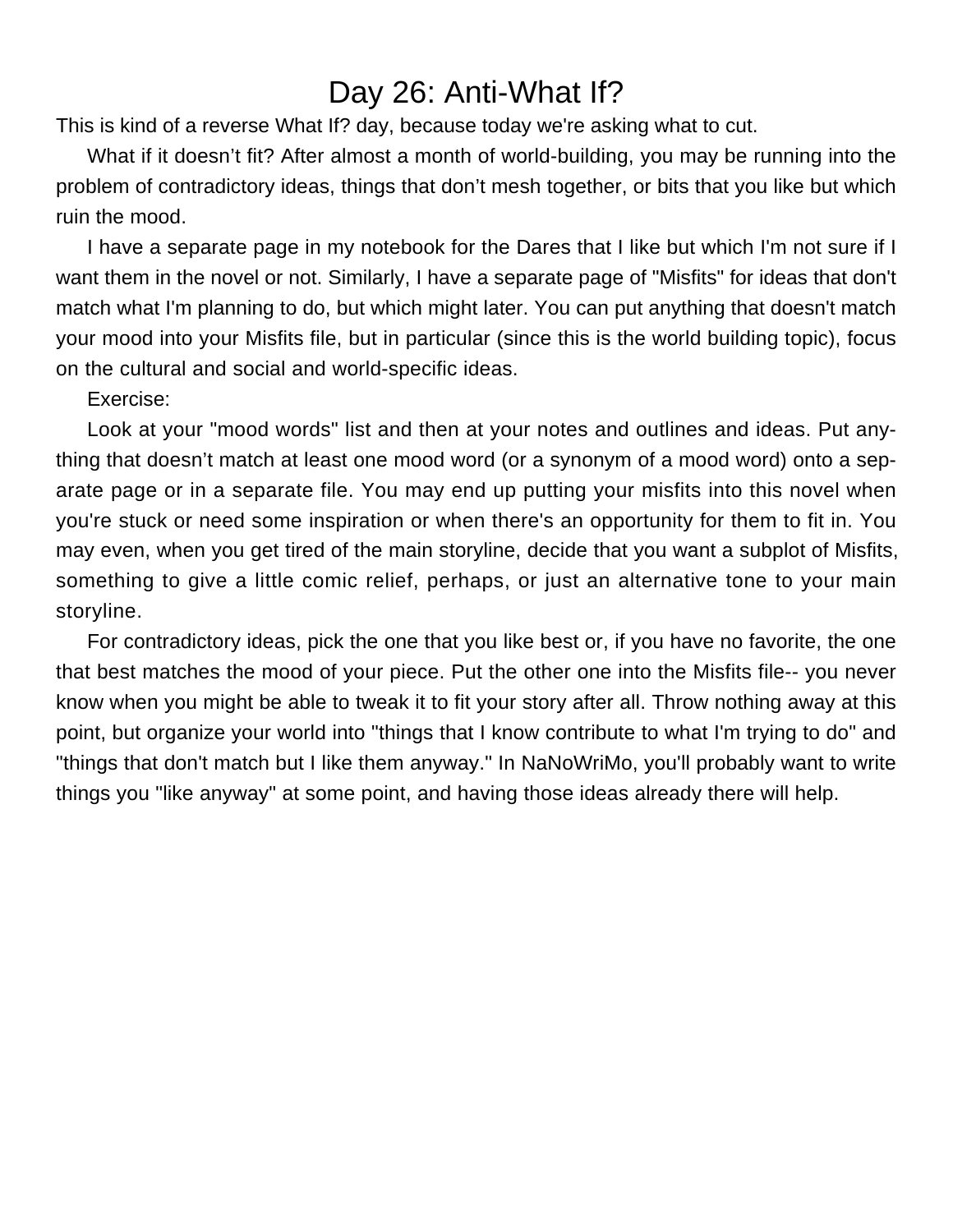# Day 26: Anti-What If?

This is kind of a reverse What If? day, because today we're asking what to cut.

What if it doesn't fit? After almost a month of world-building, you may be running into the problem of contradictory ideas, things that don't mesh together, or bits that you like but which ruin the mood.

I have a separate page in my notebook for the Dares that I like but which I'm not sure if I want them in the novel or not. Similarly, I have a separate page of "Misfits" for ideas that don't match what I'm planning to do, but which might later. You can put anything that doesn't match your mood into your Misfits file, but in particular (since this is the world building topic), focus on the cultural and social and world-specific ideas.

Exercise:

Look at your "mood words" list and then at your notes and outlines and ideas. Put anything that doesn't match at least one mood word (or a synonym of a mood word) onto a separate page or in a separate file. You may end up putting your misfits into this novel when you're stuck or need some inspiration or when there's an opportunity for them to fit in. You may even, when you get tired of the main storyline, decide that you want a subplot of Misfits, something to give a little comic relief, perhaps, or just an alternative tone to your main storyline.

For contradictory ideas, pick the one that you like best or, if you have no favorite, the one that best matches the mood of your piece. Put the other one into the Misfits file-- you never know when you might be able to tweak it to fit your story after all. Throw nothing away at this point, but organize your world into "things that I know contribute to what I'm trying to do" and "things that don't match but I like them anyway." In NaNoWriMo, you'll probably want to write things you "like anyway" at some point, and having those ideas already there will help.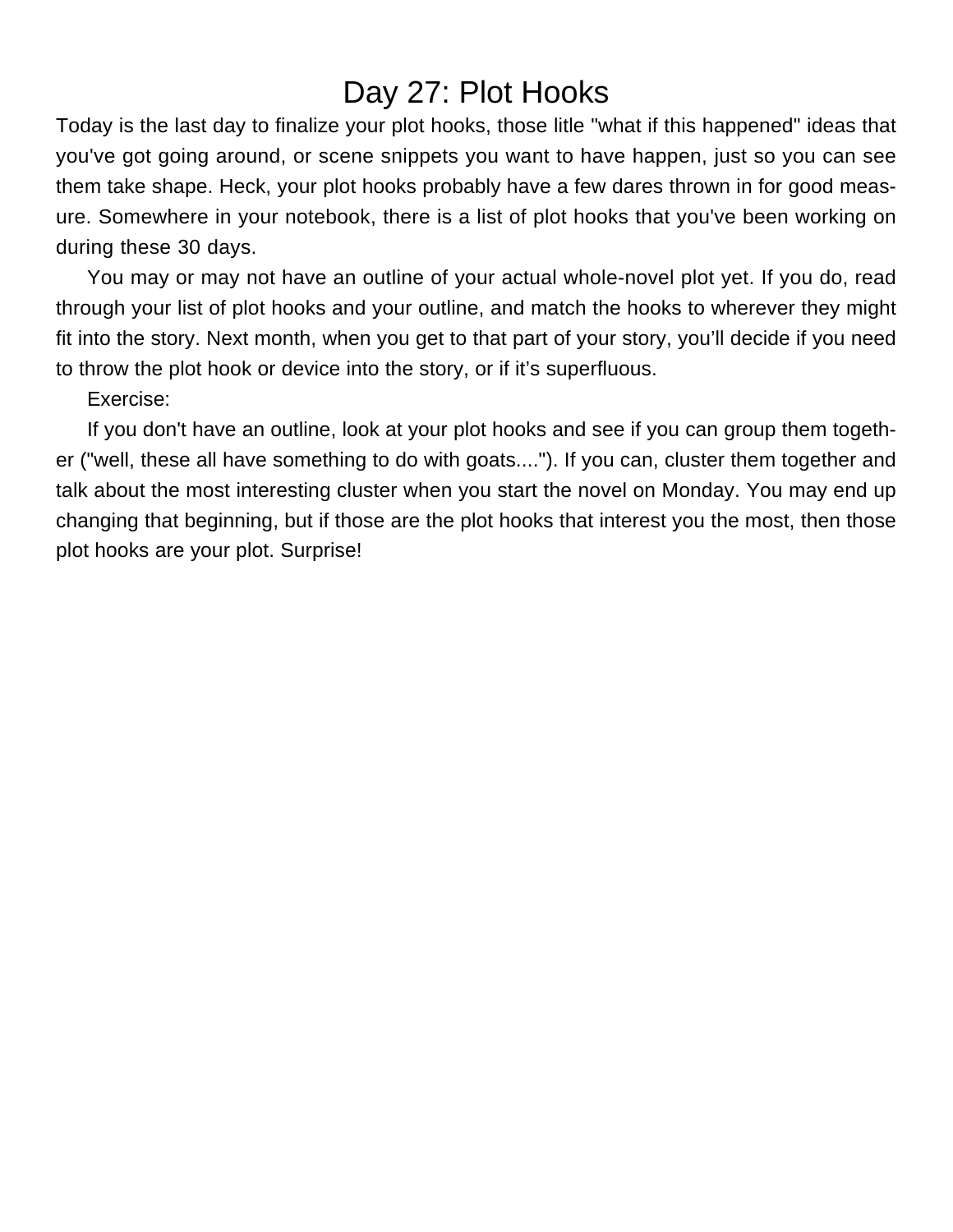# Day 27: Plot Hooks

Today is the last day to finalize your plot hooks, those litle "what if this happened" ideas that you've got going around, or scene snippets you want to have happen, just so you can see them take shape. Heck, your plot hooks probably have a few dares thrown in for good measure. Somewhere in your notebook, there is a list of plot hooks that you've been working on during these 30 days.

You may or may not have an outline of your actual whole-novel plot yet. If you do, read through your list of plot hooks and your outline, and match the hooks to wherever they might fit into the story. Next month, when you get to that part of your story, you'll decide if you need to throw the plot hook or device into the story, or if it's superfluous.

Exercise:

If you don't have an outline, look at your plot hooks and see if you can group them together ("well, these all have something to do with goats...."). If you can, cluster them together and talk about the most interesting cluster when you start the novel on Monday. You may end up changing that beginning, but if those are the plot hooks that interest you the most, then those plot hooks are your plot. Surprise!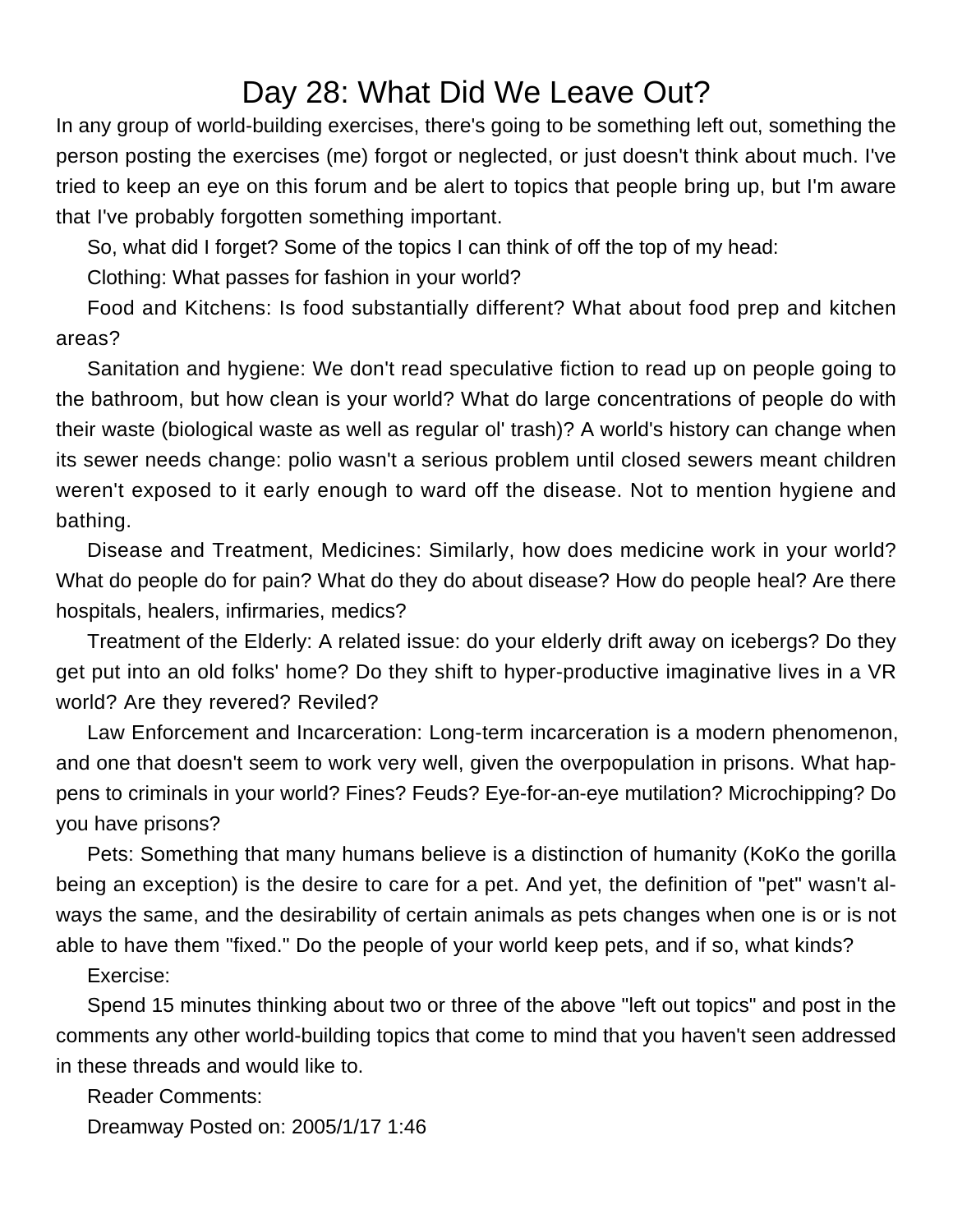# Day 28: What Did We Leave Out?

In any group of world-building exercises, there's going to be something left out, something the person posting the exercises (me) forgot or neglected, or just doesn't think about much. I've tried to keep an eye on this forum and be alert to topics that people bring up, but I'm aware that I've probably forgotten something important.

So, what did I forget? Some of the topics I can think of off the top of my head:

Clothing: What passes for fashion in your world?

Food and Kitchens: Is food substantially different? What about food prep and kitchen areas?

Sanitation and hygiene: We don't read speculative fiction to read up on people going to the bathroom, but how clean is your world? What do large concentrations of people do with their waste (biological waste as well as regular ol' trash)? A world's history can change when its sewer needs change: polio wasn't a serious problem until closed sewers meant children weren't exposed to it early enough to ward off the disease. Not to mention hygiene and bathing.

Disease and Treatment, Medicines: Similarly, how does medicine work in your world? What do people do for pain? What do they do about disease? How do people heal? Are there hospitals, healers, infirmaries, medics?

Treatment of the Elderly: A related issue: do your elderly drift away on icebergs? Do they get put into an old folks' home? Do they shift to hyper-productive imaginative lives in a VR world? Are they revered? Reviled?

Law Enforcement and Incarceration: Long-term incarceration is a modern phenomenon, and one that doesn't seem to work very well, given the overpopulation in prisons. What happens to criminals in your world? Fines? Feuds? Eye-for-an-eye mutilation? Microchipping? Do you have prisons?

Pets: Something that many humans believe is a distinction of humanity (KoKo the gorilla being an exception) is the desire to care for a pet. And yet, the definition of "pet" wasn't always the same, and the desirability of certain animals as pets changes when one is or is not able to have them "fixed." Do the people of your world keep pets, and if so, what kinds?

Exercise:

Spend 15 minutes thinking about two or three of the above "left out topics" and post in the comments any other world-building topics that come to mind that you haven't seen addressed in these threads and would like to.

Reader Comments: Dreamway Posted on: 2005/1/17 1:46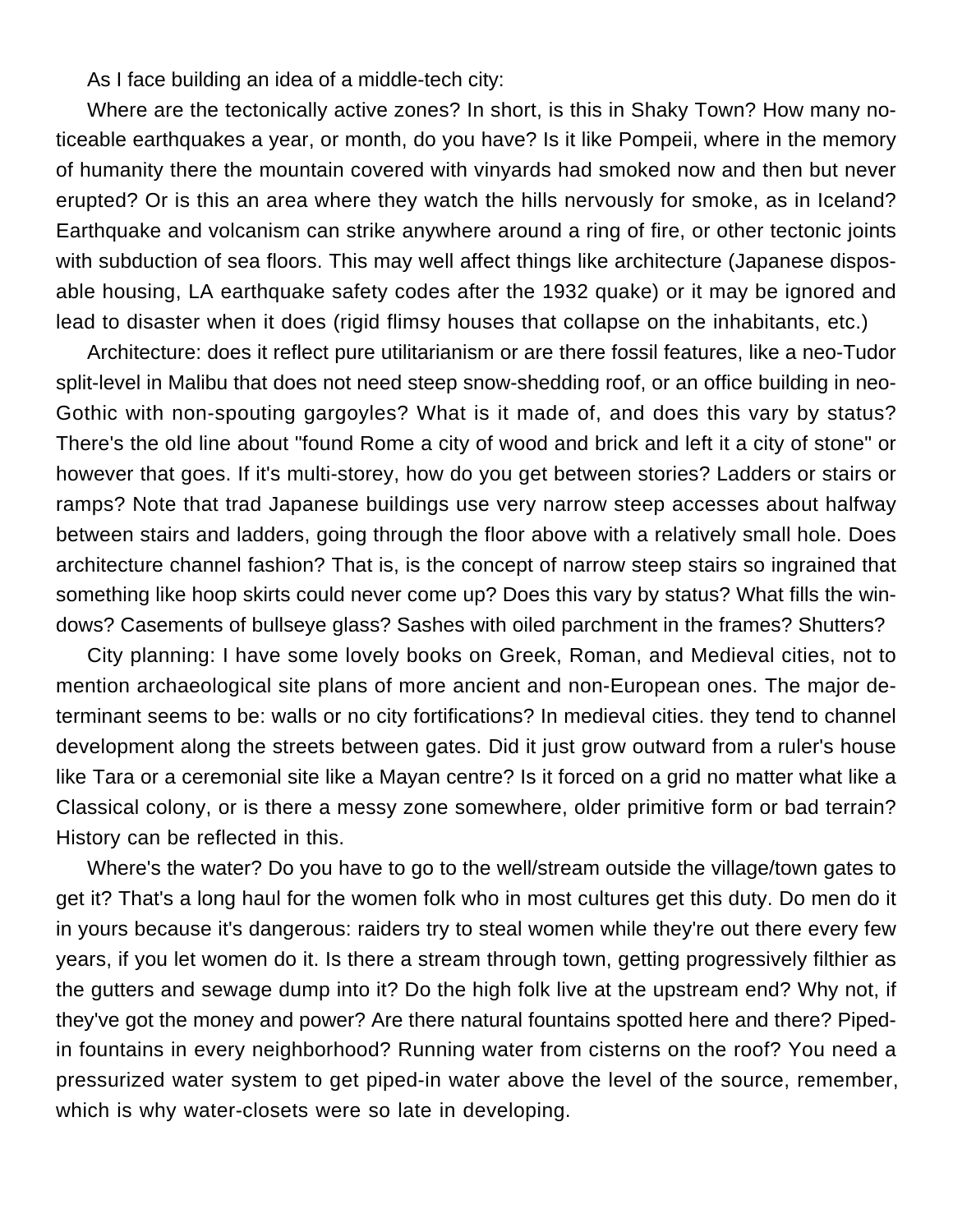As I face building an idea of a middle-tech city:

Where are the tectonically active zones? In short, is this in Shaky Town? How many noticeable earthquakes a year, or month, do you have? Is it like Pompeii, where in the memory of humanity there the mountain covered with vinyards had smoked now and then but never erupted? Or is this an area where they watch the hills nervously for smoke, as in Iceland? Earthquake and volcanism can strike anywhere around a ring of fire, or other tectonic joints with subduction of sea floors. This may well affect things like architecture (Japanese disposable housing, LA earthquake safety codes after the 1932 quake) or it may be ignored and lead to disaster when it does (rigid flimsy houses that collapse on the inhabitants, etc.)

Architecture: does it reflect pure utilitarianism or are there fossil features, like a neo-Tudor split-level in Malibu that does not need steep snow-shedding roof, or an office building in neo-Gothic with non-spouting gargoyles? What is it made of, and does this vary by status? There's the old line about "found Rome a city of wood and brick and left it a city of stone" or however that goes. If it's multi-storey, how do you get between stories? Ladders or stairs or ramps? Note that trad Japanese buildings use very narrow steep accesses about halfway between stairs and ladders, going through the floor above with a relatively small hole. Does architecture channel fashion? That is, is the concept of narrow steep stairs so ingrained that something like hoop skirts could never come up? Does this vary by status? What fills the windows? Casements of bullseye glass? Sashes with oiled parchment in the frames? Shutters?

City planning: I have some lovely books on Greek, Roman, and Medieval cities, not to mention archaeological site plans of more ancient and non-European ones. The major determinant seems to be: walls or no city fortifications? In medieval cities. they tend to channel development along the streets between gates. Did it just grow outward from a ruler's house like Tara or a ceremonial site like a Mayan centre? Is it forced on a grid no matter what like a Classical colony, or is there a messy zone somewhere, older primitive form or bad terrain? History can be reflected in this.

Where's the water? Do you have to go to the well/stream outside the village/town gates to get it? That's a long haul for the women folk who in most cultures get this duty. Do men do it in yours because it's dangerous: raiders try to steal women while they're out there every few years, if you let women do it. Is there a stream through town, getting progressively filthier as the gutters and sewage dump into it? Do the high folk live at the upstream end? Why not, if they've got the money and power? Are there natural fountains spotted here and there? Pipedin fountains in every neighborhood? Running water from cisterns on the roof? You need a pressurized water system to get piped-in water above the level of the source, remember, which is why water-closets were so late in developing.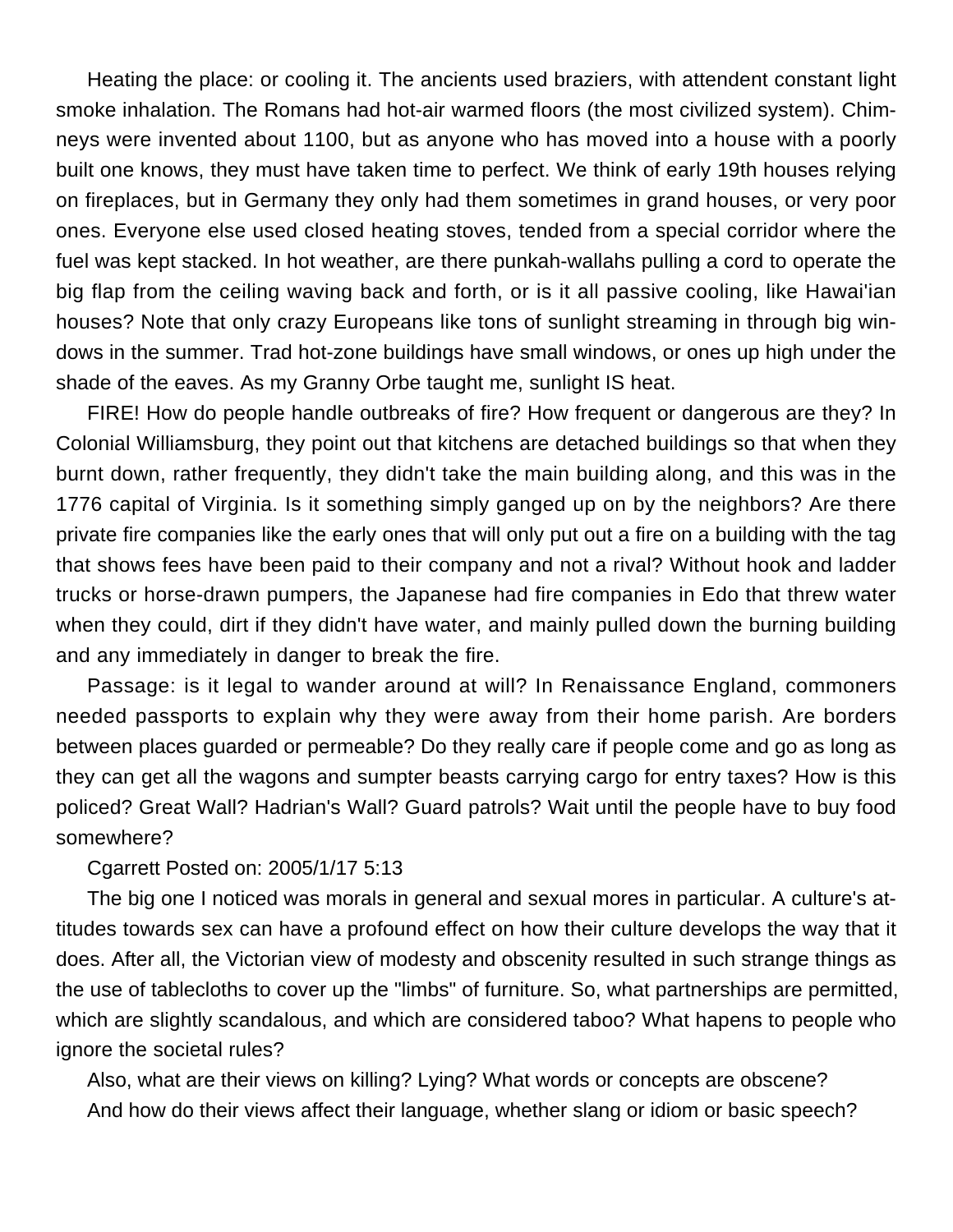Heating the place: or cooling it. The ancients used braziers, with attendent constant light smoke inhalation. The Romans had hot-air warmed floors (the most civilized system). Chimneys were invented about 1100, but as anyone who has moved into a house with a poorly built one knows, they must have taken time to perfect. We think of early 19th houses relying on fireplaces, but in Germany they only had them sometimes in grand houses, or very poor ones. Everyone else used closed heating stoves, tended from a special corridor where the fuel was kept stacked. In hot weather, are there punkah-wallahs pulling a cord to operate the big flap from the ceiling waving back and forth, or is it all passive cooling, like Hawai'ian houses? Note that only crazy Europeans like tons of sunlight streaming in through big windows in the summer. Trad hot-zone buildings have small windows, or ones up high under the shade of the eaves. As my Granny Orbe taught me, sunlight IS heat.

FIRE! How do people handle outbreaks of fire? How frequent or dangerous are they? In Colonial Williamsburg, they point out that kitchens are detached buildings so that when they burnt down, rather frequently, they didn't take the main building along, and this was in the 1776 capital of Virginia. Is it something simply ganged up on by the neighbors? Are there private fire companies like the early ones that will only put out a fire on a building with the tag that shows fees have been paid to their company and not a rival? Without hook and ladder trucks or horse-drawn pumpers, the Japanese had fire companies in Edo that threw water when they could, dirt if they didn't have water, and mainly pulled down the burning building and any immediately in danger to break the fire.

Passage: is it legal to wander around at will? In Renaissance England, commoners needed passports to explain why they were away from their home parish. Are borders between places guarded or permeable? Do they really care if people come and go as long as they can get all the wagons and sumpter beasts carrying cargo for entry taxes? How is this policed? Great Wall? Hadrian's Wall? Guard patrols? Wait until the people have to buy food somewhere?

#### Cgarrett Posted on: 2005/1/17 5:13

The big one I noticed was morals in general and sexual mores in particular. A culture's attitudes towards sex can have a profound effect on how their culture develops the way that it does. After all, the Victorian view of modesty and obscenity resulted in such strange things as the use of tablecloths to cover up the "limbs" of furniture. So, what partnerships are permitted, which are slightly scandalous, and which are considered taboo? What hapens to people who ignore the societal rules?

Also, what are their views on killing? Lying? What words or concepts are obscene? And how do their views affect their language, whether slang or idiom or basic speech?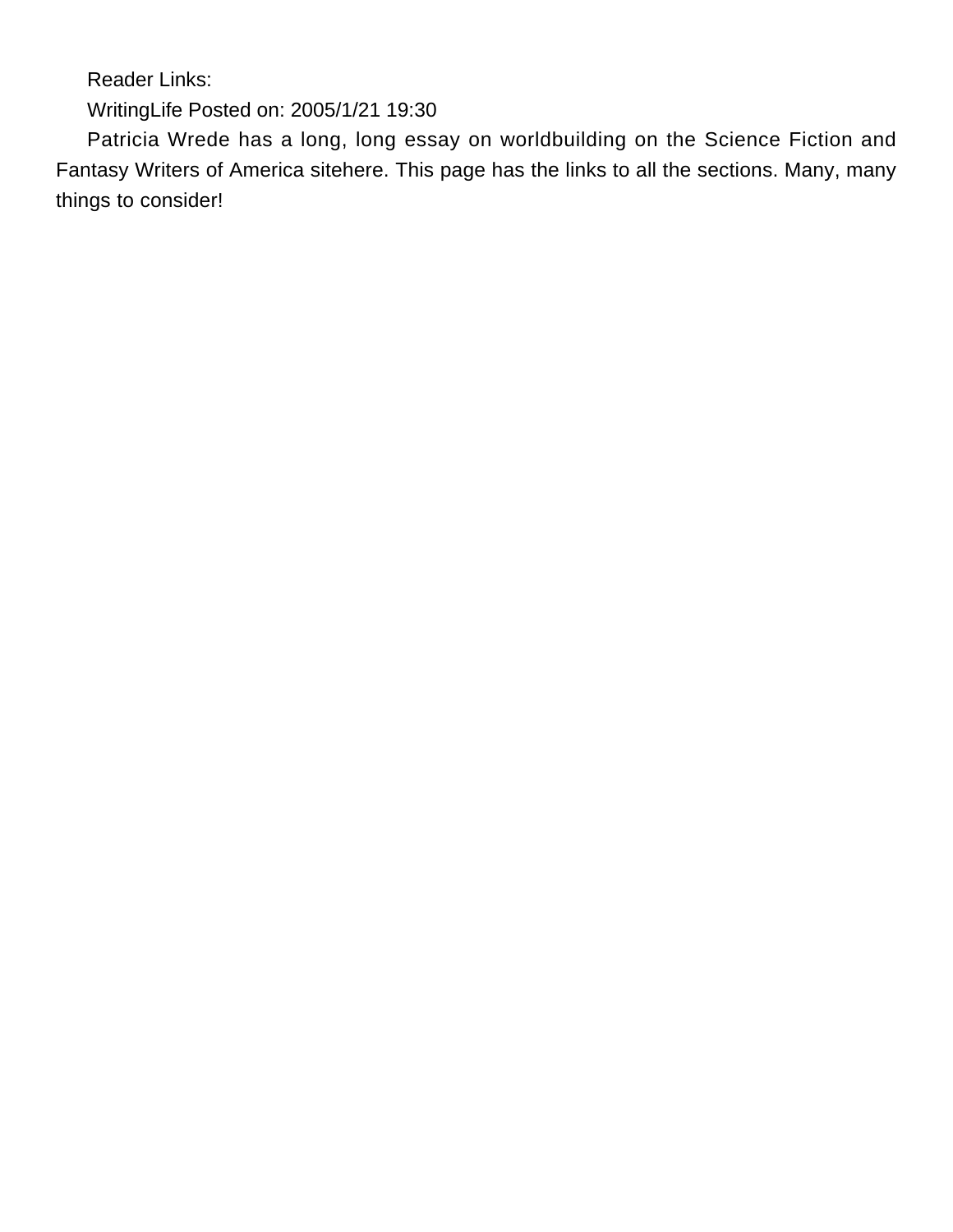Reader Links:

WritingLife Posted on: 2005/1/21 19:30

Patricia Wrede has a long, long essay on worldbuilding on the Science Fiction and Fantasy Writers of America sitehere. This page has the links to all the sections. Many, many things to consider!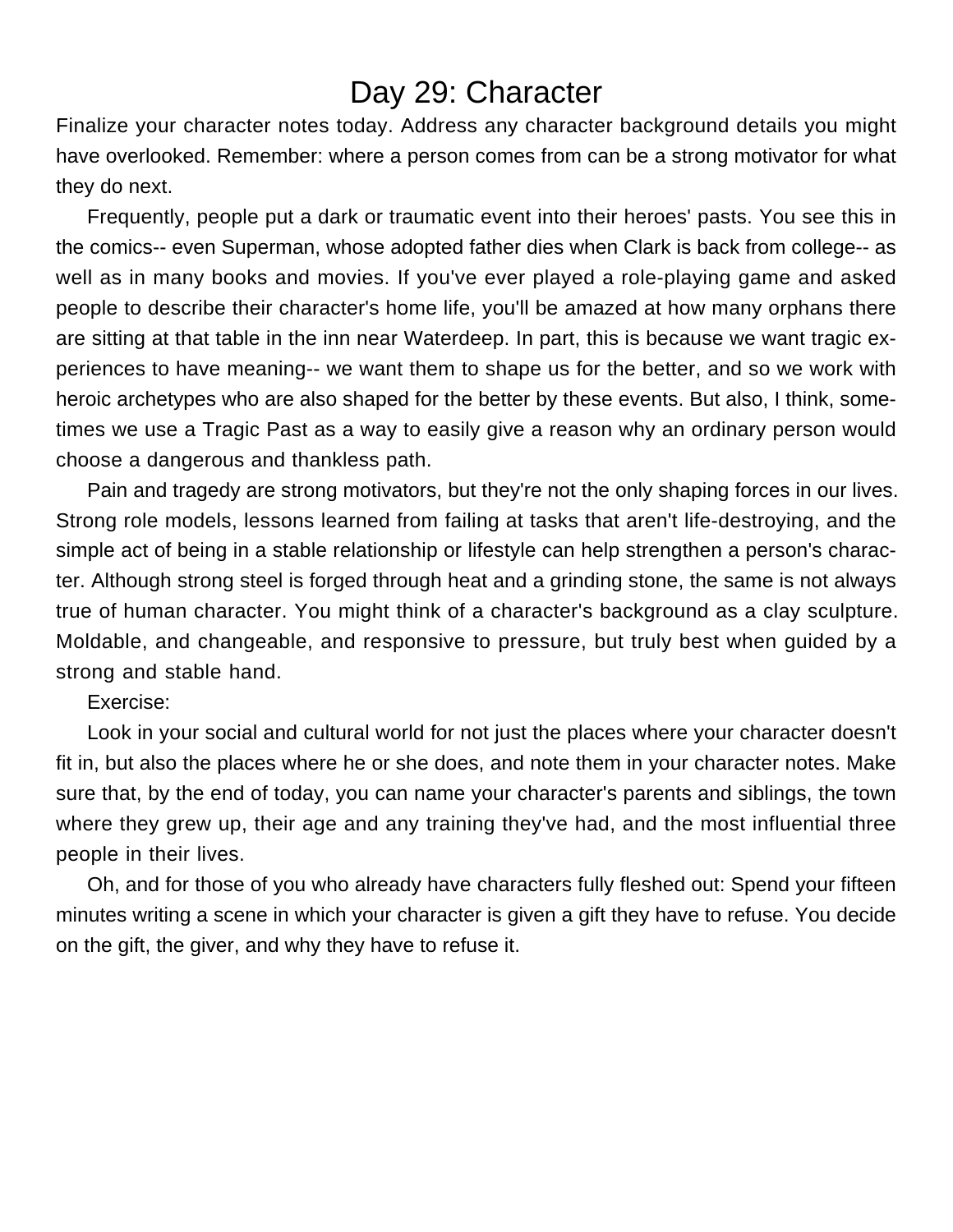## Day 29: Character

Finalize your character notes today. Address any character background details you might have overlooked. Remember: where a person comes from can be a strong motivator for what they do next.

Frequently, people put a dark or traumatic event into their heroes' pasts. You see this in the comics-- even Superman, whose adopted father dies when Clark is back from college-- as well as in many books and movies. If you've ever played a role-playing game and asked people to describe their character's home life, you'll be amazed at how many orphans there are sitting at that table in the inn near Waterdeep. In part, this is because we want tragic experiences to have meaning-- we want them to shape us for the better, and so we work with heroic archetypes who are also shaped for the better by these events. But also, I think, sometimes we use a Tragic Past as a way to easily give a reason why an ordinary person would choose a dangerous and thankless path.

Pain and tragedy are strong motivators, but they're not the only shaping forces in our lives. Strong role models, lessons learned from failing at tasks that aren't life-destroying, and the simple act of being in a stable relationship or lifestyle can help strengthen a person's character. Although strong steel is forged through heat and a grinding stone, the same is not always true of human character. You might think of a character's background as a clay sculpture. Moldable, and changeable, and responsive to pressure, but truly best when guided by a strong and stable hand.

#### Exercise:

Look in your social and cultural world for not just the places where your character doesn't fit in, but also the places where he or she does, and note them in your character notes. Make sure that, by the end of today, you can name your character's parents and siblings, the town where they grew up, their age and any training they've had, and the most influential three people in their lives.

Oh, and for those of you who already have characters fully fleshed out: Spend your fifteen minutes writing a scene in which your character is given a gift they have to refuse. You decide on the gift, the giver, and why they have to refuse it.